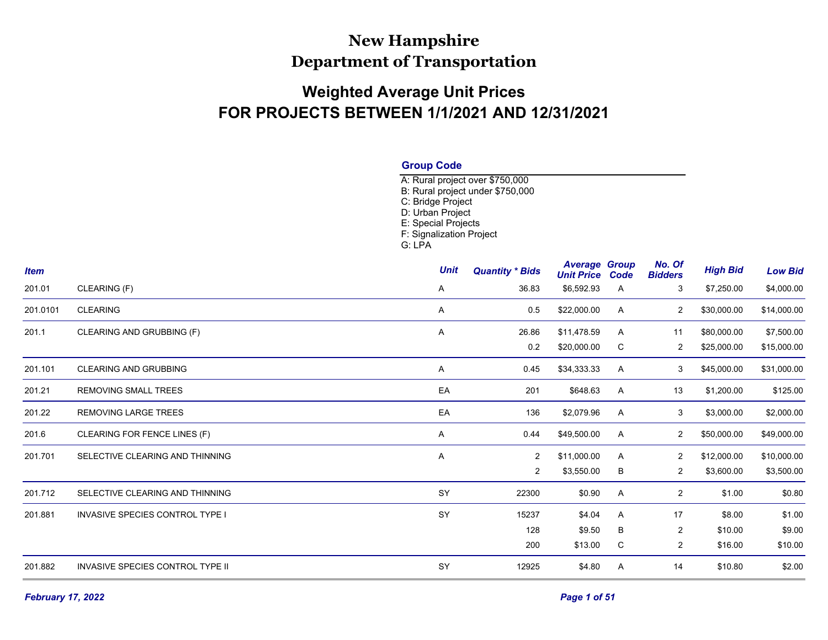## **New Hampshire Department of Transportation**

## **Weighted Average Unit Prices FOR PROJECTS BETWEEN 1/1/2021 AND 12/31/2021**

| <b>Group Code</b> |  |
|-------------------|--|
|-------------------|--|

A: Rural project over \$750,000 B: Rural project under \$750,000 C: Bridge Project D: Urban Project E: Special Projects F: Signalization Project G: LPA

| <b>Item</b> |                                         | <b>Unit</b> | <b>Quantity * Bids</b> | <b>Average Group</b><br><b>Unit Price Code</b> |   | No. Of<br><b>Bidders</b> | <b>High Bid</b> | <b>Low Bid</b> |
|-------------|-----------------------------------------|-------------|------------------------|------------------------------------------------|---|--------------------------|-----------------|----------------|
| 201.01      | CLEARING (F)                            | A           | 36.83                  | \$6,592.93                                     | A | 3                        | \$7,250.00      | \$4,000.00     |
| 201.0101    | <b>CLEARING</b>                         | A           | 0.5                    | \$22,000.00                                    | A | 2                        | \$30,000.00     | \$14,000.00    |
| 201.1       | CLEARING AND GRUBBING (F)               | Α           | 26.86                  | \$11,478.59                                    | Α | 11                       | \$80,000.00     | \$7,500.00     |
|             |                                         |             | 0.2                    | \$20,000.00                                    | C | 2                        | \$25,000.00     | \$15,000.00    |
| 201.101     | <b>CLEARING AND GRUBBING</b>            | A           | 0.45                   | \$34,333.33                                    | A | 3                        | \$45,000.00     | \$31,000.00    |
| 201.21      | <b>REMOVING SMALL TREES</b>             | EA          | 201                    | \$648.63                                       | A | 13                       | \$1,200.00      | \$125.00       |
| 201.22      | <b>REMOVING LARGE TREES</b>             | EA          | 136                    | \$2,079.96                                     | A | 3                        | \$3,000.00      | \$2,000.00     |
| 201.6       | CLEARING FOR FENCE LINES (F)            | A           | 0.44                   | \$49,500.00                                    | A | $\overline{c}$           | \$50,000.00     | \$49,000.00    |
| 201.701     | SELECTIVE CLEARING AND THINNING         | Α           | 2                      | \$11,000.00                                    | Α | 2                        | \$12,000.00     | \$10,000.00    |
|             |                                         |             | $\overline{2}$         | \$3,550.00                                     | В | $\overline{c}$           | \$3,600.00      | \$3,500.00     |
| 201.712     | SELECTIVE CLEARING AND THINNING         | SY          | 22300                  | \$0.90                                         | A | $\overline{2}$           | \$1.00          | \$0.80         |
| 201.881     | <b>INVASIVE SPECIES CONTROL TYPE I</b>  | SY          | 15237                  | \$4.04                                         | A | 17                       | \$8.00          | \$1.00         |
|             |                                         |             | 128                    | \$9.50                                         | В | $\overline{2}$           | \$10.00         | \$9.00         |
|             |                                         |             | 200                    | \$13.00                                        | С | $\overline{2}$           | \$16.00         | \$10.00        |
| 201.882     | <b>INVASIVE SPECIES CONTROL TYPE II</b> | SY          | 12925                  | \$4.80                                         | A | 14                       | \$10.80         | \$2.00         |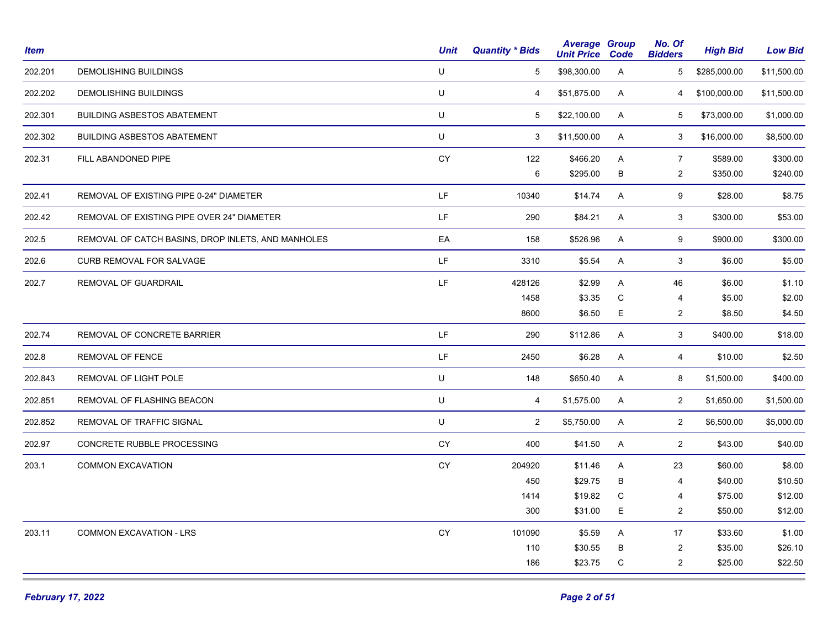| <b>Item</b> |                                                    | <b>Unit</b> | <b>Quantity * Bids</b> | <b>Average Group</b><br><b>Unit Price</b> | Code        | No. Of<br><b>Bidders</b> | <b>High Bid</b> | <b>Low Bid</b> |
|-------------|----------------------------------------------------|-------------|------------------------|-------------------------------------------|-------------|--------------------------|-----------------|----------------|
| 202.201     | <b>DEMOLISHING BUILDINGS</b>                       | U           | 5                      | \$98,300.00                               | A           | 5                        | \$285,000.00    | \$11,500.00    |
| 202.202     | DEMOLISHING BUILDINGS                              | U           | 4                      | \$51,875.00                               | A           | 4                        | \$100,000.00    | \$11,500.00    |
| 202.301     | <b>BUILDING ASBESTOS ABATEMENT</b>                 | U           | 5                      | \$22,100.00                               | A           | 5                        | \$73,000.00     | \$1,000.00     |
| 202.302     | <b>BUILDING ASBESTOS ABATEMENT</b>                 | U           | 3                      | \$11,500.00                               | A           | 3                        | \$16,000.00     | \$8,500.00     |
| 202.31      | FILL ABANDONED PIPE                                | CY          | 122                    | \$466.20                                  | Α           | $\overline{7}$           | \$589.00        | \$300.00       |
|             |                                                    |             | 6                      | \$295.00                                  | B           | $\overline{2}$           | \$350.00        | \$240.00       |
| 202.41      | REMOVAL OF EXISTING PIPE 0-24" DIAMETER            | LF          | 10340                  | \$14.74                                   | A           | 9                        | \$28.00         | \$8.75         |
| 202.42      | REMOVAL OF EXISTING PIPE OVER 24" DIAMETER         | LF          | 290                    | \$84.21                                   | A           | 3                        | \$300.00        | \$53.00        |
| 202.5       | REMOVAL OF CATCH BASINS, DROP INLETS, AND MANHOLES | EA          | 158                    | \$526.96                                  | Α           | 9                        | \$900.00        | \$300.00       |
| 202.6       | CURB REMOVAL FOR SALVAGE                           | LF.         | 3310                   | \$5.54                                    | A           | 3                        | \$6.00          | \$5.00         |
| 202.7       | REMOVAL OF GUARDRAIL                               | LF          | 428126                 | \$2.99                                    | A           | 46                       | \$6.00          | \$1.10         |
|             |                                                    |             | 1458                   | \$3.35                                    | С           | 4                        | \$5.00          | \$2.00         |
|             |                                                    |             | 8600                   | \$6.50                                    | Е           | $\overline{2}$           | \$8.50          | \$4.50         |
| 202.74      | REMOVAL OF CONCRETE BARRIER                        | LF.         | 290                    | \$112.86                                  | A           | 3                        | \$400.00        | \$18.00        |
| 202.8       | REMOVAL OF FENCE                                   | LF.         | 2450                   | \$6.28                                    | A           | 4                        | \$10.00         | \$2.50         |
| 202.843     | REMOVAL OF LIGHT POLE                              | U           | 148                    | \$650.40                                  | A           | 8                        | \$1,500.00      | \$400.00       |
| 202.851     | REMOVAL OF FLASHING BEACON                         | U           | $\overline{4}$         | \$1,575.00                                | A           | $\overline{2}$           | \$1,650.00      | \$1,500.00     |
| 202.852     | REMOVAL OF TRAFFIC SIGNAL                          | U           | $\overline{2}$         | \$5,750.00                                | A           | $\overline{2}$           | \$6,500.00      | \$5,000.00     |
| 202.97      | CONCRETE RUBBLE PROCESSING                         | CY          | 400                    | \$41.50                                   | A           | $\overline{2}$           | \$43.00         | \$40.00        |
| 203.1       | <b>COMMON EXCAVATION</b>                           | ${\sf CY}$  | 204920                 | \$11.46                                   | A           | 23                       | \$60.00         | \$8.00         |
|             |                                                    |             | 450                    | \$29.75                                   | B           | $\overline{4}$           | \$40.00         | \$10.50        |
|             |                                                    |             | 1414                   | \$19.82                                   | С           | 4                        | \$75.00         | \$12.00        |
|             |                                                    |             | 300                    | \$31.00                                   | $\mathsf E$ | $\overline{c}$           | \$50.00         | \$12.00        |
| 203.11      | COMMON EXCAVATION - LRS                            | CY          | 101090                 | \$5.59                                    | Α           | 17                       | \$33.60         | \$1.00         |
|             |                                                    |             | 110                    | \$30.55                                   | B           | $\sqrt{2}$               | \$35.00         | \$26.10        |
|             |                                                    |             | 186                    | \$23.75                                   | C           | $\overline{c}$           | \$25.00         | \$22.50        |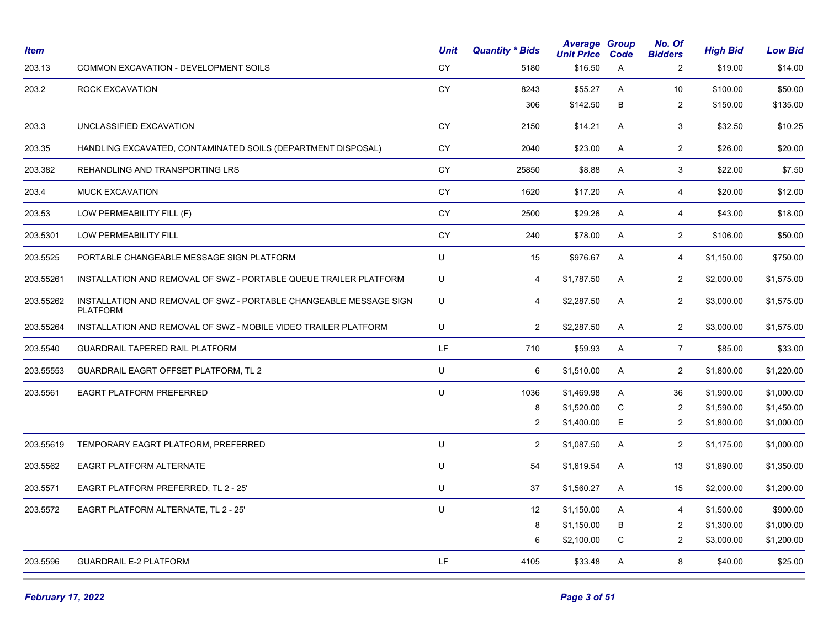| <i><b>Item</b></i> |                                                                                       | <b>Unit</b> | <b>Quantity * Bids</b> | <b>Average Group</b><br><b>Unit Price</b> | Code         | No. Of<br><b>Bidders</b> | <b>High Bid</b> | <b>Low Bid</b> |
|--------------------|---------------------------------------------------------------------------------------|-------------|------------------------|-------------------------------------------|--------------|--------------------------|-----------------|----------------|
| 203.13             | COMMON EXCAVATION - DEVELOPMENT SOILS                                                 | <b>CY</b>   | 5180                   | \$16.50                                   | A            | 2                        | \$19.00         | \$14.00        |
| 203.2              | ROCK EXCAVATION                                                                       | <b>CY</b>   | 8243                   | \$55.27                                   | Α            | 10                       | \$100.00        | \$50.00        |
|                    |                                                                                       |             | 306                    | \$142.50                                  | B            | 2                        | \$150.00        | \$135.00       |
| 203.3              | UNCLASSIFIED EXCAVATION                                                               | <b>CY</b>   | 2150                   | \$14.21                                   | A            | 3                        | \$32.50         | \$10.25        |
| 203.35             | HANDLING EXCAVATED, CONTAMINATED SOILS (DEPARTMENT DISPOSAL)                          | <b>CY</b>   | 2040                   | \$23.00                                   | A            | $\overline{2}$           | \$26.00         | \$20.00        |
| 203.382            | REHANDLING AND TRANSPORTING LRS                                                       | <b>CY</b>   | 25850                  | \$8.88                                    | A            | 3                        | \$22.00         | \$7.50         |
| 203.4              | <b>MUCK EXCAVATION</b>                                                                | <b>CY</b>   | 1620                   | \$17.20                                   | A            | 4                        | \$20.00         | \$12.00        |
| 203.53             | LOW PERMEABILITY FILL (F)                                                             | <b>CY</b>   | 2500                   | \$29.26                                   | $\mathsf{A}$ | $\overline{4}$           | \$43.00         | \$18.00        |
| 203.5301           | LOW PERMEABILITY FILL                                                                 | <b>CY</b>   | 240                    | \$78.00                                   | A            | $\overline{2}$           | \$106.00        | \$50.00        |
| 203.5525           | PORTABLE CHANGEABLE MESSAGE SIGN PLATFORM                                             | U           | 15                     | \$976.67                                  | A            | 4                        | \$1,150.00      | \$750.00       |
| 203.55261          | INSTALLATION AND REMOVAL OF SWZ - PORTABLE QUEUE TRAILER PLATFORM                     | U           | 4                      | \$1,787.50                                | A            | 2                        | \$2,000.00      | \$1,575.00     |
| 203.55262          | INSTALLATION AND REMOVAL OF SWZ - PORTABLE CHANGEABLE MESSAGE SIGN<br><b>PLATFORM</b> | U           | 4                      | \$2,287.50                                | A            | $\overline{2}$           | \$3,000.00      | \$1,575.00     |
| 203.55264          | INSTALLATION AND REMOVAL OF SWZ - MOBILE VIDEO TRAILER PLATFORM                       | U           | $\overline{2}$         | \$2,287.50                                | A            | 2                        | \$3,000.00      | \$1,575.00     |
| 203.5540           | <b>GUARDRAIL TAPERED RAIL PLATFORM</b>                                                | LF          | 710                    | \$59.93                                   | A            | $\overline{7}$           | \$85.00         | \$33.00        |
| 203.55553          | <b>GUARDRAIL EAGRT OFFSET PLATFORM, TL 2</b>                                          | U           | 6                      | \$1,510.00                                | $\mathsf{A}$ | 2                        | \$1,800.00      | \$1,220.00     |
| 203.5561           | <b>EAGRT PLATFORM PREFERRED</b>                                                       | U           | 1036                   | \$1,469.98                                | A            | 36                       | \$1,900.00      | \$1,000.00     |
|                    |                                                                                       |             | 8                      | \$1,520.00                                | C            | 2                        | \$1,590.00      | \$1,450.00     |
|                    |                                                                                       |             | $\overline{2}$         | \$1,400.00                                | Ε            | 2                        | \$1,800.00      | \$1,000.00     |
| 203.55619          | TEMPORARY EAGRT PLATFORM, PREFERRED                                                   | U           | $\overline{2}$         | \$1,087.50                                | A            | $\overline{2}$           | \$1,175.00      | \$1,000.00     |
| 203.5562           | EAGRT PLATFORM ALTERNATE                                                              | U           | 54                     | \$1,619.54                                | A            | 13                       | \$1,890.00      | \$1,350.00     |
| 203.5571           | EAGRT PLATFORM PREFERRED, TL 2 - 25'                                                  | U           | 37                     | \$1,560.27                                | A            | 15                       | \$2,000.00      | \$1,200.00     |
| 203.5572           | EAGRT PLATFORM ALTERNATE, TL 2 - 25'                                                  | U           | 12                     | \$1,150.00                                | A            | $\overline{4}$           | \$1,500.00      | \$900.00       |
|                    |                                                                                       |             | 8                      | \$1,150.00                                | B            | $\overline{2}$           | \$1,300.00      | \$1,000.00     |
|                    |                                                                                       |             | 6                      | \$2,100.00                                | C            | $\overline{2}$           | \$3,000.00      | \$1,200.00     |
| 203.5596           | <b>GUARDRAIL E-2 PLATFORM</b>                                                         | LF          | 4105                   | \$33.48                                   | A            | 8                        | \$40.00         | \$25.00        |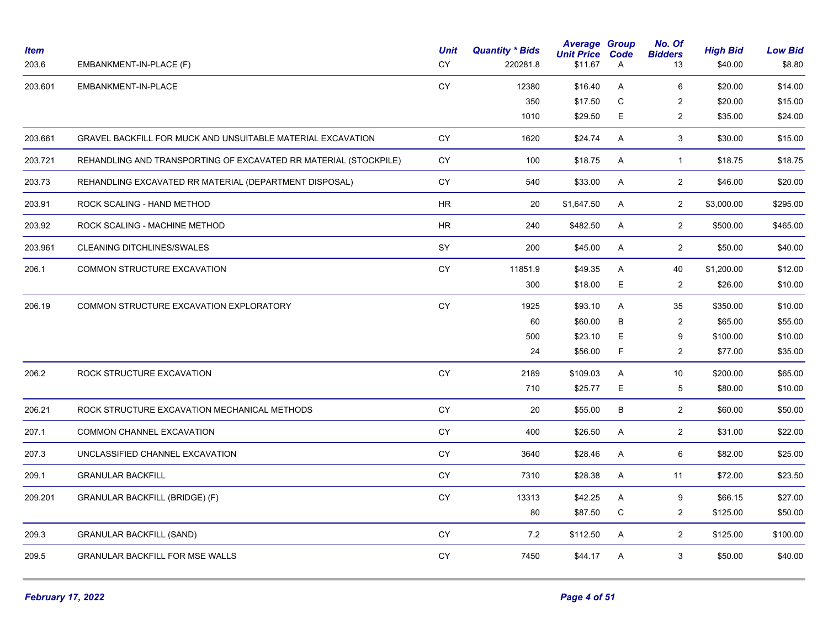| <b>Item</b><br>203.6 | EMBANKMENT-IN-PLACE (F)                                          | <b>Unit</b><br>CY | <b>Quantity * Bids</b><br>220281.8 | <b>Average Group</b><br><b>Unit Price</b><br>\$11.67 | Code<br>A   | No. Of<br><b>Bidders</b><br>13 | <b>High Bid</b><br>\$40.00 | <b>Low Bid</b><br>\$8.80 |
|----------------------|------------------------------------------------------------------|-------------------|------------------------------------|------------------------------------------------------|-------------|--------------------------------|----------------------------|--------------------------|
| 203.601              | EMBANKMENT-IN-PLACE                                              | CY                | 12380                              | \$16.40                                              | A           | 6                              | \$20.00                    | \$14.00                  |
|                      |                                                                  |                   | 350                                | \$17.50                                              | $\mathbf C$ | $\overline{c}$                 | \$20.00                    | \$15.00                  |
|                      |                                                                  |                   | 1010                               | \$29.50                                              | E           | $\overline{c}$                 | \$35.00                    | \$24.00                  |
| 203.661              | GRAVEL BACKFILL FOR MUCK AND UNSUITABLE MATERIAL EXCAVATION      | CY                | 1620                               | \$24.74                                              | A           | 3                              | \$30.00                    | \$15.00                  |
| 203.721              | REHANDLING AND TRANSPORTING OF EXCAVATED RR MATERIAL (STOCKPILE) | CY                | 100                                | \$18.75                                              | A           | $\mathbf{1}$                   | \$18.75                    | \$18.75                  |
| 203.73               | REHANDLING EXCAVATED RR MATERIAL (DEPARTMENT DISPOSAL)           | <b>CY</b>         | 540                                | \$33.00                                              | A           | $\overline{2}$                 | \$46.00                    | \$20.00                  |
| 203.91               | ROCK SCALING - HAND METHOD                                       | <b>HR</b>         | 20                                 | \$1,647.50                                           | A           | $\overline{2}$                 | \$3,000.00                 | \$295.00                 |
| 203.92               | ROCK SCALING - MACHINE METHOD                                    | ${\sf HR}$        | 240                                | \$482.50                                             | A           | $\overline{2}$                 | \$500.00                   | \$465.00                 |
| 203.961              | <b>CLEANING DITCHLINES/SWALES</b>                                | SY                | 200                                | \$45.00                                              | A           | $\overline{2}$                 | \$50.00                    | \$40.00                  |
| 206.1                | COMMON STRUCTURE EXCAVATION                                      | CY                | 11851.9                            | \$49.35                                              | A           | 40                             | \$1,200.00                 | \$12.00                  |
|                      |                                                                  |                   | 300                                | \$18.00                                              | E           | $\overline{2}$                 | \$26.00                    | \$10.00                  |
| 206.19               | COMMON STRUCTURE EXCAVATION EXPLORATORY                          | CY                | 1925                               | \$93.10                                              | A           | 35                             | \$350.00                   | \$10.00                  |
|                      |                                                                  |                   | 60                                 | \$60.00                                              | B           | $\overline{2}$                 | \$65.00                    | \$55.00                  |
|                      |                                                                  |                   | 500                                | \$23.10                                              | E.          | 9                              | \$100.00                   | \$10.00                  |
|                      |                                                                  |                   | 24                                 | \$56.00                                              | F           | $\overline{c}$                 | \$77.00                    | \$35.00                  |
| 206.2                | ROCK STRUCTURE EXCAVATION                                        | <b>CY</b>         | 2189                               | \$109.03                                             | A           | 10                             | \$200.00                   | \$65.00                  |
|                      |                                                                  |                   | 710                                | \$25.77                                              | E.          | 5                              | \$80.00                    | \$10.00                  |
| 206.21               | ROCK STRUCTURE EXCAVATION MECHANICAL METHODS                     | CY                | 20                                 | \$55.00                                              | B           | $\overline{2}$                 | \$60.00                    | \$50.00                  |
| 207.1                | COMMON CHANNEL EXCAVATION                                        | CY                | 400                                | \$26.50                                              | A           | $\overline{2}$                 | \$31.00                    | \$22.00                  |
| 207.3                | UNCLASSIFIED CHANNEL EXCAVATION                                  | CY                | 3640                               | \$28.46                                              | Α           | 6                              | \$82.00                    | \$25.00                  |
| 209.1                | <b>GRANULAR BACKFILL</b>                                         | CY                | 7310                               | \$28.38                                              | A           | 11                             | \$72.00                    | \$23.50                  |
| 209.201              | GRANULAR BACKFILL (BRIDGE) (F)                                   | CY                | 13313                              | \$42.25                                              | Α           | 9                              | \$66.15                    | \$27.00                  |
|                      |                                                                  |                   | 80                                 | \$87.50                                              | C           | $\overline{2}$                 | \$125.00                   | \$50.00                  |
| 209.3                | <b>GRANULAR BACKFILL (SAND)</b>                                  | <b>CY</b>         | 7.2                                | \$112.50                                             | A           | $\overline{2}$                 | \$125.00                   | \$100.00                 |
| 209.5                | <b>GRANULAR BACKFILL FOR MSE WALLS</b>                           | CY                | 7450                               | \$44.17                                              | A           | 3                              | \$50.00                    | \$40.00                  |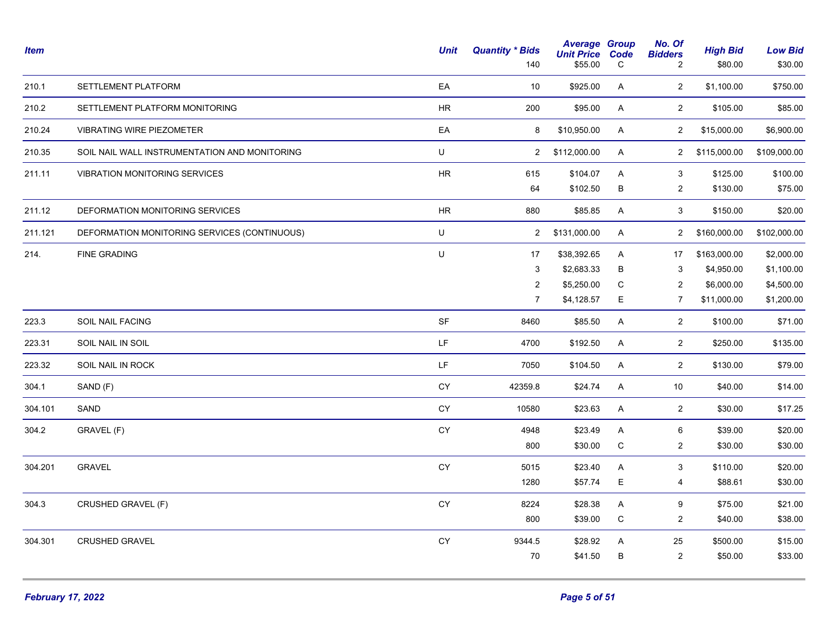| Item    |                                               | <b>Unit</b> | <b>Quantity * Bids</b><br>140 | <b>Average Group</b><br><b>Unit Price</b><br>\$55.00 | Code<br>C | No. Of<br><b>Bidders</b><br>2 | <b>High Bid</b><br>\$80.00 | <b>Low Bid</b><br>\$30.00 |
|---------|-----------------------------------------------|-------------|-------------------------------|------------------------------------------------------|-----------|-------------------------------|----------------------------|---------------------------|
| 210.1   | SETTLEMENT PLATFORM                           | EA          | 10                            | \$925.00                                             | A         | $\overline{2}$                | \$1,100.00                 | \$750.00                  |
| 210.2   | SETTLEMENT PLATFORM MONITORING                | ${\sf HR}$  | 200                           | \$95.00                                              | Α         | $\overline{2}$                | \$105.00                   | \$85.00                   |
| 210.24  | <b>VIBRATING WIRE PIEZOMETER</b>              | EA          | 8                             | \$10,950.00                                          | A         | $\overline{2}$                | \$15,000.00                | \$6,900.00                |
| 210.35  | SOIL NAIL WALL INSTRUMENTATION AND MONITORING | $\sf U$     | $\overline{2}$                | \$112,000.00                                         | A         | $\mathbf{2}$                  | \$115,000.00               | \$109,000.00              |
| 211.11  | VIBRATION MONITORING SERVICES                 | ${\sf HR}$  | 615                           | \$104.07                                             | A         | $\sqrt{3}$                    | \$125.00                   | \$100.00                  |
|         |                                               |             | 64                            | \$102.50                                             | $\sf B$   | $\overline{c}$                | \$130.00                   | \$75.00                   |
| 211.12  | DEFORMATION MONITORING SERVICES               | <b>HR</b>   | 880                           | \$85.85                                              | Α         | 3                             | \$150.00                   | \$20.00                   |
| 211.121 | DEFORMATION MONITORING SERVICES (CONTINUOUS)  | $\sf U$     | $\overline{2}$                | \$131,000.00                                         | A         | $\mathbf{2}$                  | \$160,000.00               | \$102,000.00              |
| 214.    | <b>FINE GRADING</b>                           | U           | 17                            | \$38,392.65                                          | A         | 17                            | \$163,000.00               | \$2,000.00                |
|         |                                               |             | 3                             | \$2,683.33                                           | в         | 3                             | \$4,950.00                 | \$1,100.00                |
|         |                                               |             | $\overline{2}$                | \$5,250.00                                           | C         | 2                             | \$6,000.00                 | \$4,500.00                |
|         |                                               |             | $\overline{7}$                | \$4,128.57                                           | E         | 7                             | \$11,000.00                | \$1,200.00                |
| 223.3   | <b>SOIL NAIL FACING</b>                       | <b>SF</b>   | 8460                          | \$85.50                                              | A         | $\overline{2}$                | \$100.00                   | \$71.00                   |
| 223.31  | SOIL NAIL IN SOIL                             | LF.         | 4700                          | \$192.50                                             | A         | $\overline{2}$                | \$250.00                   | \$135.00                  |
| 223.32  | SOIL NAIL IN ROCK                             | LF          | 7050                          | \$104.50                                             | A         | $\overline{2}$                | \$130.00                   | \$79.00                   |
| 304.1   | SAND (F)                                      | CY          | 42359.8                       | \$24.74                                              | Α         | 10                            | \$40.00                    | \$14.00                   |
| 304.101 | SAND                                          | CY          | 10580                         | \$23.63                                              | A         | $\overline{2}$                | \$30.00                    | \$17.25                   |
| 304.2   | GRAVEL (F)                                    | CY          | 4948                          | \$23.49                                              | A         | 6                             | \$39.00                    | \$20.00                   |
|         |                                               |             | 800                           | \$30.00                                              | C         | $\overline{2}$                | \$30.00                    | \$30.00                   |
| 304.201 | <b>GRAVEL</b>                                 | CY          | 5015                          | \$23.40                                              | A         | 3                             | \$110.00                   | \$20.00                   |
|         |                                               |             | 1280                          | \$57.74                                              | E         | 4                             | \$88.61                    | \$30.00                   |
| 304.3   | CRUSHED GRAVEL (F)                            | CY          | 8224                          | \$28.38                                              | A         | 9                             | \$75.00                    | \$21.00                   |
|         |                                               |             | 800                           | \$39.00                                              | ${\bf C}$ | $\overline{c}$                | \$40.00                    | \$38.00                   |
| 304.301 | <b>CRUSHED GRAVEL</b>                         | CY          | 9344.5                        | \$28.92                                              | Α         | 25                            | \$500.00                   | \$15.00                   |
|         |                                               |             | 70                            | \$41.50                                              | В         | $\overline{c}$                | \$50.00                    | \$33.00                   |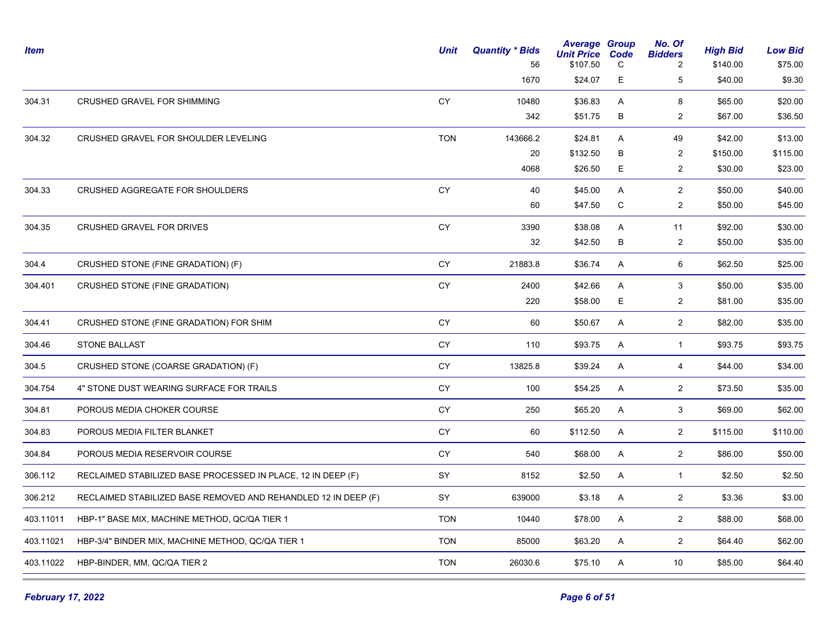| <b>Item</b> |                                                                | Unit       | <b>Quantity * Bids</b><br>56 | <b>Average Group</b><br><b>Unit Price</b><br>\$107.50 | Code<br>C | No. Of<br><b>Bidders</b><br>2 | <b>High Bid</b><br>\$140.00 | <b>Low Bid</b><br>\$75.00 |
|-------------|----------------------------------------------------------------|------------|------------------------------|-------------------------------------------------------|-----------|-------------------------------|-----------------------------|---------------------------|
|             |                                                                |            | 1670                         | \$24.07                                               | Е         | 5                             | \$40.00                     | \$9.30                    |
| 304.31      | CRUSHED GRAVEL FOR SHIMMING                                    | CY         | 10480                        | \$36.83                                               | A         | 8                             | \$65.00                     | \$20.00                   |
|             |                                                                |            | 342                          | \$51.75                                               | B         | $\overline{\mathbf{c}}$       | \$67.00                     | \$36.50                   |
| 304.32      | CRUSHED GRAVEL FOR SHOULDER LEVELING                           | <b>TON</b> | 143666.2                     | \$24.81                                               | A         | 49                            | \$42.00                     | \$13.00                   |
|             |                                                                |            | 20                           | \$132.50                                              | B         | 2                             | \$150.00                    | \$115.00                  |
|             |                                                                |            | 4068                         | \$26.50                                               | E         | $\overline{2}$                | \$30.00                     | \$23.00                   |
| 304.33      | CRUSHED AGGREGATE FOR SHOULDERS                                | CY         | 40                           | \$45.00                                               | A         | $\overline{2}$                | \$50.00                     | \$40.00                   |
|             |                                                                |            | 60                           | \$47.50                                               | C         | 2                             | \$50.00                     | \$45.00                   |
| 304.35      | CRUSHED GRAVEL FOR DRIVES                                      | CY         | 3390                         | \$38.08                                               | A         | 11                            | \$92.00                     | \$30.00                   |
|             |                                                                |            | 32                           | \$42.50                                               | B         | $\overline{2}$                | \$50.00                     | \$35.00                   |
| 304.4       | CRUSHED STONE (FINE GRADATION) (F)                             | CY         | 21883.8                      | \$36.74                                               | A         | 6                             | \$62.50                     | \$25.00                   |
| 304.401     | CRUSHED STONE (FINE GRADATION)                                 | CY         | 2400                         | \$42.66                                               | A         | 3                             | \$50.00                     | \$35.00                   |
|             |                                                                |            | 220                          | \$58.00                                               | Е         | $\overline{2}$                | \$81.00                     | \$35.00                   |
| 304.41      | CRUSHED STONE (FINE GRADATION) FOR SHIM                        | CY         | 60                           | \$50.67                                               | A         | $\overline{2}$                | \$82.00                     | \$35.00                   |
| 304.46      | <b>STONE BALLAST</b>                                           | CY         | 110                          | \$93.75                                               | A         | $\mathbf{1}$                  | \$93.75                     | \$93.75                   |
| 304.5       | CRUSHED STONE (COARSE GRADATION) (F)                           | CY         | 13825.8                      | \$39.24                                               | A         | 4                             | \$44.00                     | \$34.00                   |
| 304.754     | 4" STONE DUST WEARING SURFACE FOR TRAILS                       | CY         | 100                          | \$54.25                                               | A         | $\overline{2}$                | \$73.50                     | \$35.00                   |
| 304.81      | POROUS MEDIA CHOKER COURSE                                     | CY         | 250                          | \$65.20                                               | A         | 3                             | \$69.00                     | \$62.00                   |
| 304.83      | POROUS MEDIA FILTER BLANKET                                    | CY         | 60                           | \$112.50                                              | A         | $\overline{2}$                | \$115.00                    | \$110.00                  |
| 304.84      | POROUS MEDIA RESERVOIR COURSE                                  | CY         | 540                          | \$68.00                                               | A         | $\overline{2}$                | \$86.00                     | \$50.00                   |
| 306.112     | RECLAIMED STABILIZED BASE PROCESSED IN PLACE, 12 IN DEEP (F)   | SY         | 8152                         | \$2.50                                                | A         | $\mathbf{1}$                  | \$2.50                      | \$2.50                    |
| 306.212     | RECLAIMED STABILIZED BASE REMOVED AND REHANDLED 12 IN DEEP (F) | <b>SY</b>  | 639000                       | \$3.18                                                | A         | $\overline{2}$                | \$3.36                      | \$3.00                    |
| 403.11011   | HBP-1" BASE MIX, MACHINE METHOD, QC/QA TIER 1                  | <b>TON</b> | 10440                        | \$78.00                                               | A         | $\overline{2}$                | \$88.00                     | \$68.00                   |
| 403.11021   | HBP-3/4" BINDER MIX, MACHINE METHOD, QC/QA TIER 1              | <b>TON</b> | 85000                        | \$63.20                                               | A         | $\overline{2}$                | \$64.40                     | \$62.00                   |
| 403.11022   | HBP-BINDER, MM, QC/QA TIER 2                                   | <b>TON</b> | 26030.6                      | \$75.10                                               | A         | $10$                          | \$85.00                     | \$64.40                   |
|             |                                                                |            |                              |                                                       |           |                               |                             |                           |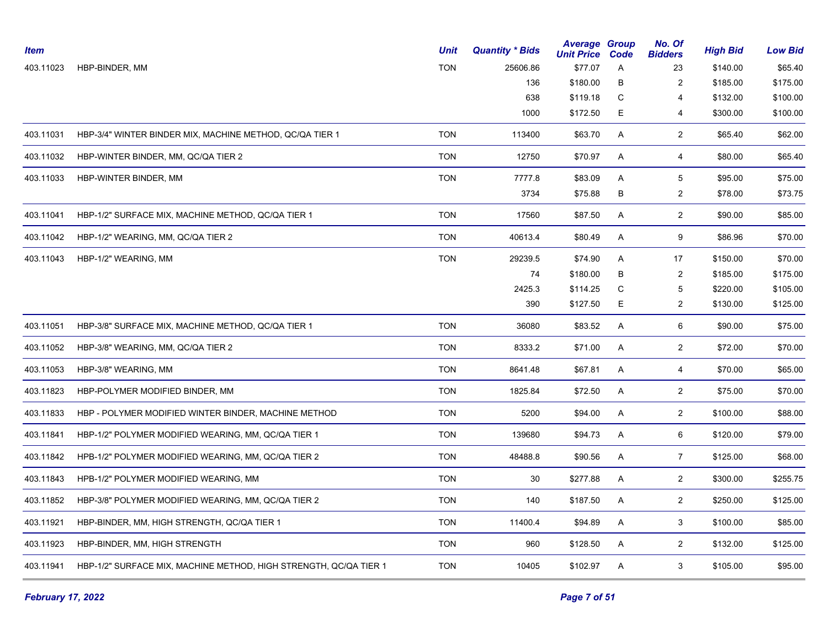| <b>Item</b> |                                                                   | <b>Unit</b> | <b>Quantity * Bids</b> | <b>Average Group</b><br><b>Unit Price</b> | Code | No. Of<br><b>Bidders</b> | <b>High Bid</b> | <b>Low Bid</b> |
|-------------|-------------------------------------------------------------------|-------------|------------------------|-------------------------------------------|------|--------------------------|-----------------|----------------|
| 403.11023   | HBP-BINDER, MM                                                    | <b>TON</b>  | 25606.86               | \$77.07                                   | A    | 23                       | \$140.00        | \$65.40        |
|             |                                                                   |             | 136                    | \$180.00                                  | в    | $\overline{2}$           | \$185.00        | \$175.00       |
|             |                                                                   |             | 638                    | \$119.18                                  | C    | 4                        | \$132.00        | \$100.00       |
|             |                                                                   |             | 1000                   | \$172.50                                  | E.   | 4                        | \$300.00        | \$100.00       |
| 403.11031   | HBP-3/4" WINTER BINDER MIX, MACHINE METHOD, QC/QA TIER 1          | <b>TON</b>  | 113400                 | \$63.70                                   | A    | $\overline{2}$           | \$65.40         | \$62.00        |
| 403.11032   | HBP-WINTER BINDER, MM, QC/QA TIER 2                               | <b>TON</b>  | 12750                  | \$70.97                                   | Α    | 4                        | \$80.00         | \$65.40        |
| 403.11033   | HBP-WINTER BINDER, MM                                             | <b>TON</b>  | 7777.8                 | \$83.09                                   | A    | 5                        | \$95.00         | \$75.00        |
|             |                                                                   |             | 3734                   | \$75.88                                   | В    | $\overline{2}$           | \$78.00         | \$73.75        |
| 403.11041   | HBP-1/2" SURFACE MIX, MACHINE METHOD, QC/QA TIER 1                | <b>TON</b>  | 17560                  | \$87.50                                   | A    | $\overline{2}$           | \$90.00         | \$85.00        |
| 403.11042   | HBP-1/2" WEARING, MM, QC/QA TIER 2                                | <b>TON</b>  | 40613.4                | \$80.49                                   | A    | 9                        | \$86.96         | \$70.00        |
| 403.11043   | HBP-1/2" WEARING, MM                                              | <b>TON</b>  | 29239.5                | \$74.90                                   | A    | 17                       | \$150.00        | \$70.00        |
|             |                                                                   |             | 74                     | \$180.00                                  | B    | $\overline{c}$           | \$185.00        | \$175.00       |
|             |                                                                   |             | 2425.3                 | \$114.25                                  | C    | 5                        | \$220.00        | \$105.00       |
|             |                                                                   |             | 390                    | \$127.50                                  | E    | $\overline{c}$           | \$130.00        | \$125.00       |
| 403.11051   | HBP-3/8" SURFACE MIX, MACHINE METHOD, QC/QA TIER 1                | <b>TON</b>  | 36080                  | \$83.52                                   | Α    | 6                        | \$90.00         | \$75.00        |
| 403.11052   | HBP-3/8" WEARING, MM, QC/QA TIER 2                                | <b>TON</b>  | 8333.2                 | \$71.00                                   | A    | $\overline{2}$           | \$72.00         | \$70.00        |
| 403.11053   | HBP-3/8" WEARING, MM                                              | <b>TON</b>  | 8641.48                | \$67.81                                   | A    | $\overline{4}$           | \$70.00         | \$65.00        |
| 403.11823   | HBP-POLYMER MODIFIED BINDER, MM                                   | <b>TON</b>  | 1825.84                | \$72.50                                   | A    | $\overline{2}$           | \$75.00         | \$70.00        |
| 403.11833   | HBP - POLYMER MODIFIED WINTER BINDER, MACHINE METHOD              | <b>TON</b>  | 5200                   | \$94.00                                   | A    | $\overline{2}$           | \$100.00        | \$88.00        |
| 403.11841   | HBP-1/2" POLYMER MODIFIED WEARING, MM, QC/QA TIER 1               | <b>TON</b>  | 139680                 | \$94.73                                   | A    | 6                        | \$120.00        | \$79.00        |
| 403.11842   | HPB-1/2" POLYMER MODIFIED WEARING, MM, QC/QA TIER 2               | <b>TON</b>  | 48488.8                | \$90.56                                   | Α    | $\overline{7}$           | \$125.00        | \$68.00        |
| 403.11843   | HPB-1/2" POLYMER MODIFIED WEARING, MM                             | <b>TON</b>  | 30                     | \$277.88                                  | A    | $\overline{2}$           | \$300.00        | \$255.75       |
| 403.11852   | HBP-3/8" POLYMER MODIFIED WEARING, MM, QC/QA TIER 2               | <b>TON</b>  | 140                    | \$187.50                                  | Α    | $\overline{2}$           | \$250.00        | \$125.00       |
| 403.11921   | HBP-BINDER, MM, HIGH STRENGTH, QC/QA TIER 1                       | <b>TON</b>  | 11400.4                | \$94.89                                   | Α    | 3                        | \$100.00        | \$85.00        |
| 403.11923   | HBP-BINDER, MM, HIGH STRENGTH                                     | <b>TON</b>  | 960                    | \$128.50                                  | A    | $\overline{2}$           | \$132.00        | \$125.00       |
| 403.11941   | HBP-1/2" SURFACE MIX, MACHINE METHOD, HIGH STRENGTH, QC/QA TIER 1 | <b>TON</b>  | 10405                  | \$102.97                                  | A    | 3                        | \$105.00        | \$95.00        |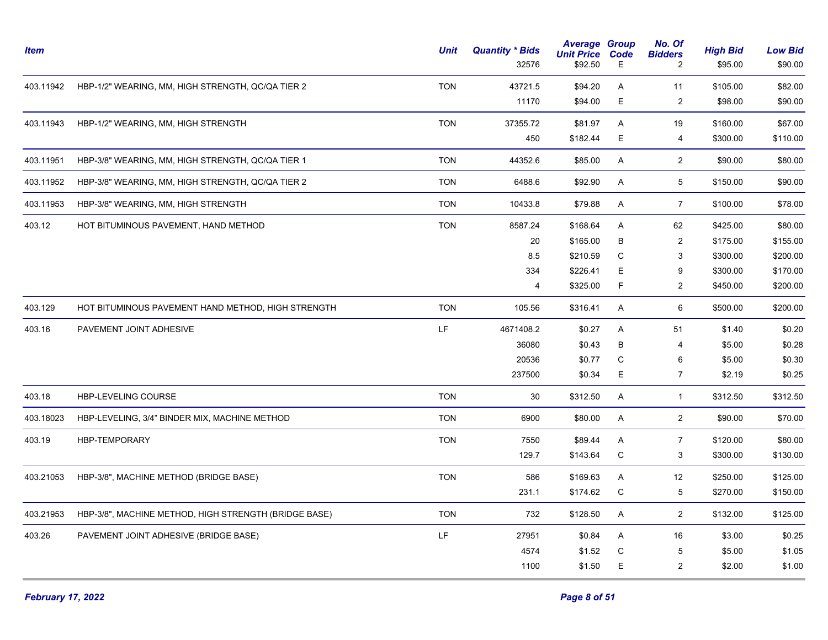| <b>Item</b> |                                                       | <b>Unit</b> | <b>Quantity * Bids</b><br>32576 | <b>Average Group</b><br><b>Unit Price</b><br>\$92.50 | Code<br>Е   | No. Of<br><b>Bidders</b><br>2 | <b>High Bid</b><br>\$95.00 | <b>Low Bid</b><br>\$90.00 |
|-------------|-------------------------------------------------------|-------------|---------------------------------|------------------------------------------------------|-------------|-------------------------------|----------------------------|---------------------------|
| 403.11942   | HBP-1/2" WEARING, MM, HIGH STRENGTH, QC/QA TIER 2     | <b>TON</b>  | 43721.5                         | \$94.20                                              | A           | 11                            | \$105.00                   | \$82.00                   |
|             |                                                       |             | 11170                           | \$94.00                                              | E           | $\overline{c}$                | \$98.00                    | \$90.00                   |
| 403.11943   | HBP-1/2" WEARING, MM, HIGH STRENGTH                   | <b>TON</b>  | 37355.72                        | \$81.97                                              | Α           | 19                            | \$160.00                   | \$67.00                   |
|             |                                                       |             | 450                             | \$182.44                                             | E           | 4                             | \$300.00                   | \$110.00                  |
| 403.11951   | HBP-3/8" WEARING, MM, HIGH STRENGTH, QC/QA TIER 1     | <b>TON</b>  | 44352.6                         | \$85.00                                              | A           | $\overline{2}$                | \$90.00                    | \$80.00                   |
| 403.11952   | HBP-3/8" WEARING, MM, HIGH STRENGTH, QC/QA TIER 2     | <b>TON</b>  | 6488.6                          | \$92.90                                              | A           | $\sqrt{5}$                    | \$150.00                   | \$90.00                   |
| 403.11953   | HBP-3/8" WEARING, MM, HIGH STRENGTH                   | <b>TON</b>  | 10433.8                         | \$79.88                                              | A           | $\overline{7}$                | \$100.00                   | \$78.00                   |
| 403.12      | HOT BITUMINOUS PAVEMENT, HAND METHOD                  | <b>TON</b>  | 8587.24                         | \$168.64                                             | A           | 62                            | \$425.00                   | \$80.00                   |
|             |                                                       |             | 20                              | \$165.00                                             | В           | $\sqrt{2}$                    | \$175.00                   | \$155.00                  |
|             |                                                       |             | 8.5                             | \$210.59                                             | C           | 3                             | \$300.00                   | \$200.00                  |
|             |                                                       |             | 334                             | \$226.41                                             | E           | 9                             | \$300.00                   | \$170.00                  |
|             |                                                       |             | $\overline{4}$                  | \$325.00                                             | F.          | $\overline{\mathbf{c}}$       | \$450.00                   | \$200.00                  |
| 403.129     | HOT BITUMINOUS PAVEMENT HAND METHOD, HIGH STRENGTH    | <b>TON</b>  | 105.56                          | \$316.41                                             | A           | 6                             | \$500.00                   | \$200.00                  |
| 403.16      | PAVEMENT JOINT ADHESIVE                               | LF.         | 4671408.2                       | \$0.27                                               | A           | 51                            | \$1.40                     | \$0.20                    |
|             |                                                       |             | 36080                           | \$0.43                                               | В           | 4                             | \$5.00                     | \$0.28                    |
|             |                                                       |             | 20536                           | \$0.77                                               | $\mathbf C$ | 6                             | \$5.00                     | \$0.30                    |
|             |                                                       |             | 237500                          | \$0.34                                               | E.          | $\overline{7}$                | \$2.19                     | \$0.25                    |
| 403.18      | HBP-LEVELING COURSE                                   | <b>TON</b>  | 30                              | \$312.50                                             | A           | $\mathbf{1}$                  | \$312.50                   | \$312.50                  |
| 403.18023   | HBP-LEVELING, 3/4" BINDER MIX, MACHINE METHOD         | <b>TON</b>  | 6900                            | \$80.00                                              | A           | $\overline{2}$                | \$90.00                    | \$70.00                   |
| 403.19      | <b>HBP-TEMPORARY</b>                                  | <b>TON</b>  | 7550                            | \$89.44                                              | A           | $\overline{7}$                | \$120.00                   | \$80.00                   |
|             |                                                       |             | 129.7                           | \$143.64                                             | $\mathbf C$ | 3                             | \$300.00                   | \$130.00                  |
| 403.21053   | HBP-3/8", MACHINE METHOD (BRIDGE BASE)                | <b>TON</b>  | 586                             | \$169.63                                             | A           | 12                            | \$250.00                   | \$125.00                  |
|             |                                                       |             | 231.1                           | \$174.62                                             | С           | 5                             | \$270.00                   | \$150.00                  |
| 403.21953   | HBP-3/8", MACHINE METHOD, HIGH STRENGTH (BRIDGE BASE) | <b>TON</b>  | 732                             | \$128.50                                             | Α           | $\overline{2}$                | \$132.00                   | \$125.00                  |
| 403.26      | PAVEMENT JOINT ADHESIVE (BRIDGE BASE)                 | LF.         | 27951                           | \$0.84                                               | A           | 16                            | \$3.00                     | \$0.25                    |
|             |                                                       |             | 4574                            | \$1.52                                               | $\mathsf C$ | $\,$ 5 $\,$                   | \$5.00                     | \$1.05                    |
|             |                                                       |             | 1100                            | \$1.50                                               | E           | $\overline{c}$                | \$2.00                     | \$1.00                    |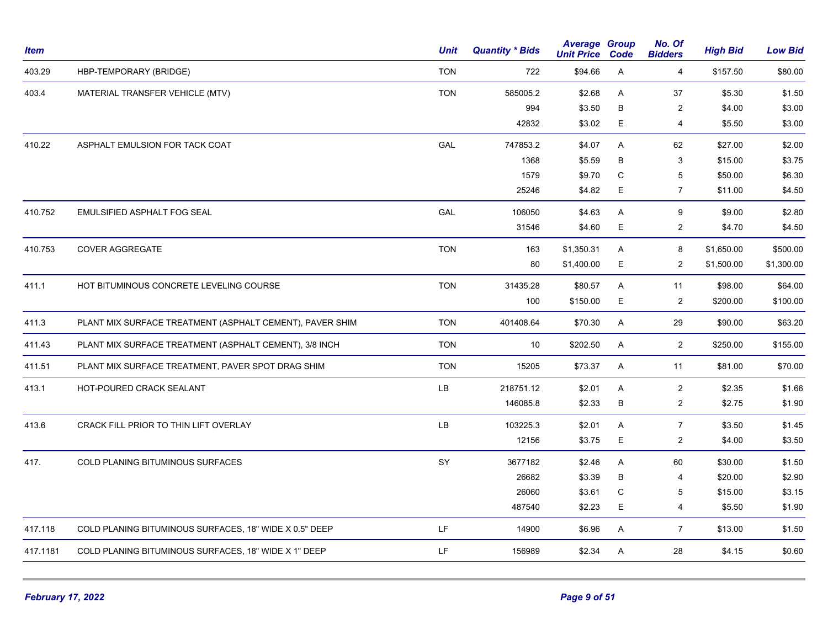| <b>Item</b> |                                                          | <b>Unit</b> | <b>Quantity * Bids</b> | <b>Average Group</b><br><b>Unit Price</b> | Code    | No. Of<br><b>Bidders</b> | <b>High Bid</b> | <b>Low Bid</b> |
|-------------|----------------------------------------------------------|-------------|------------------------|-------------------------------------------|---------|--------------------------|-----------------|----------------|
| 403.29      | HBP-TEMPORARY (BRIDGE)                                   | <b>TON</b>  | 722                    | \$94.66                                   | Α       | $\overline{4}$           | \$157.50        | \$80.00        |
| 403.4       | MATERIAL TRANSFER VEHICLE (MTV)                          | <b>TON</b>  | 585005.2               | \$2.68                                    | A       | 37                       | \$5.30          | \$1.50         |
|             |                                                          |             | 994                    | \$3.50                                    | B       | 2                        | \$4.00          | \$3.00         |
|             |                                                          |             | 42832                  | \$3.02                                    | E       | 4                        | \$5.50          | \$3.00         |
| 410.22      | ASPHALT EMULSION FOR TACK COAT                           | GAL         | 747853.2               | \$4.07                                    | A       | 62                       | \$27.00         | \$2.00         |
|             |                                                          |             | 1368                   | \$5.59                                    | B       | 3                        | \$15.00         | \$3.75         |
|             |                                                          |             | 1579                   | \$9.70                                    | C       | 5                        | \$50.00         | \$6.30         |
|             |                                                          |             | 25246                  | \$4.82                                    | Е       | $\overline{7}$           | \$11.00         | \$4.50         |
| 410.752     | EMULSIFIED ASPHALT FOG SEAL                              | GAL         | 106050                 | \$4.63                                    | A       | 9                        | \$9.00          | \$2.80         |
|             |                                                          |             | 31546                  | \$4.60                                    | Е       | $\overline{c}$           | \$4.70          | \$4.50         |
| 410.753     | <b>COVER AGGREGATE</b>                                   | <b>TON</b>  | 163                    | \$1,350.31                                | A       | 8                        | \$1,650.00      | \$500.00       |
|             |                                                          |             | 80                     | \$1,400.00                                | Е       | $\overline{2}$           | \$1,500.00      | \$1,300.00     |
| 411.1       | HOT BITUMINOUS CONCRETE LEVELING COURSE                  | <b>TON</b>  | 31435.28               | \$80.57                                   | A       | 11                       | \$98.00         | \$64.00        |
|             |                                                          |             | 100                    | \$150.00                                  | Е       | $\overline{c}$           | \$200.00        | \$100.00       |
| 411.3       | PLANT MIX SURFACE TREATMENT (ASPHALT CEMENT), PAVER SHIM | <b>TON</b>  | 401408.64              | \$70.30                                   | A       | 29                       | \$90.00         | \$63.20        |
| 411.43      | PLANT MIX SURFACE TREATMENT (ASPHALT CEMENT), 3/8 INCH   | <b>TON</b>  | 10                     | \$202.50                                  | A       | $\overline{2}$           | \$250.00        | \$155.00       |
| 411.51      | PLANT MIX SURFACE TREATMENT, PAVER SPOT DRAG SHIM        | <b>TON</b>  | 15205                  | \$73.37                                   | A       | 11                       | \$81.00         | \$70.00        |
| 413.1       | HOT-POURED CRACK SEALANT                                 | LB          | 218751.12              | \$2.01                                    | Α       | 2                        | \$2.35          | \$1.66         |
|             |                                                          |             | 146085.8               | \$2.33                                    | $\sf B$ | $\overline{c}$           | \$2.75          | \$1.90         |
| 413.6       | CRACK FILL PRIOR TO THIN LIFT OVERLAY                    | LB          | 103225.3               | \$2.01                                    | A       | $\overline{7}$           | \$3.50          | \$1.45         |
|             |                                                          |             | 12156                  | \$3.75                                    | Е       | $\overline{2}$           | \$4.00          | \$3.50         |
| 417.        | COLD PLANING BITUMINOUS SURFACES                         | SY          | 3677182                | \$2.46                                    | Α       | 60                       | \$30.00         | \$1.50         |
|             |                                                          |             | 26682                  | \$3.39                                    | В       | 4                        | \$20.00         | \$2.90         |
|             |                                                          |             | 26060                  | \$3.61                                    | C       | 5                        | \$15.00         | \$3.15         |
|             |                                                          |             | 487540                 | \$2.23                                    | E       | 4                        | \$5.50          | \$1.90         |
| 417.118     | COLD PLANING BITUMINOUS SURFACES, 18" WIDE X 0.5" DEEP   | LF          | 14900                  | \$6.96                                    | A       | $\overline{7}$           | \$13.00         | \$1.50         |
| 417.1181    | COLD PLANING BITUMINOUS SURFACES, 18" WIDE X 1" DEEP     | LF          | 156989                 | \$2.34                                    | A       | 28                       | \$4.15          | \$0.60         |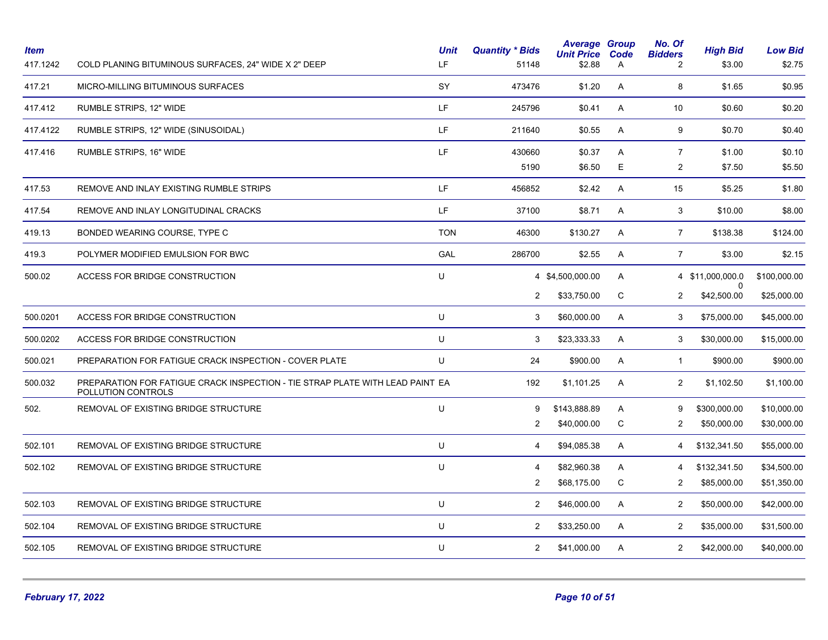| <b>Item</b><br>417.1242 | COLD PLANING BITUMINOUS SURFACES, 24" WIDE X 2" DEEP                                                | <b>Unit</b><br>LF. | <b>Quantity * Bids</b><br>51148 | <b>Average Group</b><br><b>Unit Price</b><br>\$2.88 | Code<br>A | No. Of<br><b>Bidders</b><br>$\overline{2}$ | <b>High Bid</b><br>\$3.00 | <b>Low Bid</b><br>\$2.75 |
|-------------------------|-----------------------------------------------------------------------------------------------------|--------------------|---------------------------------|-----------------------------------------------------|-----------|--------------------------------------------|---------------------------|--------------------------|
| 417.21                  | MICRO-MILLING BITUMINOUS SURFACES                                                                   | SY                 | 473476                          | \$1.20                                              | A         | 8                                          | \$1.65                    | \$0.95                   |
| 417.412                 | RUMBLE STRIPS, 12" WIDE                                                                             | LF                 | 245796                          | \$0.41                                              | A         | 10                                         | \$0.60                    | \$0.20                   |
| 417.4122                | RUMBLE STRIPS, 12" WIDE (SINUSOIDAL)                                                                | LF.                | 211640                          | \$0.55                                              | A         | 9                                          | \$0.70                    | \$0.40                   |
| 417.416                 | RUMBLE STRIPS, 16" WIDE                                                                             | LF                 | 430660                          | \$0.37                                              | Α         | $\overline{7}$                             | \$1.00                    | \$0.10                   |
|                         |                                                                                                     |                    | 5190                            | \$6.50                                              | Е         | $\overline{2}$                             | \$7.50                    | \$5.50                   |
| 417.53                  | REMOVE AND INLAY EXISTING RUMBLE STRIPS                                                             | LF.                | 456852                          | \$2.42                                              | A         | 15                                         | \$5.25                    | \$1.80                   |
| 417.54                  | REMOVE AND INLAY LONGITUDINAL CRACKS                                                                | LF                 | 37100                           | \$8.71                                              | Α         | 3                                          | \$10.00                   | \$8.00                   |
| 419.13                  | BONDED WEARING COURSE, TYPE C                                                                       | <b>TON</b>         | 46300                           | \$130.27                                            | A         | $\overline{7}$                             | \$138.38                  | \$124.00                 |
| 419.3                   | POLYMER MODIFIED EMULSION FOR BWC                                                                   | GAL                | 286700                          | \$2.55                                              | A         | $\overline{7}$                             | \$3.00                    | \$2.15                   |
| 500.02                  | ACCESS FOR BRIDGE CONSTRUCTION                                                                      | U                  |                                 | 4 \$4,500,000.00                                    | A         |                                            | 4 \$11,000,000.0          | \$100,000.00             |
|                         |                                                                                                     |                    | $\overline{2}$                  | \$33,750.00                                         | C         | 2                                          | \$42,500.00               | \$25,000.00              |
| 500.0201                | <b>ACCESS FOR BRIDGE CONSTRUCTION</b>                                                               | U                  | 3                               | \$60,000.00                                         | A         | 3                                          | \$75,000.00               | \$45,000.00              |
| 500.0202                | ACCESS FOR BRIDGE CONSTRUCTION                                                                      | U                  | 3                               | \$23,333.33                                         | A         | 3                                          | \$30,000.00               | \$15,000.00              |
| 500.021                 | PREPARATION FOR FATIGUE CRACK INSPECTION - COVER PLATE                                              | U                  | 24                              | \$900.00                                            | A         | $\overline{1}$                             | \$900.00                  | \$900.00                 |
| 500.032                 | PREPARATION FOR FATIGUE CRACK INSPECTION - TIE STRAP PLATE WITH LEAD PAINT EA<br>POLLUTION CONTROLS |                    | 192                             | \$1,101.25                                          | A         | 2                                          | \$1,102.50                | \$1,100.00               |
| 502.                    | REMOVAL OF EXISTING BRIDGE STRUCTURE                                                                | U                  | 9                               | \$143,888.89                                        | A         | 9                                          | \$300,000.00              | \$10,000.00              |
|                         |                                                                                                     |                    | 2                               | \$40,000.00                                         | С         | $\overline{c}$                             | \$50,000.00               | \$30,000.00              |
| 502.101                 | REMOVAL OF EXISTING BRIDGE STRUCTURE                                                                | U                  | 4                               | \$94,085.38                                         | A         | 4                                          | \$132,341.50              | \$55,000.00              |
| 502.102                 | REMOVAL OF EXISTING BRIDGE STRUCTURE                                                                | U                  | 4                               | \$82,960.38                                         | A         | 4                                          | \$132,341.50              | \$34,500.00              |
|                         |                                                                                                     |                    | $\overline{2}$                  | \$68,175.00                                         | C         | $\overline{2}$                             | \$85,000.00               | \$51,350.00              |
| 502.103                 | REMOVAL OF EXISTING BRIDGE STRUCTURE                                                                | U                  | $\overline{2}$                  | \$46,000.00                                         | Α         | $\overline{2}$                             | \$50,000.00               | \$42,000.00              |
| 502.104                 | REMOVAL OF EXISTING BRIDGE STRUCTURE                                                                | U                  | $\overline{2}$                  | \$33,250.00                                         | Α         | $\overline{2}$                             | \$35,000.00               | \$31,500.00              |
| 502.105                 | REMOVAL OF EXISTING BRIDGE STRUCTURE                                                                | U                  | $\overline{2}$                  | \$41,000.00                                         | A         | $\overline{2}$                             | \$42,000.00               | \$40,000.00              |
|                         |                                                                                                     |                    |                                 |                                                     |           |                                            |                           |                          |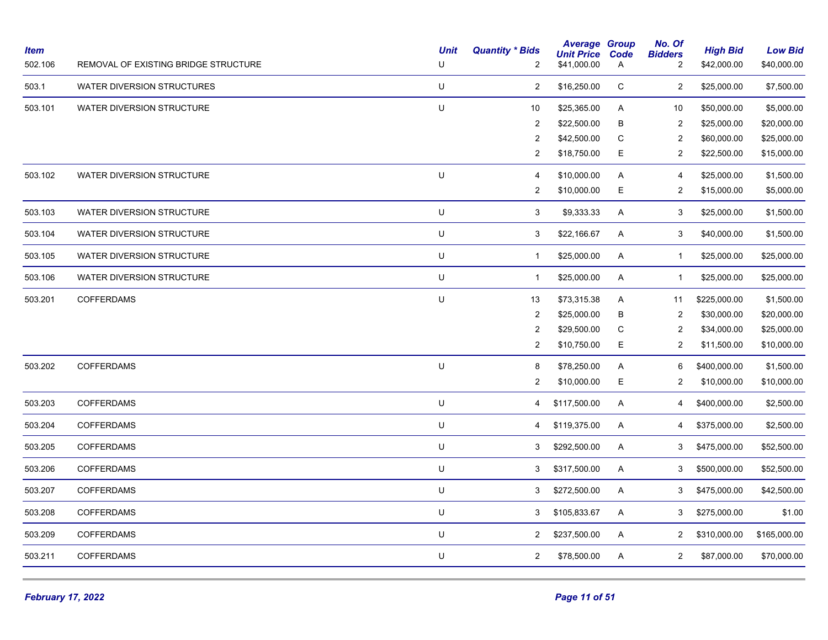| <b>Item</b><br>502.106 | REMOVAL OF EXISTING BRIDGE STRUCTURE | <b>Unit</b><br>U | <b>Quantity * Bids</b><br>2 | <b>Average Group</b><br><b>Unit Price</b><br>\$41,000.00 | Code<br>A    | No. Of<br><b>Bidders</b><br>$\overline{c}$ | <b>High Bid</b><br>\$42,000.00 | <b>Low Bid</b><br>\$40,000.00 |
|------------------------|--------------------------------------|------------------|-----------------------------|----------------------------------------------------------|--------------|--------------------------------------------|--------------------------------|-------------------------------|
| 503.1                  | WATER DIVERSION STRUCTURES           | U                | $\overline{c}$              | \$16,250.00                                              | C            | $\overline{2}$                             | \$25,000.00                    | \$7,500.00                    |
| 503.101                | <b>WATER DIVERSION STRUCTURE</b>     | U                | 10                          | \$25,365.00                                              | Α            | 10                                         | \$50,000.00                    | \$5,000.00                    |
|                        |                                      |                  | $\overline{2}$              | \$22,500.00                                              | в            | $\overline{2}$                             | \$25,000.00                    | \$20,000.00                   |
|                        |                                      |                  | 2                           | \$42,500.00                                              | C            | $\overline{2}$                             | \$60,000.00                    | \$25,000.00                   |
|                        |                                      |                  | 2                           | \$18,750.00                                              | Е            | 2                                          | \$22,500.00                    | \$15,000.00                   |
| 503.102                | <b>WATER DIVERSION STRUCTURE</b>     | U                | 4                           | \$10,000.00                                              | A            | $\overline{4}$                             | \$25,000.00                    | \$1,500.00                    |
|                        |                                      |                  | 2                           | \$10,000.00                                              | Ε            | $\overline{2}$                             | \$15,000.00                    | \$5,000.00                    |
| 503.103                | <b>WATER DIVERSION STRUCTURE</b>     | U                | 3                           | \$9,333.33                                               | A            | 3                                          | \$25,000.00                    | \$1,500.00                    |
| 503.104                | WATER DIVERSION STRUCTURE            | U                | 3                           | \$22,166.67                                              | A            | 3                                          | \$40,000.00                    | \$1,500.00                    |
| 503.105                | <b>WATER DIVERSION STRUCTURE</b>     | $\sf U$          | $\mathbf{1}$                | \$25,000.00                                              | A            | $\overline{1}$                             | \$25,000.00                    | \$25,000.00                   |
| 503.106                | WATER DIVERSION STRUCTURE            | U                | $\mathbf{1}$                | \$25,000.00                                              | $\mathsf{A}$ | $\overline{1}$                             | \$25,000.00                    | \$25,000.00                   |
| 503.201                | <b>COFFERDAMS</b>                    | U                | 13                          | \$73,315.38                                              | A            | 11                                         | \$225,000.00                   | \$1,500.00                    |
|                        |                                      |                  | $\overline{2}$              | \$25,000.00                                              | В            | $\overline{2}$                             | \$30,000.00                    | \$20,000.00                   |
|                        |                                      |                  | 2                           | \$29,500.00                                              | C            | 2                                          | \$34,000.00                    | \$25,000.00                   |
|                        |                                      |                  | 2                           | \$10,750.00                                              | Е            | $\overline{2}$                             | \$11,500.00                    | \$10,000.00                   |
| 503.202                | <b>COFFERDAMS</b>                    | U                | 8                           | \$78,250.00                                              | A            | 6                                          | \$400,000.00                   | \$1,500.00                    |
|                        |                                      |                  | 2                           | \$10,000.00                                              | Е            | 2                                          | \$10,000.00                    | \$10,000.00                   |
| 503.203                | <b>COFFERDAMS</b>                    | U                | 4                           | \$117,500.00                                             | A            | 4                                          | \$400,000.00                   | \$2,500.00                    |
| 503.204                | <b>COFFERDAMS</b>                    | U                | 4                           | \$119,375.00                                             | A            | 4                                          | \$375,000.00                   | \$2,500.00                    |
| 503.205                | <b>COFFERDAMS</b>                    | U                | 3                           | \$292,500.00                                             | A            | 3                                          | \$475,000.00                   | \$52,500.00                   |
| 503.206                | <b>COFFERDAMS</b>                    | $\sf U$          | 3                           | \$317,500.00                                             | A            | 3                                          | \$500,000.00                   | \$52,500.00                   |
| 503.207                | <b>COFFERDAMS</b>                    | U                | 3                           | \$272,500.00                                             | A            | 3                                          | \$475,000.00                   | \$42,500.00                   |
| 503.208                | <b>COFFERDAMS</b>                    | $\sf U$          | 3                           | \$105,833.67                                             | A            | 3                                          | \$275,000.00                   | \$1.00                        |
| 503.209                | <b>COFFERDAMS</b>                    | U                | $\overline{2}$              | \$237,500.00                                             | A            | $\overline{2}$                             | \$310,000.00                   | \$165,000.00                  |
| 503.211                | <b>COFFERDAMS</b>                    | U                | $\overline{2}$              | \$78,500.00                                              | A            | $\overline{2}$                             | \$87,000.00                    | \$70,000.00                   |
|                        |                                      |                  |                             |                                                          |              |                                            |                                |                               |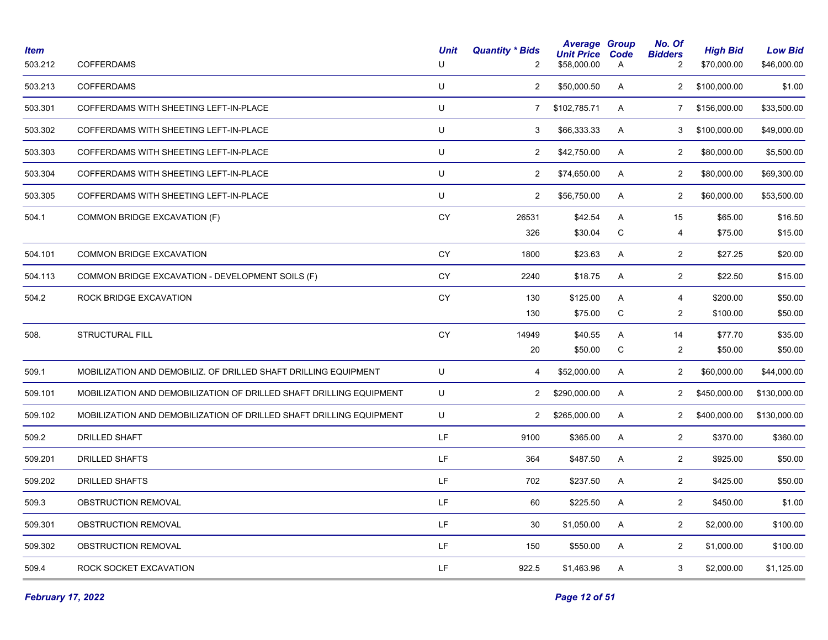| Item<br>503.212 | <b>COFFERDAMS</b>                                                   | <b>Unit</b><br>U | <b>Quantity * Bids</b><br>$\overline{2}$ | <b>Average Group</b><br><b>Unit Price</b><br>\$58,000.00 | Code<br>A    | No. Of<br><b>Bidders</b><br>2 | <b>High Bid</b><br>\$70,000.00 | <b>Low Bid</b><br>\$46,000.00 |
|-----------------|---------------------------------------------------------------------|------------------|------------------------------------------|----------------------------------------------------------|--------------|-------------------------------|--------------------------------|-------------------------------|
| 503.213         | <b>COFFERDAMS</b>                                                   | U                | $\overline{2}$                           | \$50,000.50                                              | A            | 2                             | \$100,000.00                   | \$1.00                        |
| 503.301         | COFFERDAMS WITH SHEETING LEFT-IN-PLACE                              | U                | $\overline{7}$                           | \$102,785.71                                             | A            | $\overline{7}$                | \$156,000.00                   | \$33,500.00                   |
| 503.302         | COFFERDAMS WITH SHEETING LEFT-IN-PLACE                              | U                | 3                                        | \$66,333.33                                              | A            | 3                             | \$100,000.00                   | \$49,000.00                   |
| 503.303         | COFFERDAMS WITH SHEETING LEFT-IN-PLACE                              | U                | $\overline{2}$                           | \$42,750.00                                              | A            | 2                             | \$80,000.00                    | \$5,500.00                    |
| 503.304         | COFFERDAMS WITH SHEETING LEFT-IN-PLACE                              | U                | $\overline{2}$                           | \$74,650.00                                              | A            | 2                             | \$80,000.00                    | \$69,300.00                   |
| 503.305         | COFFERDAMS WITH SHEETING LEFT-IN-PLACE                              | U                | $\overline{2}$                           | \$56,750.00                                              | A            | $\overline{2}$                | \$60,000.00                    | \$53,500.00                   |
| 504.1           | COMMON BRIDGE EXCAVATION (F)                                        | CY               | 26531                                    | \$42.54                                                  | A            | 15                            | \$65.00                        | \$16.50                       |
|                 |                                                                     |                  | 326                                      | \$30.04                                                  | C            | 4                             | \$75.00                        | \$15.00                       |
| 504.101         | <b>COMMON BRIDGE EXCAVATION</b>                                     | <b>CY</b>        | 1800                                     | \$23.63                                                  | A            | $\sqrt{2}$                    | \$27.25                        | \$20.00                       |
| 504.113         | COMMON BRIDGE EXCAVATION - DEVELOPMENT SOILS (F)                    | CY               | 2240                                     | \$18.75                                                  | A            | $\overline{2}$                | \$22.50                        | \$15.00                       |
| 504.2           | ROCK BRIDGE EXCAVATION                                              | CY               | 130                                      | \$125.00                                                 | A            | $\overline{4}$                | \$200.00                       | \$50.00                       |
|                 |                                                                     |                  | 130                                      | \$75.00                                                  | ${\bf C}$    | $\overline{2}$                | \$100.00                       | \$50.00                       |
| 508.            | STRUCTURAL FILL                                                     | CY               | 14949                                    | \$40.55                                                  | A            | 14                            | \$77.70                        | \$35.00                       |
|                 |                                                                     |                  | 20                                       | \$50.00                                                  | C            | $\overline{2}$                | \$50.00                        | \$50.00                       |
| 509.1           | MOBILIZATION AND DEMOBILIZ. OF DRILLED SHAFT DRILLING EQUIPMENT     | U                | 4                                        | \$52,000.00                                              | A            | 2                             | \$60,000.00                    | \$44,000.00                   |
| 509.101         | MOBILIZATION AND DEMOBILIZATION OF DRILLED SHAFT DRILLING EQUIPMENT | U                | $\overline{2}$                           | \$290,000.00                                             | A            | $\overline{2}$                | \$450,000.00                   | \$130,000.00                  |
| 509.102         | MOBILIZATION AND DEMOBILIZATION OF DRILLED SHAFT DRILLING EQUIPMENT | U                | $\overline{2}$                           | \$265,000.00                                             | A            | $\overline{2}$                | \$400,000.00                   | \$130,000.00                  |
| 509.2           | <b>DRILLED SHAFT</b>                                                | LF               | 9100                                     | \$365.00                                                 | A            | 2                             | \$370.00                       | \$360.00                      |
| 509.201         | <b>DRILLED SHAFTS</b>                                               | LF               | 364                                      | \$487.50                                                 | A            | $\overline{2}$                | \$925.00                       | \$50.00                       |
| 509.202         | <b>DRILLED SHAFTS</b>                                               | LF               | 702                                      | \$237.50                                                 | A            | $\overline{2}$                | \$425.00                       | \$50.00                       |
| 509.3           | OBSTRUCTION REMOVAL                                                 | LF               | 60                                       | \$225.50                                                 | $\mathsf{A}$ | $\overline{2}$                | \$450.00                       | \$1.00                        |
| 509.301         | OBSTRUCTION REMOVAL                                                 | LF               | 30                                       | \$1,050.00                                               | A            | 2                             | \$2,000.00                     | \$100.00                      |
| 509.302         | OBSTRUCTION REMOVAL                                                 | LF.              | 150                                      | \$550.00                                                 | $\mathsf{A}$ | $\overline{2}$                | \$1,000.00                     | \$100.00                      |
| 509.4           | ROCK SOCKET EXCAVATION                                              | LF               | 922.5                                    | \$1,463.96                                               | Α            | 3                             | \$2,000.00                     | \$1,125.00                    |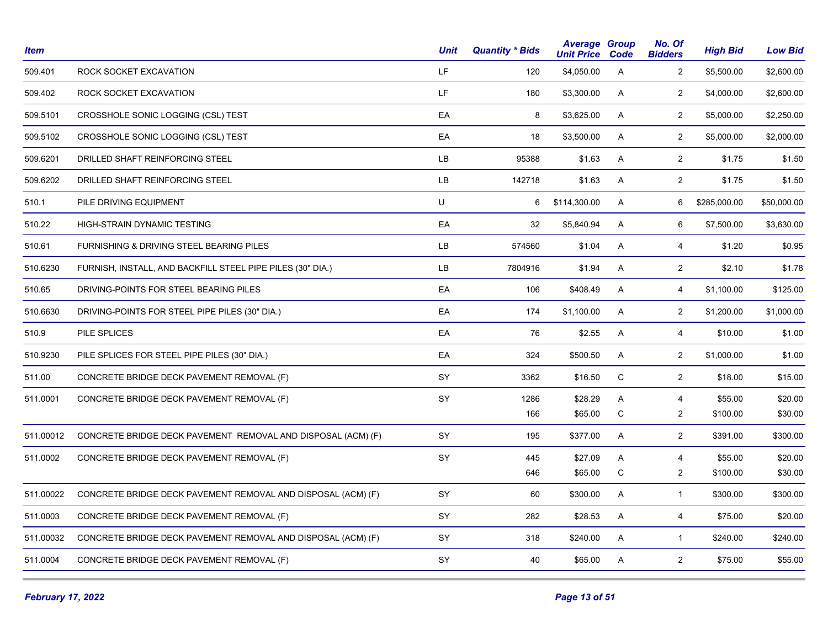| <b>Item</b> |                                                              | <b>Unit</b> | <b>Quantity * Bids</b> | <b>Average Group</b><br><b>Unit Price Code</b> |             | No. Of<br><b>Bidders</b> | <b>High Bid</b> | <b>Low Bid</b> |
|-------------|--------------------------------------------------------------|-------------|------------------------|------------------------------------------------|-------------|--------------------------|-----------------|----------------|
| 509.401     | ROCK SOCKET EXCAVATION                                       | LF.         | 120                    | \$4,050.00                                     | A           | $\overline{c}$           | \$5,500.00      | \$2,600.00     |
| 509.402     | ROCK SOCKET EXCAVATION                                       | LF.         | 180                    | \$3,300.00                                     | A           | $\overline{2}$           | \$4,000.00      | \$2,600.00     |
| 509.5101    | CROSSHOLE SONIC LOGGING (CSL) TEST                           | EA          | 8                      | \$3,625.00                                     | Α           | $\overline{2}$           | \$5,000.00      | \$2,250.00     |
| 509.5102    | CROSSHOLE SONIC LOGGING (CSL) TEST                           | EA          | 18                     | \$3,500.00                                     | Α           | $\overline{2}$           | \$5,000.00      | \$2,000.00     |
| 509.6201    | DRILLED SHAFT REINFORCING STEEL                              | LB          | 95388                  | \$1.63                                         | A           | $\mathbf{2}$             | \$1.75          | \$1.50         |
| 509.6202    | DRILLED SHAFT REINFORCING STEEL                              | LB          | 142718                 | \$1.63                                         | A           | $\mathbf{2}$             | \$1.75          | \$1.50         |
| 510.1       | PILE DRIVING EQUIPMENT                                       | U           | 6                      | \$114,300.00                                   | A           | 6                        | \$285,000.00    | \$50,000.00    |
| 510.22      | HIGH-STRAIN DYNAMIC TESTING                                  | EA          | 32                     | \$5,840.94                                     | A           | 6                        | \$7,500.00      | \$3,630.00     |
| 510.61      | FURNISHING & DRIVING STEEL BEARING PILES                     | LB          | 574560                 | \$1.04                                         | A           | $\overline{4}$           | \$1.20          | \$0.95         |
| 510.6230    | FURNISH, INSTALL, AND BACKFILL STEEL PIPE PILES (30" DIA.)   | <b>LB</b>   | 7804916                | \$1.94                                         | A           | $\overline{2}$           | \$2.10          | \$1.78         |
| 510.65      | DRIVING-POINTS FOR STEEL BEARING PILES                       | EA          | 106                    | \$408.49                                       | A           | $\overline{4}$           | \$1,100.00      | \$125.00       |
| 510.6630    | DRIVING-POINTS FOR STEEL PIPE PILES (30" DIA.)               | EA          | 174                    | \$1,100.00                                     | A           | $\overline{2}$           | \$1,200.00      | \$1,000.00     |
| 510.9       | PILE SPLICES                                                 | EA          | 76                     | \$2.55                                         | A           | 4                        | \$10.00         | \$1.00         |
| 510.9230    | PILE SPLICES FOR STEEL PIPE PILES (30" DIA.)                 | EA          | 324                    | \$500.50                                       | A           | $\overline{2}$           | \$1,000.00      | \$1.00         |
| 511.00      | CONCRETE BRIDGE DECK PAVEMENT REMOVAL (F)                    | SY          | 3362                   | \$16.50                                        | $\mathsf C$ | $\overline{2}$           | \$18.00         | \$15.00        |
| 511.0001    | CONCRETE BRIDGE DECK PAVEMENT REMOVAL (F)                    | SY          | 1286                   | \$28.29                                        | A           | 4                        | \$55.00         | \$20.00        |
|             |                                                              |             | 166                    | \$65.00                                        | C           | $\overline{\mathbf{c}}$  | \$100.00        | \$30.00        |
| 511.00012   | CONCRETE BRIDGE DECK PAVEMENT REMOVAL AND DISPOSAL (ACM) (F) | SY          | 195                    | \$377.00                                       | A           | $\overline{2}$           | \$391.00        | \$300.00       |
| 511.0002    | CONCRETE BRIDGE DECK PAVEMENT REMOVAL (F)                    | SY          | 445                    | \$27.09                                        | A           | $\overline{4}$           | \$55.00         | \$20.00        |
|             |                                                              |             | 646                    | \$65.00                                        | C           | $\overline{c}$           | \$100.00        | \$30.00        |
| 511.00022   | CONCRETE BRIDGE DECK PAVEMENT REMOVAL AND DISPOSAL (ACM) (F) | SY          | 60                     | \$300.00                                       | Α           | $\mathbf{1}$             | \$300.00        | \$300.00       |
| 511.0003    | CONCRETE BRIDGE DECK PAVEMENT REMOVAL (F)                    | SY          | 282                    | \$28.53                                        | A           | $\overline{4}$           | \$75.00         | \$20.00        |
| 511.00032   | CONCRETE BRIDGE DECK PAVEMENT REMOVAL AND DISPOSAL (ACM) (F) | SY          | 318                    | \$240.00                                       | Α           | $\mathbf{1}$             | \$240.00        | \$240.00       |
| 511.0004    | CONCRETE BRIDGE DECK PAVEMENT REMOVAL (F)                    | SY          | 40                     | \$65.00                                        | A           | $\overline{2}$           | \$75.00         | \$55.00        |
|             |                                                              |             |                        |                                                |             |                          |                 |                |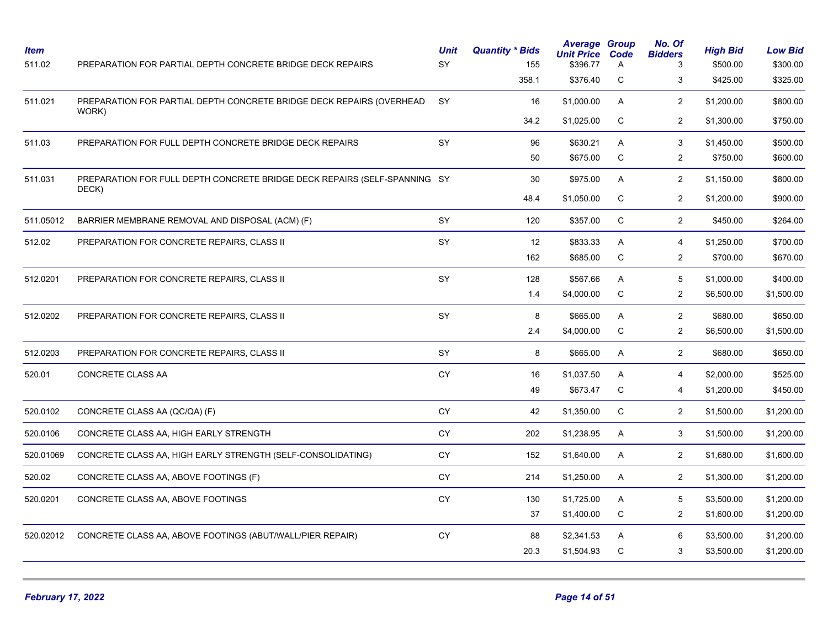| <b>Item</b><br>511.02 | PREPARATION FOR PARTIAL DEPTH CONCRETE BRIDGE DECK REPAIRS                         | <b>Unit</b><br>SY | <b>Quantity * Bids</b><br>155 | <b>Average Group</b><br><b>Unit Price Code</b><br>\$396.77 | Α              | No. Of<br><b>Bidders</b><br>3 | <b>High Bid</b><br>\$500.00 | <b>Low Bid</b><br>\$300.00 |
|-----------------------|------------------------------------------------------------------------------------|-------------------|-------------------------------|------------------------------------------------------------|----------------|-------------------------------|-----------------------------|----------------------------|
|                       |                                                                                    |                   | 358.1                         | \$376.40                                                   | C              | 3                             | \$425.00                    | \$325.00                   |
| 511.021               | PREPARATION FOR PARTIAL DEPTH CONCRETE BRIDGE DECK REPAIRS (OVERHEAD               | <b>SY</b>         | 16                            | \$1,000.00                                                 | A              | 2                             | \$1,200.00                  | \$800.00                   |
|                       | WORK)                                                                              |                   | 34.2                          | \$1,025.00                                                 | C              | $\overline{2}$                | \$1,300.00                  | \$750.00                   |
| 511.03                | PREPARATION FOR FULL DEPTH CONCRETE BRIDGE DECK REPAIRS                            | SY                | 96                            | \$630.21                                                   | A              | 3                             | \$1,450.00                  | \$500.00                   |
|                       |                                                                                    |                   | 50                            | \$675.00                                                   | $\mathsf C$    | $\overline{2}$                | \$750.00                    | \$600.00                   |
| 511.031               | PREPARATION FOR FULL DEPTH CONCRETE BRIDGE DECK REPAIRS (SELF-SPANNING SY<br>DECK) |                   | 30                            | \$975.00                                                   | A              | $\overline{2}$                | \$1,150.00                  | \$800.00                   |
|                       |                                                                                    |                   | 48.4                          | \$1,050.00                                                 | C              | 2                             | \$1,200.00                  | \$900.00                   |
| 511.05012             | BARRIER MEMBRANE REMOVAL AND DISPOSAL (ACM) (F)                                    | SY                | 120                           | \$357.00                                                   | C              | $\overline{2}$                | \$450.00                    | \$264.00                   |
| 512.02                | PREPARATION FOR CONCRETE REPAIRS, CLASS II                                         | SY                | 12                            | \$833.33                                                   | A              | $\overline{4}$                | \$1,250.00                  | \$700.00                   |
|                       |                                                                                    |                   | 162                           | \$685.00                                                   | $\mathsf C$    | $\overline{2}$                | \$700.00                    | \$670.00                   |
| 512.0201              | PREPARATION FOR CONCRETE REPAIRS, CLASS II                                         | SY                | 128                           | \$567.66                                                   | $\mathsf{A}$   | 5                             | \$1,000.00                  | \$400.00                   |
|                       |                                                                                    |                   | 1.4                           | \$4,000.00                                                 | ${\bf C}$      | $\overline{2}$                | \$6,500.00                  | \$1,500.00                 |
| 512.0202              | PREPARATION FOR CONCRETE REPAIRS, CLASS II                                         | SY                | 8                             | \$665.00                                                   | A              | 2                             | \$680.00                    | \$650.00                   |
|                       |                                                                                    |                   | 2.4                           | \$4,000.00                                                 | $\mathsf C$    | $\overline{2}$                | \$6,500.00                  | \$1,500.00                 |
| 512.0203              | PREPARATION FOR CONCRETE REPAIRS, CLASS II                                         | <b>SY</b>         | 8                             | \$665.00                                                   | $\mathsf{A}$   | $\overline{2}$                | \$680.00                    | \$650.00                   |
| 520.01                | CONCRETE CLASS AA                                                                  | <b>CY</b>         | 16                            | \$1,037.50                                                 | A              | 4                             | \$2,000.00                  | \$525.00                   |
|                       |                                                                                    |                   | 49                            | \$673.47                                                   | C              | 4                             | \$1,200.00                  | \$450.00                   |
| 520.0102              | CONCRETE CLASS AA (QC/QA) (F)                                                      | CY                | 42                            | \$1,350.00                                                 | $\mathsf C$    | $\overline{2}$                | \$1,500.00                  | \$1,200.00                 |
| 520.0106              | CONCRETE CLASS AA, HIGH EARLY STRENGTH                                             | CY                | 202                           | \$1,238.95                                                 | A              | 3                             | \$1,500.00                  | \$1,200.00                 |
| 520.01069             | CONCRETE CLASS AA, HIGH EARLY STRENGTH (SELF-CONSOLIDATING)                        | CY                | 152                           | \$1,640.00                                                 | A              | $\overline{2}$                | \$1,680.00                  | \$1,600.00                 |
| 520.02                | CONCRETE CLASS AA, ABOVE FOOTINGS (F)                                              | CY                | 214                           | \$1,250.00                                                 | A              | 2                             | \$1,300.00                  | \$1,200.00                 |
| 520.0201              | CONCRETE CLASS AA, ABOVE FOOTINGS                                                  | <b>CY</b>         | 130                           | \$1,725.00                                                 | $\overline{A}$ | 5                             | \$3,500.00                  | \$1,200.00                 |
|                       |                                                                                    |                   | 37                            | \$1,400.00                                                 | C              | $\overline{2}$                | \$1,600.00                  | \$1,200.00                 |
| 520.02012             | CONCRETE CLASS AA, ABOVE FOOTINGS (ABUT/WALL/PIER REPAIR)                          | <b>CY</b>         | 88                            | \$2,341.53                                                 | A              | 6                             | \$3,500.00                  | \$1,200.00                 |
|                       |                                                                                    |                   | 20.3                          | \$1,504.93                                                 | C              | 3                             | \$3,500.00                  | \$1,200.00                 |
|                       |                                                                                    |                   |                               |                                                            |                |                               |                             |                            |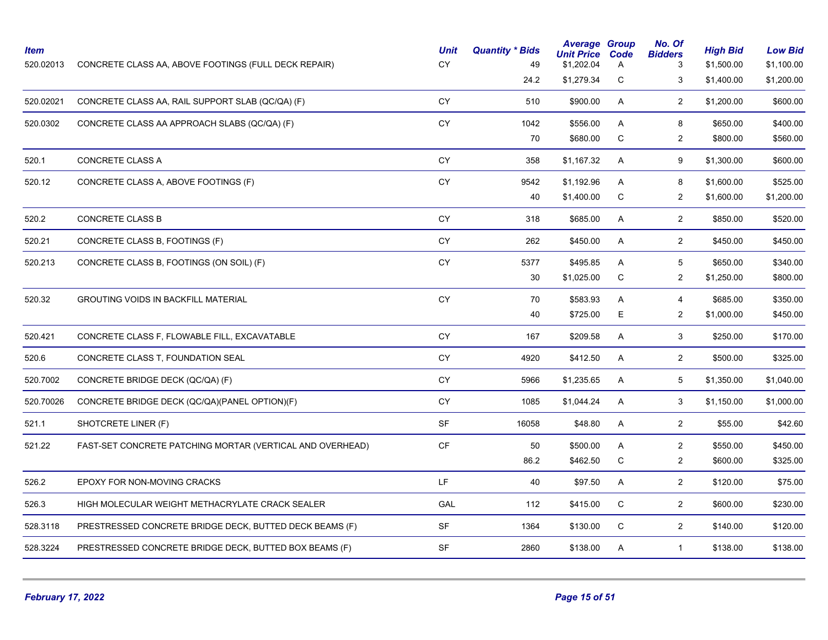| <b>Item</b><br>520.02013 | CONCRETE CLASS AA, ABOVE FOOTINGS (FULL DECK REPAIR)      | <b>Unit</b><br>CY                 | <b>Quantity * Bids</b><br>49 | <b>Average Group</b><br><b>Unit Price</b><br>\$1,202.04 | Code<br>A   | No. Of<br><b>Bidders</b> | <b>High Bid</b><br>\$1,500.00 | <b>Low Bid</b><br>\$1,100.00 |
|--------------------------|-----------------------------------------------------------|-----------------------------------|------------------------------|---------------------------------------------------------|-------------|--------------------------|-------------------------------|------------------------------|
|                          |                                                           |                                   | 24.2                         | \$1,279.34                                              | С           | 3                        | \$1,400.00                    | \$1,200.00                   |
| 520.02021                | CONCRETE CLASS AA, RAIL SUPPORT SLAB (QC/QA) (F)          | CY                                | 510                          | \$900.00                                                | A           | $\overline{2}$           | \$1,200.00                    | \$600.00                     |
| 520.0302                 | CONCRETE CLASS AA APPROACH SLABS (QC/QA) (F)              | CY                                | 1042                         | \$556.00                                                | A           | 8                        | \$650.00                      | \$400.00                     |
|                          |                                                           |                                   | 70                           | \$680.00                                                | C           | $\overline{2}$           | \$800.00                      | \$560.00                     |
| 520.1                    | <b>CONCRETE CLASS A</b>                                   | CY                                | 358                          | \$1,167.32                                              | A           | 9                        | \$1,300.00                    | \$600.00                     |
| 520.12                   | CONCRETE CLASS A, ABOVE FOOTINGS (F)                      | CY                                | 9542                         | \$1,192.96                                              | A           | 8                        | \$1,600.00                    | \$525.00                     |
|                          |                                                           |                                   | 40                           | \$1,400.00                                              | C           | $\overline{2}$           | \$1,600.00                    | \$1,200.00                   |
| 520.2                    | <b>CONCRETE CLASS B</b>                                   | CY                                | 318                          | \$685.00                                                | A           | $\overline{2}$           | \$850.00                      | \$520.00                     |
| 520.21                   | CONCRETE CLASS B, FOOTINGS (F)                            | CY                                | 262                          | \$450.00                                                | A           | $\mathbf{2}$             | \$450.00                      | \$450.00                     |
| 520.213                  | CONCRETE CLASS B, FOOTINGS (ON SOIL) (F)                  | <b>CY</b>                         | 5377                         | \$495.85                                                | A           | 5                        | \$650.00                      | \$340.00                     |
|                          |                                                           |                                   | 30                           | \$1,025.00                                              | $\mathbf C$ | $\overline{2}$           | \$1,250.00                    | \$800.00                     |
| 520.32                   | <b>GROUTING VOIDS IN BACKFILL MATERIAL</b>                | <b>CY</b>                         | 70                           | \$583.93                                                | A           | $\overline{4}$           | \$685.00                      | \$350.00                     |
|                          |                                                           |                                   | 40                           | \$725.00                                                | E.          | $\overline{2}$           | \$1,000.00                    | \$450.00                     |
| 520.421                  | CONCRETE CLASS F, FLOWABLE FILL, EXCAVATABLE              | <b>CY</b>                         | 167                          | \$209.58                                                | A           | $\mathbf{3}$             | \$250.00                      | \$170.00                     |
| 520.6                    | CONCRETE CLASS T, FOUNDATION SEAL                         | CY                                | 4920                         | \$412.50                                                | A           | $\overline{2}$           | \$500.00                      | \$325.00                     |
| 520.7002                 | CONCRETE BRIDGE DECK (QC/QA) (F)                          | CY                                | 5966                         | \$1,235.65                                              | A           | 5                        | \$1,350.00                    | \$1,040.00                   |
| 520.70026                | CONCRETE BRIDGE DECK (QC/QA)(PANEL OPTION)(F)             | CY                                | 1085                         | \$1,044.24                                              | A           | 3                        | \$1,150.00                    | \$1,000.00                   |
| 521.1                    | SHOTCRETE LINER (F)                                       | SF                                | 16058                        | \$48.80                                                 | A           | $\overline{2}$           | \$55.00                       | \$42.60                      |
| 521.22                   | FAST-SET CONCRETE PATCHING MORTAR (VERTICAL AND OVERHEAD) | $\mathsf{C}\mathsf{F}$            | 50                           | \$500.00                                                | A           | $\overline{2}$           | \$550.00                      | \$450.00                     |
|                          |                                                           |                                   | 86.2                         | \$462.50                                                | C           | $\overline{2}$           | \$600.00                      | \$325.00                     |
| 526.2                    | EPOXY FOR NON-MOVING CRACKS                               | LF.                               | 40                           | \$97.50                                                 | A           | $\overline{2}$           | \$120.00                      | \$75.00                      |
| 526.3                    | HIGH MOLECULAR WEIGHT METHACRYLATE CRACK SEALER           | GAL                               | 112                          | \$415.00                                                | С           | $\overline{2}$           | \$600.00                      | \$230.00                     |
| 528.3118                 | PRESTRESSED CONCRETE BRIDGE DECK, BUTTED DECK BEAMS (F)   | $\ensuremath{\mathsf{SF}}\xspace$ | 1364                         | \$130.00                                                | $\mathbf C$ | $\mathbf{2}$             | \$140.00                      | \$120.00                     |
| 528.3224                 | PRESTRESSED CONCRETE BRIDGE DECK, BUTTED BOX BEAMS (F)    | <b>SF</b>                         | 2860                         | \$138.00                                                | A           | $\mathbf{1}$             | \$138.00                      | \$138.00                     |
|                          |                                                           |                                   |                              |                                                         |             |                          |                               |                              |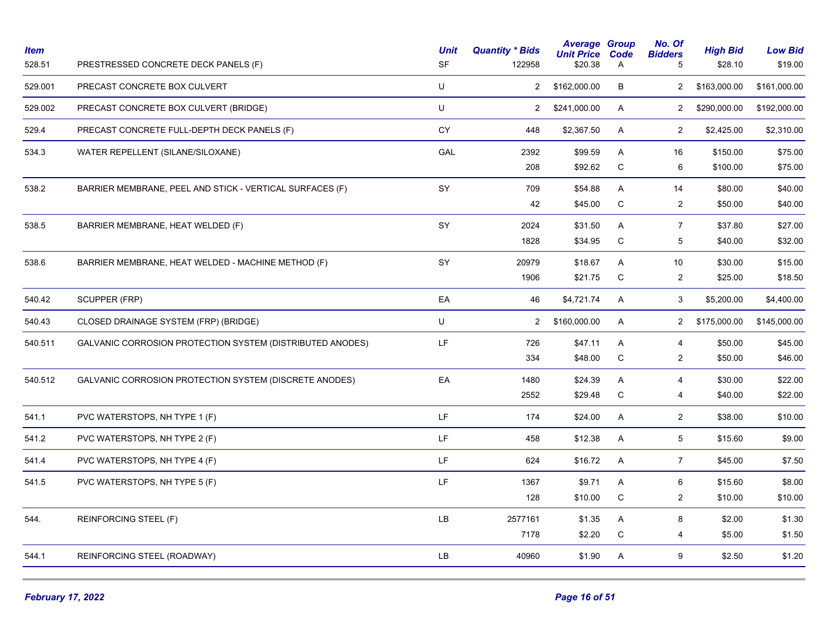| Item<br>528.51 | PRESTRESSED CONCRETE DECK PANELS (F)                             | <b>Unit</b><br><b>SF</b> | <b>Quantity * Bids</b><br>122958 | <b>Average Group</b><br><b>Unit Price</b><br>\$20.38 | Code<br>Α   | No. Of<br><b>Bidders</b><br>5 | <b>High Bid</b><br>\$28.10 | <b>Low Bid</b><br>\$19.00 |
|----------------|------------------------------------------------------------------|--------------------------|----------------------------------|------------------------------------------------------|-------------|-------------------------------|----------------------------|---------------------------|
| 529.001        | PRECAST CONCRETE BOX CULVERT                                     | U                        | $\overline{2}$                   | \$162,000.00                                         | B           | $\overline{2}$                | \$163,000.00               | \$161,000.00              |
| 529.002        | PRECAST CONCRETE BOX CULVERT (BRIDGE)                            | U                        | $\mathbf{2}$                     | \$241,000.00                                         | A           | $\overline{2}$                | \$290,000.00               | \$192,000.00              |
| 529.4          | PRECAST CONCRETE FULL-DEPTH DECK PANELS (F)                      | <b>CY</b>                | 448                              | \$2,367.50                                           | A           | $\overline{2}$                | \$2,425.00                 | \$2,310.00                |
| 534.3          | WATER REPELLENT (SILANE/SILOXANE)                                | GAL                      | 2392                             | \$99.59                                              | A           | 16                            | \$150.00                   | \$75.00                   |
|                |                                                                  |                          | 208                              | \$92.62                                              | $\mathsf C$ | 6                             | \$100.00                   | \$75.00                   |
| 538.2          | BARRIER MEMBRANE, PEEL AND STICK - VERTICAL SURFACES (F)         | <b>SY</b>                | 709                              | \$54.88                                              | A           | 14                            | \$80.00                    | \$40.00                   |
|                |                                                                  |                          | 42                               | \$45.00                                              | C           | $\overline{2}$                | \$50.00                    | \$40.00                   |
| 538.5          | BARRIER MEMBRANE, HEAT WELDED (F)                                | SY                       | 2024                             | \$31.50                                              | A           | $\overline{7}$                | \$37.80                    | \$27.00                   |
|                |                                                                  |                          | 1828                             | \$34.95                                              | С           | 5                             | \$40.00                    | \$32.00                   |
| 538.6          | BARRIER MEMBRANE, HEAT WELDED - MACHINE METHOD (F)               | SY                       | 20979                            | \$18.67                                              | A           | 10                            | \$30.00                    | \$15.00                   |
|                |                                                                  |                          | 1906                             | \$21.75                                              | C           | $\overline{2}$                | \$25.00                    | \$18.50                   |
| 540.42         | SCUPPER (FRP)                                                    | EA                       | 46                               | \$4,721.74                                           | A           | 3                             | \$5,200.00                 | \$4,400.00                |
| 540.43         | CLOSED DRAINAGE SYSTEM (FRP) (BRIDGE)                            | U                        | $\overline{2}$                   | \$160,000.00                                         | A           | $\overline{2}$                | \$175,000.00               | \$145,000.00              |
| 540.511        | <b>GALVANIC CORROSION PROTECTION SYSTEM (DISTRIBUTED ANODES)</b> | LF                       | 726                              | \$47.11                                              | A           | 4                             | \$50.00                    | \$45.00                   |
|                |                                                                  |                          | 334                              | \$48.00                                              | $\mathsf C$ | $\overline{c}$                | \$50.00                    | \$46.00                   |
| 540.512        | GALVANIC CORROSION PROTECTION SYSTEM (DISCRETE ANODES)           | EA                       | 1480                             | \$24.39                                              | A           | $\overline{4}$                | \$30.00                    | \$22.00                   |
|                |                                                                  |                          | 2552                             | \$29.48                                              | С           | 4                             | \$40.00                    | \$22.00                   |
| 541.1          | PVC WATERSTOPS, NH TYPE 1 (F)                                    | LF                       | 174                              | \$24.00                                              | A           | $\overline{2}$                | \$38.00                    | \$10.00                   |
| 541.2          | PVC WATERSTOPS, NH TYPE 2 (F)                                    | LF                       | 458                              | \$12.38                                              | A           | 5                             | \$15.60                    | \$9.00                    |
| 541.4          | PVC WATERSTOPS, NH TYPE 4 (F)                                    | LF                       | 624                              | \$16.72                                              | A           | $\overline{7}$                | \$45.00                    | \$7.50                    |
| 541.5          | PVC WATERSTOPS, NH TYPE 5 (F)                                    | LF.                      | 1367                             | \$9.71                                               | A           | 6                             | \$15.60                    | \$8.00                    |
|                |                                                                  |                          | 128                              | \$10.00                                              | С           | $\overline{c}$                | \$10.00                    | \$10.00                   |
| 544.           | REINFORCING STEEL (F)                                            | LB                       | 2577161                          | \$1.35                                               | Α           | 8                             | \$2.00                     | \$1.30                    |
|                |                                                                  |                          | 7178                             | \$2.20                                               | С           | 4                             | \$5.00                     | \$1.50                    |
| 544.1          | REINFORCING STEEL (ROADWAY)                                      | LB.                      | 40960                            | \$1.90                                               | A           | $\boldsymbol{9}$              | \$2.50                     | \$1.20                    |
|                |                                                                  |                          |                                  |                                                      |             |                               |                            |                           |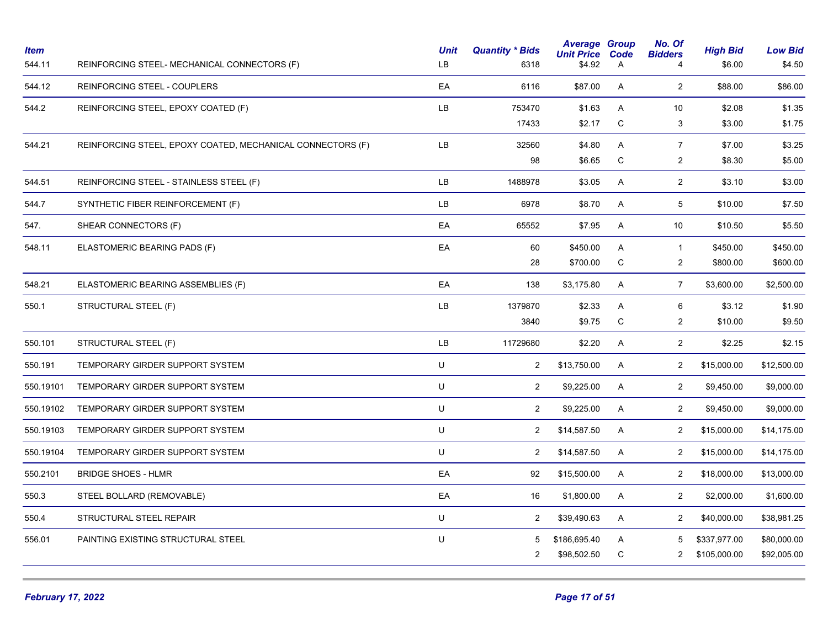| <b>Item</b><br>544.11 | REINFORCING STEEL- MECHANICAL CONNECTORS (F)               | <b>Unit</b><br>LB. | <b>Quantity * Bids</b><br>6318 | <b>Average Group</b><br><b>Unit Price</b><br>\$4.92 | Code<br>A | No. Of<br><b>Bidders</b><br>$\overline{4}$ | <b>High Bid</b><br>\$6.00 | <b>Low Bid</b><br>\$4.50 |
|-----------------------|------------------------------------------------------------|--------------------|--------------------------------|-----------------------------------------------------|-----------|--------------------------------------------|---------------------------|--------------------------|
| 544.12                | REINFORCING STEEL - COUPLERS                               | EA                 | 6116                           | \$87.00                                             | A         | $\overline{2}$                             | \$88.00                   | \$86.00                  |
| 544.2                 | REINFORCING STEEL, EPOXY COATED (F)                        | LB                 | 753470                         | \$1.63                                              | Α         | 10                                         | \$2.08                    | \$1.35                   |
|                       |                                                            |                    | 17433                          | \$2.17                                              | ${\bf C}$ | 3                                          | \$3.00                    | \$1.75                   |
| 544.21                | REINFORCING STEEL, EPOXY COATED, MECHANICAL CONNECTORS (F) | LB                 | 32560                          | \$4.80                                              | A         | $\boldsymbol{7}$                           | \$7.00                    | \$3.25                   |
|                       |                                                            |                    | 98                             | \$6.65                                              | C         | $\overline{2}$                             | \$8.30                    | \$5.00                   |
| 544.51                | REINFORCING STEEL - STAINLESS STEEL (F)                    | LB.                | 1488978                        | \$3.05                                              | A         | $\overline{2}$                             | \$3.10                    | \$3.00                   |
| 544.7                 | SYNTHETIC FIBER REINFORCEMENT (F)                          | <b>LB</b>          | 6978                           | \$8.70                                              | A         | 5                                          | \$10.00                   | \$7.50                   |
| 547.                  | SHEAR CONNECTORS (F)                                       | EA                 | 65552                          | \$7.95                                              | A         | 10                                         | \$10.50                   | \$5.50                   |
| 548.11                | ELASTOMERIC BEARING PADS (F)                               | EA                 | 60                             | \$450.00                                            | A         | $\mathbf{1}$                               | \$450.00                  | \$450.00                 |
|                       |                                                            |                    | 28                             | \$700.00                                            | C         | $\overline{2}$                             | \$800.00                  | \$600.00                 |
| 548.21                | ELASTOMERIC BEARING ASSEMBLIES (F)                         | EA                 | 138                            | \$3,175.80                                          | A         | $\overline{7}$                             | \$3,600.00                | \$2,500.00               |
| 550.1                 | STRUCTURAL STEEL (F)                                       | LB                 | 1379870                        | \$2.33                                              | A         | 6                                          | \$3.12                    | \$1.90                   |
|                       |                                                            |                    | 3840                           | \$9.75                                              | ${\rm C}$ | $\overline{c}$                             | \$10.00                   | \$9.50                   |
| 550.101               | STRUCTURAL STEEL (F)                                       | LB.                | 11729680                       | \$2.20                                              | A         | $\overline{2}$                             | \$2.25                    | \$2.15                   |
| 550.191               | TEMPORARY GIRDER SUPPORT SYSTEM                            | U                  | $\overline{2}$                 | \$13,750.00                                         | A         | $\overline{2}$                             | \$15,000.00               | \$12,500.00              |
| 550.19101             | TEMPORARY GIRDER SUPPORT SYSTEM                            | U                  | $\overline{2}$                 | \$9,225.00                                          | A         | $\overline{2}$                             | \$9,450.00                | \$9,000.00               |
| 550.19102             | TEMPORARY GIRDER SUPPORT SYSTEM                            | U                  | $\overline{2}$                 | \$9,225.00                                          | A         | $\overline{2}$                             | \$9,450.00                | \$9,000.00               |
| 550.19103             | TEMPORARY GIRDER SUPPORT SYSTEM                            | U                  | $\overline{2}$                 | \$14,587.50                                         | A         | $\overline{2}$                             | \$15,000.00               | \$14,175.00              |
| 550.19104             | TEMPORARY GIRDER SUPPORT SYSTEM                            | U                  | $\overline{2}$                 | \$14,587.50                                         | A         | $\overline{2}$                             | \$15,000.00               | \$14,175.00              |
| 550.2101              | <b>BRIDGE SHOES - HLMR</b>                                 | EA                 | 92                             | \$15,500.00                                         | A         | $\overline{2}$                             | \$18,000.00               | \$13,000.00              |
| 550.3                 | STEEL BOLLARD (REMOVABLE)                                  | EA                 | 16                             | \$1,800.00                                          | A         | $\overline{2}$                             | \$2,000.00                | \$1,600.00               |
| 550.4                 | STRUCTURAL STEEL REPAIR                                    | U                  | $\overline{2}$                 | \$39,490.63                                         | A         | $\overline{2}$                             | \$40,000.00               | \$38,981.25              |
| 556.01                | PAINTING EXISTING STRUCTURAL STEEL                         | U                  | 5                              | \$186,695.40                                        | A         | 5                                          | \$337,977.00              | \$80,000.00              |
|                       |                                                            |                    | $\overline{c}$                 | \$98,502.50                                         | С         | 2                                          | \$105,000.00              | \$92,005.00              |
|                       |                                                            |                    |                                |                                                     |           |                                            |                           |                          |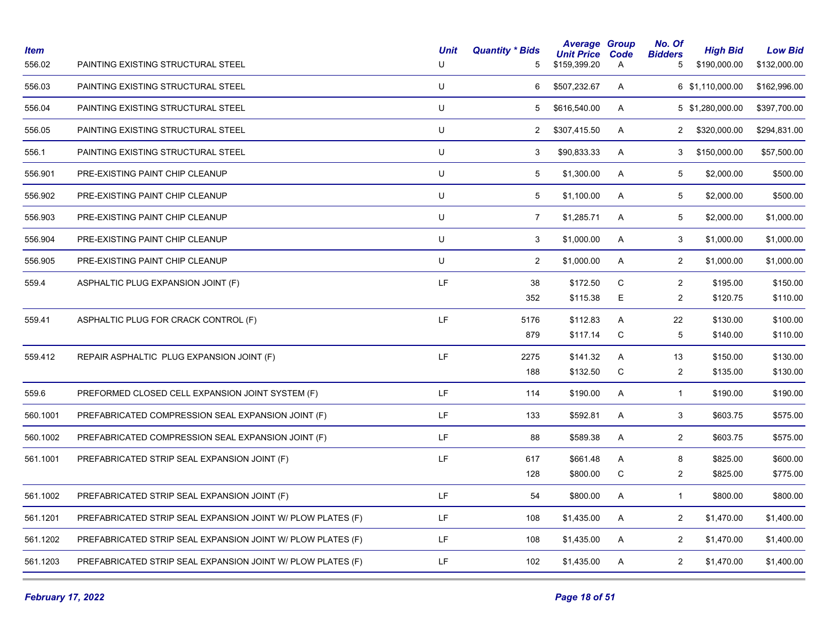| ltem<br>556.02 | PAINTING EXISTING STRUCTURAL STEEL                          | <b>Unit</b><br>U | <b>Quantity * Bids</b><br>5 | <b>Average Group</b><br><b>Unit Price</b><br>\$159,399.20 | Code<br>A   | No. Of<br><b>Bidders</b><br>5 | <b>High Bid</b><br>\$190,000.00 | <b>Low Bid</b><br>\$132,000.00 |
|----------------|-------------------------------------------------------------|------------------|-----------------------------|-----------------------------------------------------------|-------------|-------------------------------|---------------------------------|--------------------------------|
| 556.03         | PAINTING EXISTING STRUCTURAL STEEL                          | U                | 6                           | \$507,232.67                                              | A           |                               | 6 \$1,110,000.00                | \$162,996.00                   |
| 556.04         | PAINTING EXISTING STRUCTURAL STEEL                          | U                | 5                           | \$616,540.00                                              | A           |                               | 5 \$1,280,000.00                | \$397,700.00                   |
| 556.05         | PAINTING EXISTING STRUCTURAL STEEL                          | U                | $\overline{2}$              | \$307,415.50                                              | A           | $\overline{2}$                | \$320,000.00                    | \$294,831.00                   |
| 556.1          | PAINTING EXISTING STRUCTURAL STEEL                          | U                | 3                           | \$90,833.33                                               | A           | 3                             | \$150,000.00                    | \$57,500.00                    |
| 556.901        | PRE-EXISTING PAINT CHIP CLEANUP                             | U                | 5                           | \$1,300.00                                                | A           | 5                             | \$2,000.00                      | \$500.00                       |
| 556.902        | PRE-EXISTING PAINT CHIP CLEANUP                             | U                | 5                           | \$1,100.00                                                | A           | 5                             | \$2,000.00                      | \$500.00                       |
| 556.903        | PRE-EXISTING PAINT CHIP CLEANUP                             | U                | $\overline{7}$              | \$1,285.71                                                | A           | $\sqrt{5}$                    | \$2,000.00                      | \$1,000.00                     |
| 556.904        | PRE-EXISTING PAINT CHIP CLEANUP                             | U                | 3                           | \$1,000.00                                                | A           | 3                             | \$1,000.00                      | \$1,000.00                     |
| 556.905        | PRE-EXISTING PAINT CHIP CLEANUP                             | U                | $\overline{2}$              | \$1,000.00                                                | A           | $\overline{2}$                | \$1,000.00                      | \$1,000.00                     |
| 559.4          | ASPHALTIC PLUG EXPANSION JOINT (F)                          | LF               | 38                          | \$172.50                                                  | C           | $\overline{2}$                | \$195.00                        | \$150.00                       |
|                |                                                             |                  | 352                         | \$115.38                                                  | E           | $\overline{c}$                | \$120.75                        | \$110.00                       |
| 559.41         | ASPHALTIC PLUG FOR CRACK CONTROL (F)                        | LF               | 5176                        | \$112.83                                                  | Α           | 22                            | \$130.00                        | \$100.00                       |
|                |                                                             |                  | 879                         | \$117.14                                                  | $\mathsf C$ | 5                             | \$140.00                        | \$110.00                       |
| 559.412        | REPAIR ASPHALTIC PLUG EXPANSION JOINT (F)                   | LF               | 2275                        | \$141.32                                                  | A           | 13                            | \$150.00                        | \$130.00                       |
|                |                                                             |                  | 188                         | \$132.50                                                  | C           | $\overline{2}$                | \$135.00                        | \$130.00                       |
| 559.6          | PREFORMED CLOSED CELL EXPANSION JOINT SYSTEM (F)            | LF               | 114                         | \$190.00                                                  | A           | $\mathbf{1}$                  | \$190.00                        | \$190.00                       |
| 560.1001       | PREFABRICATED COMPRESSION SEAL EXPANSION JOINT (F)          | LF               | 133                         | \$592.81                                                  | A           | 3                             | \$603.75                        | \$575.00                       |
| 560.1002       | PREFABRICATED COMPRESSION SEAL EXPANSION JOINT (F)          | LF               | 88                          | \$589.38                                                  | A           | $\overline{c}$                | \$603.75                        | \$575.00                       |
| 561.1001       | PREFABRICATED STRIP SEAL EXPANSION JOINT (F)                | LF               | 617                         | \$661.48                                                  | Α           | $\bf 8$                       | \$825.00                        | \$600.00                       |
|                |                                                             |                  | 128                         | \$800.00                                                  | ${\bf C}$   | $\overline{c}$                | \$825.00                        | \$775.00                       |
| 561.1002       | PREFABRICATED STRIP SEAL EXPANSION JOINT (F)                | LF               | 54                          | \$800.00                                                  | A           | $\mathbf{1}$                  | \$800.00                        | \$800.00                       |
| 561.1201       | PREFABRICATED STRIP SEAL EXPANSION JOINT W/ PLOW PLATES (F) | LF               | 108                         | \$1,435.00                                                | A           | $\overline{c}$                | \$1,470.00                      | \$1,400.00                     |
| 561.1202       | PREFABRICATED STRIP SEAL EXPANSION JOINT W/ PLOW PLATES (F) | LF               | 108                         | \$1,435.00                                                | A           | $\overline{2}$                | \$1,470.00                      | \$1,400.00                     |
| 561.1203       | PREFABRICATED STRIP SEAL EXPANSION JOINT W/ PLOW PLATES (F) | LF               | 102                         | \$1,435.00                                                | A           | $\overline{2}$                | \$1,470.00                      | \$1,400.00                     |
|                |                                                             |                  |                             |                                                           |             |                               |                                 |                                |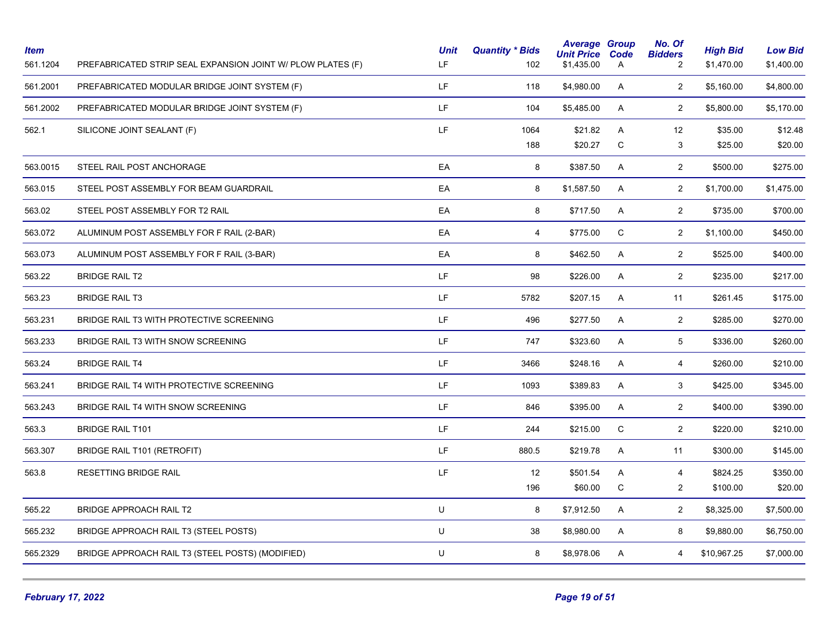| <b>Item</b><br>561.1204 | PREFABRICATED STRIP SEAL EXPANSION JOINT W/ PLOW PLATES (F) | <b>Unit</b><br>LF | <b>Quantity * Bids</b><br>102 | <b>Average Group</b><br><b>Unit Price</b><br>\$1,435.00 | Code<br>Α   | No. Of<br><b>Bidders</b><br>2 | <b>High Bid</b><br>\$1,470.00 | <b>Low Bid</b><br>\$1,400.00 |
|-------------------------|-------------------------------------------------------------|-------------------|-------------------------------|---------------------------------------------------------|-------------|-------------------------------|-------------------------------|------------------------------|
| 561.2001                | PREFABRICATED MODULAR BRIDGE JOINT SYSTEM (F)               | LF.               | 118                           | \$4,980.00                                              | A           | $\overline{2}$                | \$5,160.00                    | \$4,800.00                   |
| 561.2002                | PREFABRICATED MODULAR BRIDGE JOINT SYSTEM (F)               | LF.               | 104                           | \$5,485.00                                              | A           | $\overline{a}$                | \$5,800.00                    | \$5,170.00                   |
| 562.1                   | SILICONE JOINT SEALANT (F)                                  | LF.               | 1064                          | \$21.82                                                 | A           | 12                            | \$35.00                       | \$12.48                      |
|                         |                                                             |                   | 188                           | \$20.27                                                 | ${\bf C}$   | 3                             | \$25.00                       | \$20.00                      |
| 563.0015                | STEEL RAIL POST ANCHORAGE                                   | EA                | 8                             | \$387.50                                                | A           | $\overline{2}$                | \$500.00                      | \$275.00                     |
| 563.015                 | STEEL POST ASSEMBLY FOR BEAM GUARDRAIL                      | EA                | 8                             | \$1,587.50                                              | A           | $\overline{2}$                | \$1,700.00                    | \$1,475.00                   |
| 563.02                  | STEEL POST ASSEMBLY FOR T2 RAIL                             | EA                | 8                             | \$717.50                                                | A           | $\overline{2}$                | \$735.00                      | \$700.00                     |
| 563.072                 | ALUMINUM POST ASSEMBLY FOR F RAIL (2-BAR)                   | EA                | $\overline{4}$                | \$775.00                                                | $\mathsf C$ | $\overline{2}$                | \$1,100.00                    | \$450.00                     |
| 563.073                 | ALUMINUM POST ASSEMBLY FOR F RAIL (3-BAR)                   | EA                | 8                             | \$462.50                                                | A           | $\overline{2}$                | \$525.00                      | \$400.00                     |
| 563.22                  | <b>BRIDGE RAIL T2</b>                                       | LF.               | 98                            | \$226.00                                                | A           | $\overline{2}$                | \$235.00                      | \$217.00                     |
| 563.23                  | <b>BRIDGE RAIL T3</b>                                       | LF.               | 5782                          | \$207.15                                                | A           | 11                            | \$261.45                      | \$175.00                     |
| 563.231                 | BRIDGE RAIL T3 WITH PROTECTIVE SCREENING                    | LF.               | 496                           | \$277.50                                                | A           | $\overline{2}$                | \$285.00                      | \$270.00                     |
| 563.233                 | BRIDGE RAIL T3 WITH SNOW SCREENING                          | LF.               | 747                           | \$323.60                                                | A           | 5                             | \$336.00                      | \$260.00                     |
| 563.24                  | <b>BRIDGE RAIL T4</b>                                       | LF.               | 3466                          | \$248.16                                                | A           | $\overline{4}$                | \$260.00                      | \$210.00                     |
| 563.241                 | BRIDGE RAIL T4 WITH PROTECTIVE SCREENING                    | LF.               | 1093                          | \$389.83                                                | A           | 3                             | \$425.00                      | \$345.00                     |
| 563.243                 | BRIDGE RAIL T4 WITH SNOW SCREENING                          | LF.               | 846                           | \$395.00                                                | A           | $\overline{2}$                | \$400.00                      | \$390.00                     |
| 563.3                   | <b>BRIDGE RAIL T101</b>                                     | LF.               | 244                           | \$215.00                                                | C           | $\overline{2}$                | \$220.00                      | \$210.00                     |
| 563.307                 | BRIDGE RAIL T101 (RETROFIT)                                 | LF.               | 880.5                         | \$219.78                                                | A           | 11                            | \$300.00                      | \$145.00                     |
| 563.8                   | RESETTING BRIDGE RAIL                                       | LF                | 12                            | \$501.54                                                | A           | 4                             | \$824.25                      | \$350.00                     |
|                         |                                                             |                   | 196                           | \$60.00                                                 | C           | $\overline{2}$                | \$100.00                      | \$20.00                      |
| 565.22                  | <b>BRIDGE APPROACH RAIL T2</b>                              | U                 | 8                             | \$7,912.50                                              | A           | $\overline{2}$                | \$8,325.00                    | \$7,500.00                   |
| 565.232                 | BRIDGE APPROACH RAIL T3 (STEEL POSTS)                       | U                 | 38                            | \$8,980.00                                              | A           | 8                             | \$9,880.00                    | \$6,750.00                   |
| 565.2329                | BRIDGE APPROACH RAIL T3 (STEEL POSTS) (MODIFIED)            | U                 | 8                             | \$8,978.06                                              | A           | 4                             | \$10,967.25                   | \$7,000.00                   |
|                         |                                                             |                   |                               |                                                         |             |                               |                               |                              |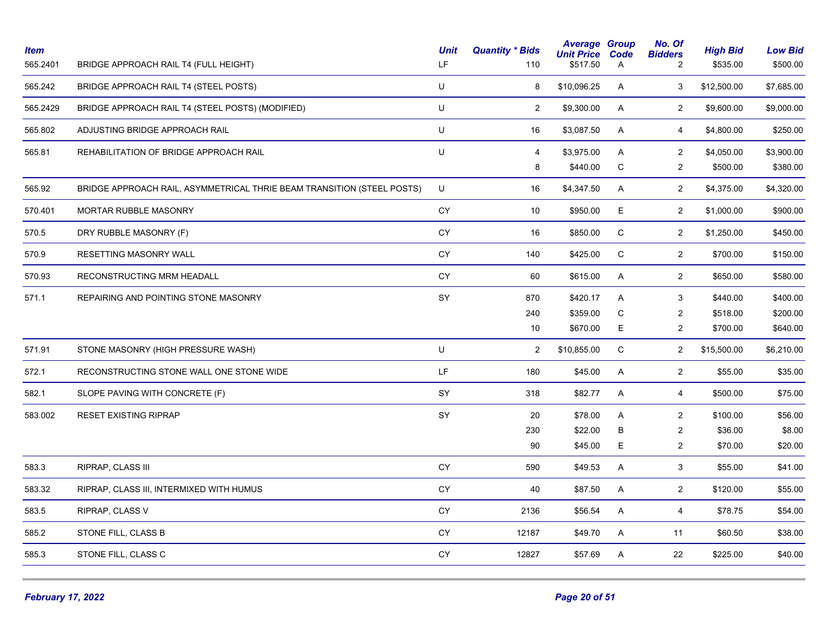| <b>Item</b><br>565.2401 | BRIDGE APPROACH RAIL T4 (FULL HEIGHT)                                  | <b>Unit</b><br>LF | <b>Quantity * Bids</b><br>110 | <b>Average Group</b><br><b>Unit Price</b><br>\$517.50 | Code<br>Α | No. Of<br><b>Bidders</b><br>2 | <b>High Bid</b><br>\$535.00 | <b>Low Bid</b><br>\$500.00 |
|-------------------------|------------------------------------------------------------------------|-------------------|-------------------------------|-------------------------------------------------------|-----------|-------------------------------|-----------------------------|----------------------------|
| 565.242                 | BRIDGE APPROACH RAIL T4 (STEEL POSTS)                                  | U                 | 8                             | \$10,096.25                                           | A         | 3                             | \$12,500.00                 | \$7,685.00                 |
| 565.2429                | BRIDGE APPROACH RAIL T4 (STEEL POSTS) (MODIFIED)                       | U                 | $\overline{2}$                | \$9,300.00                                            | A         | $\overline{2}$                | \$9,600.00                  | \$9,000.00                 |
| 565.802                 | ADJUSTING BRIDGE APPROACH RAIL                                         | U                 | 16                            | \$3,087.50                                            | A         | $\overline{4}$                | \$4,800.00                  | \$250.00                   |
| 565.81                  | REHABILITATION OF BRIDGE APPROACH RAIL                                 | U                 | $\overline{4}$                | \$3,975.00                                            | A         | $\overline{2}$                | \$4,050.00                  | \$3,900.00                 |
|                         |                                                                        |                   | 8                             | \$440.00                                              | ${\bf C}$ | $\overline{c}$                | \$500.00                    | \$380.00                   |
| 565.92                  | BRIDGE APPROACH RAIL, ASYMMETRICAL THRIE BEAM TRANSITION (STEEL POSTS) | U                 | 16                            | \$4,347.50                                            | A         | $\overline{2}$                | \$4,375.00                  | \$4,320.00                 |
| 570.401                 | <b>MORTAR RUBBLE MASONRY</b>                                           | <b>CY</b>         | 10                            | \$950.00                                              | E         | $\overline{2}$                | \$1,000.00                  | \$900.00                   |
| 570.5                   | DRY RUBBLE MASONRY (F)                                                 | CY                | 16                            | \$850.00                                              | C         | $\overline{2}$                | \$1,250.00                  | \$450.00                   |
| 570.9                   | RESETTING MASONRY WALL                                                 | <b>CY</b>         | 140                           | \$425.00                                              | ${\bf C}$ | $\overline{2}$                | \$700.00                    | \$150.00                   |
| 570.93                  | RECONSTRUCTING MRM HEADALL                                             | CY                | 60                            | \$615.00                                              | Α         | $\overline{2}$                | \$650.00                    | \$580.00                   |
| 571.1                   | REPAIRING AND POINTING STONE MASONRY                                   | SY                | 870                           | \$420.17                                              | A         | 3                             | \$440.00                    | \$400.00                   |
|                         |                                                                        |                   | 240                           | \$359.00                                              | C         | $\overline{2}$                | \$518.00                    | \$200.00                   |
|                         |                                                                        |                   | 10                            | \$670.00                                              | E.        | $\overline{2}$                | \$700.00                    | \$640.00                   |
| 571.91                  | STONE MASONRY (HIGH PRESSURE WASH)                                     | U                 | $\overline{2}$                | \$10,855.00                                           | C         | $\overline{2}$                | \$15,500.00                 | \$6,210.00                 |
| 572.1                   | RECONSTRUCTING STONE WALL ONE STONE WIDE                               | LF.               | 180                           | \$45.00                                               | Α         | $\overline{2}$                | \$55.00                     | \$35.00                    |
| 582.1                   | SLOPE PAVING WITH CONCRETE (F)                                         | SY                | 318                           | \$82.77                                               | A         | $\overline{4}$                | \$500.00                    | \$75.00                    |
| 583.002                 | RESET EXISTING RIPRAP                                                  | SY                | 20                            | \$78.00                                               | A         | $\overline{c}$                | \$100.00                    | \$56.00                    |
|                         |                                                                        |                   | 230                           | \$22.00                                               | B         | $\overline{2}$                | \$36.00                     | \$8.00                     |
|                         |                                                                        |                   | 90                            | \$45.00                                               | E         | $\overline{2}$                | \$70.00                     | \$20.00                    |
| 583.3                   | RIPRAP, CLASS III                                                      | CY                | 590                           | \$49.53                                               | A         | 3 <sup>1</sup>                | \$55.00                     | \$41.00                    |
| 583.32                  | RIPRAP, CLASS III, INTERMIXED WITH HUMUS                               | CY                | 40                            | \$87.50                                               | A         | $\overline{2}$                | \$120.00                    | \$55.00                    |
| 583.5                   | RIPRAP, CLASS V                                                        | CY                | 2136                          | \$56.54                                               | A         | 4                             | \$78.75                     | \$54.00                    |
| 585.2                   | STONE FILL, CLASS B                                                    | CY                | 12187                         | \$49.70                                               | A         | 11                            | \$60.50                     | \$38.00                    |
| 585.3                   | STONE FILL, CLASS C                                                    | CY                | 12827                         | \$57.69                                               | Α         | 22                            | \$225.00                    | \$40.00                    |
|                         |                                                                        |                   |                               |                                                       |           |                               |                             |                            |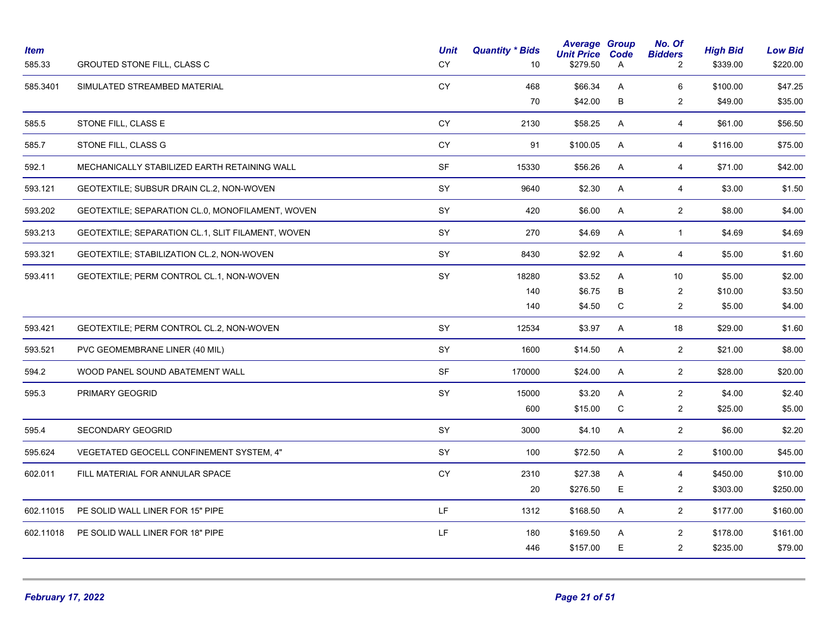| <b>Item</b><br>585.33 | <b>GROUTED STONE FILL, CLASS C</b>                | <b>Unit</b><br><b>CY</b> | <b>Quantity * Bids</b><br>10 | <b>Average Group</b><br><b>Unit Price</b><br>\$279.50 | Code<br>A | No. Of<br><b>Bidders</b><br>2 | <b>High Bid</b><br>\$339.00 | <b>Low Bid</b><br>\$220.00 |
|-----------------------|---------------------------------------------------|--------------------------|------------------------------|-------------------------------------------------------|-----------|-------------------------------|-----------------------------|----------------------------|
| 585.3401              | SIMULATED STREAMBED MATERIAL                      | CY                       | 468                          | \$66.34                                               | A         | 6                             | \$100.00                    | \$47.25                    |
|                       |                                                   |                          | 70                           | \$42.00                                               | B         | $\overline{c}$                | \$49.00                     | \$35.00                    |
| 585.5                 | STONE FILL, CLASS E                               | <b>CY</b>                | 2130                         | \$58.25                                               | A         | $\overline{4}$                | \$61.00                     | \$56.50                    |
| 585.7                 | STONE FILL, CLASS G                               | CY                       | 91                           | \$100.05                                              | A         | $\overline{4}$                | \$116.00                    | \$75.00                    |
| 592.1                 | MECHANICALLY STABILIZED EARTH RETAINING WALL      | SF                       | 15330                        | \$56.26                                               | A         | 4                             | \$71.00                     | \$42.00                    |
| 593.121               | GEOTEXTILE; SUBSUR DRAIN CL.2, NON-WOVEN          | SY                       | 9640                         | \$2.30                                                | A         | 4                             | \$3.00                      | \$1.50                     |
| 593.202               | GEOTEXTILE; SEPARATION CL.0, MONOFILAMENT, WOVEN  | SY                       | 420                          | \$6.00                                                | A         | $\overline{2}$                | \$8.00                      | \$4.00                     |
| 593.213               | GEOTEXTILE; SEPARATION CL.1, SLIT FILAMENT, WOVEN | SY                       | 270                          | \$4.69                                                | A         | $\mathbf{1}$                  | \$4.69                      | \$4.69                     |
| 593.321               | GEOTEXTILE; STABILIZATION CL.2, NON-WOVEN         | SY                       | 8430                         | \$2.92                                                | A         | $\overline{4}$                | \$5.00                      | \$1.60                     |
| 593.411               | GEOTEXTILE; PERM CONTROL CL.1, NON-WOVEN          | SY                       | 18280                        | \$3.52                                                | A         | 10                            | \$5.00                      | \$2.00                     |
|                       |                                                   |                          | 140                          | \$6.75                                                | В         | $\sqrt{2}$                    | \$10.00                     | \$3.50                     |
|                       |                                                   |                          | 140                          | \$4.50                                                | С         | $\overline{c}$                | \$5.00                      | \$4.00                     |
| 593.421               | GEOTEXTILE; PERM CONTROL CL.2, NON-WOVEN          | SY                       | 12534                        | \$3.97                                                | A         | 18                            | \$29.00                     | \$1.60                     |
| 593.521               | PVC GEOMEMBRANE LINER (40 MIL)                    | SY                       | 1600                         | \$14.50                                               | A         | $\overline{2}$                | \$21.00                     | \$8.00                     |
| 594.2                 | WOOD PANEL SOUND ABATEMENT WALL                   | <b>SF</b>                | 170000                       | \$24.00                                               | A         | $\overline{2}$                | \$28.00                     | \$20.00                    |
| 595.3                 | PRIMARY GEOGRID                                   | SY                       | 15000                        | \$3.20                                                | A         | $\overline{2}$                | \$4.00                      | \$2.40                     |
|                       |                                                   |                          | 600                          | \$15.00                                               | C         | 2                             | \$25.00                     | \$5.00                     |
| 595.4                 | SECONDARY GEOGRID                                 | SY                       | 3000                         | \$4.10                                                | Α         | $\overline{2}$                | \$6.00                      | \$2.20                     |
| 595.624               | VEGETATED GEOCELL CONFINEMENT SYSTEM, 4"          | SY                       | 100                          | \$72.50                                               | A         | $\overline{2}$                | \$100.00                    | \$45.00                    |
| 602.011               | FILL MATERIAL FOR ANNULAR SPACE                   | CY                       | 2310                         | \$27.38                                               | A         | $\overline{4}$                | \$450.00                    | \$10.00                    |
|                       |                                                   |                          | 20                           | \$276.50                                              | E         | $\overline{c}$                | \$303.00                    | \$250.00                   |
| 602.11015             | PE SOLID WALL LINER FOR 15" PIPE                  | LF.                      | 1312                         | \$168.50                                              | A         | $\overline{2}$                | \$177.00                    | \$160.00                   |
| 602.11018             | PE SOLID WALL LINER FOR 18" PIPE                  | LF.                      | 180                          | \$169.50                                              | A         | 2                             | \$178.00                    | \$161.00                   |
|                       |                                                   |                          | 446                          | \$157.00                                              | E.        | $\overline{2}$                | \$235.00                    | \$79.00                    |
|                       |                                                   |                          |                              |                                                       |           |                               |                             |                            |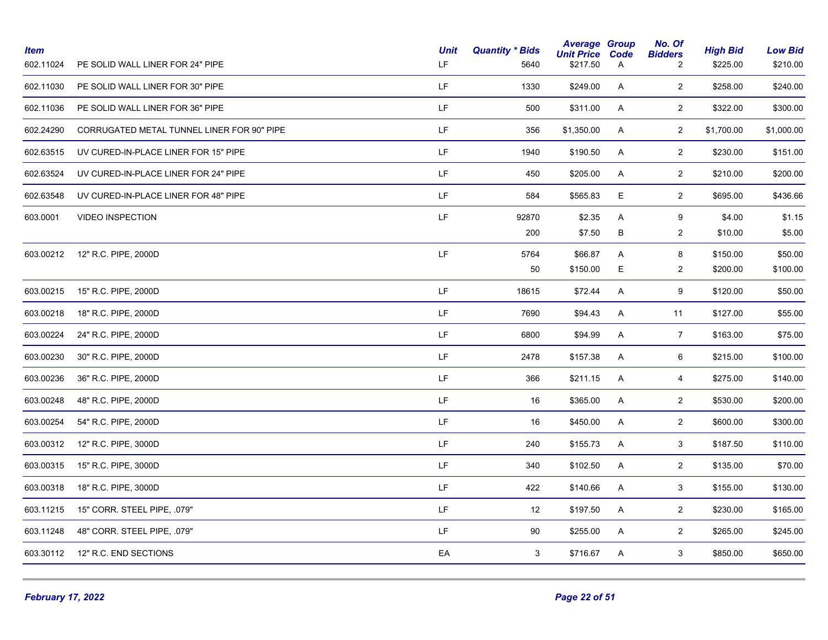| <b>Item</b><br>602.11024 | PE SOLID WALL LINER FOR 24" PIPE           | <b>Unit</b><br>LF. | <b>Quantity * Bids</b><br>5640 | <b>Average Group</b><br><b>Unit Price</b><br>\$217.50 | Code<br>A                 | No. Of<br><b>Bidders</b><br>$\overline{2}$ | <b>High Bid</b><br>\$225.00 | <b>Low Bid</b><br>\$210.00 |
|--------------------------|--------------------------------------------|--------------------|--------------------------------|-------------------------------------------------------|---------------------------|--------------------------------------------|-----------------------------|----------------------------|
| 602.11030                | PE SOLID WALL LINER FOR 30" PIPE           | LF.                | 1330                           | \$249.00                                              | A                         | $\overline{2}$                             | \$258.00                    | \$240.00                   |
| 602.11036                | PE SOLID WALL LINER FOR 36" PIPE           | LF.                | 500                            | \$311.00                                              | A                         | $\overline{2}$                             | \$322.00                    | \$300.00                   |
| 602.24290                | CORRUGATED METAL TUNNEL LINER FOR 90" PIPE | LF.                | 356                            | \$1,350.00                                            | A                         | $\overline{2}$                             | \$1,700.00                  | \$1,000.00                 |
| 602.63515                | UV CURED-IN-PLACE LINER FOR 15" PIPE       | LF.                | 1940                           | \$190.50                                              | A                         | $\overline{2}$                             | \$230.00                    | \$151.00                   |
| 602.63524                | UV CURED-IN-PLACE LINER FOR 24" PIPE       | LF.                | 450                            | \$205.00                                              | A                         | $\overline{2}$                             | \$210.00                    | \$200.00                   |
| 602.63548                | UV CURED-IN-PLACE LINER FOR 48" PIPE       | LF.                | 584                            | \$565.83                                              | E                         | $\overline{2}$                             | \$695.00                    | \$436.66                   |
| 603.0001                 | <b>VIDEO INSPECTION</b>                    | LF.                | 92870<br>200                   | \$2.35<br>\$7.50                                      | A<br>В                    | 9<br>$\overline{2}$                        | \$4.00<br>\$10.00           | \$1.15<br>\$5.00           |
| 603.00212                | 12" R.C. PIPE, 2000D                       | LF                 | 5764<br>50                     | \$66.87<br>\$150.00                                   | A<br>Е                    | 8<br>$\overline{2}$                        | \$150.00<br>\$200.00        | \$50.00<br>\$100.00        |
| 603.00215                | 15" R.C. PIPE, 2000D                       | LF.                | 18615                          | \$72.44                                               | A                         | 9                                          | \$120.00                    | \$50.00                    |
| 603.00218                | 18" R.C. PIPE, 2000D                       | LF.                | 7690                           | \$94.43                                               | A                         | 11                                         | \$127.00                    | \$55.00                    |
| 603.00224                | 24" R.C. PIPE, 2000D                       | LF.                | 6800                           | \$94.99                                               | A                         | $\overline{7}$                             | \$163.00                    | \$75.00                    |
| 603.00230                | 30" R.C. PIPE, 2000D                       | LF.                | 2478                           | \$157.38                                              | A                         | 6                                          | \$215.00                    | \$100.00                   |
| 603.00236                | 36" R.C. PIPE, 2000D                       | LF.                | 366                            | \$211.15                                              | A                         | $\overline{4}$                             | \$275.00                    | \$140.00                   |
| 603.00248                | 48" R.C. PIPE, 2000D                       | LF.                | 16                             | \$365.00                                              | A                         | $\overline{2}$                             | \$530.00                    | \$200.00                   |
| 603.00254                | 54" R.C. PIPE, 2000D                       | LF.                | 16                             | \$450.00                                              | A                         | $\overline{2}$                             | \$600.00                    | \$300.00                   |
| 603.00312                | 12" R.C. PIPE, 3000D                       | LF.                | 240                            | \$155.73                                              | A                         | 3                                          | \$187.50                    | \$110.00                   |
| 603.00315                | 15" R.C. PIPE, 3000D                       | LF.                | 340                            | \$102.50                                              | $\boldsymbol{\mathsf{A}}$ | $\overline{2}$                             | \$135.00                    | \$70.00                    |
| 603.00318                | 18" R.C. PIPE, 3000D                       | LF.                | 422                            | \$140.66                                              | A                         | 3                                          | \$155.00                    | \$130.00                   |
| 603.11215                | 15" CORR. STEEL PIPE, .079"                | LF.                | 12                             | \$197.50                                              | A                         | $\overline{2}$                             | \$230.00                    | \$165.00                   |
| 603.11248                | 48" CORR. STEEL PIPE, .079"                | LF.                | 90                             | \$255.00                                              | A                         | $\overline{2}$                             | \$265.00                    | \$245.00                   |
| 603.30112                | 12" R.C. END SECTIONS                      | EA                 | 3                              | \$716.67                                              | A                         | $\mathbf{3}$                               | \$850.00                    | \$650.00                   |
|                          |                                            |                    |                                |                                                       |                           |                                            |                             |                            |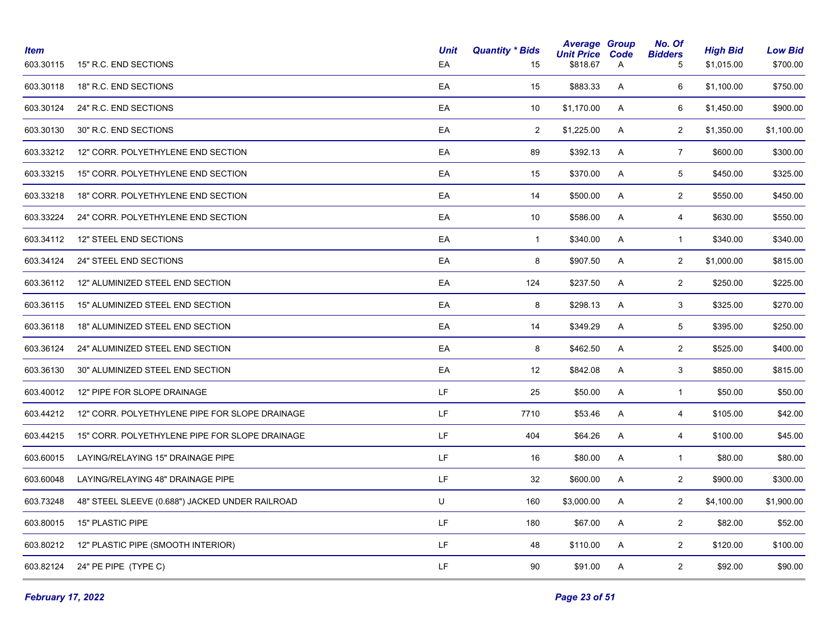| <b>Item</b><br>603.30115 | 15" R.C. END SECTIONS                           | <b>Unit</b><br>EA                                                                           | <b>Quantity * Bids</b><br>15 | <b>Average Group</b><br><b>Unit Price</b><br>\$818.67 | Code<br>$\mathsf{A}$ | No. Of<br><b>Bidders</b><br>5 | <b>High Bid</b><br>\$1,015.00 | <b>Low Bid</b><br>\$700.00 |
|--------------------------|-------------------------------------------------|---------------------------------------------------------------------------------------------|------------------------------|-------------------------------------------------------|----------------------|-------------------------------|-------------------------------|----------------------------|
| 603.30118                | 18" R.C. END SECTIONS                           | EA                                                                                          | 15                           | \$883.33                                              | A                    | 6                             | \$1,100.00                    | \$750.00                   |
| 603.30124                | 24" R.C. END SECTIONS                           | EA                                                                                          | 10                           | \$1,170.00                                            | A                    | 6                             | \$1,450.00                    | \$900.00                   |
| 603.30130                | 30" R.C. END SECTIONS                           | EA                                                                                          | $\overline{2}$               | \$1,225.00                                            | A                    | $\overline{2}$                | \$1,350.00                    | \$1,100.00                 |
| 603.33212                | 12" CORR. POLYETHYLENE END SECTION              | EA                                                                                          | 89                           | \$392.13                                              | $\mathsf{A}$         | $\overline{7}$                | \$600.00                      | \$300.00                   |
| 603.33215                | 15" CORR. POLYETHYLENE END SECTION              | EA                                                                                          | 15                           | \$370.00                                              | A                    | $5\phantom{.0}$               | \$450.00                      | \$325.00                   |
| 603.33218                | 18" CORR. POLYETHYLENE END SECTION              | EA                                                                                          | 14                           | \$500.00                                              | A                    | $\overline{2}$                | \$550.00                      | \$450.00                   |
| 603.33224                | 24" CORR. POLYETHYLENE END SECTION              | EA                                                                                          | 10                           | \$586.00                                              | $\mathsf{A}$         | $\overline{4}$                | \$630.00                      | \$550.00                   |
| 603.34112                | 12" STEEL END SECTIONS                          | EA                                                                                          | $\overline{1}$               | \$340.00                                              | $\mathsf{A}$         | $\mathbf{1}$                  | \$340.00                      | \$340.00                   |
| 603.34124                | 24" STEEL END SECTIONS                          | EA                                                                                          | 8                            | \$907.50                                              | A                    | $\overline{2}$                | \$1,000.00                    | \$815.00                   |
| 603.36112                | 12" ALUMINIZED STEEL END SECTION                | EA                                                                                          | 124                          | \$237.50                                              | A                    | $\overline{2}$                | \$250.00                      | \$225.00                   |
| 603.36115                | 15" ALUMINIZED STEEL END SECTION                | EA                                                                                          | 8                            | \$298.13                                              | $\mathsf{A}$         | 3                             | \$325.00                      | \$270.00                   |
| 603.36118                | 18" ALUMINIZED STEEL END SECTION                | EA                                                                                          | 14                           | \$349.29                                              | $\mathsf{A}$         | 5                             | \$395.00                      | \$250.00                   |
| 603.36124                | 24" ALUMINIZED STEEL END SECTION                | EA                                                                                          | 8                            | \$462.50                                              | A                    | $\overline{2}$                | \$525.00                      | \$400.00                   |
| 603.36130                | 30" ALUMINIZED STEEL END SECTION                | EA                                                                                          | 12                           | \$842.08                                              | A                    | 3                             | \$850.00                      | \$815.00                   |
| 603.40012                | 12" PIPE FOR SLOPE DRAINAGE                     | LF                                                                                          | 25                           | \$50.00                                               | $\mathsf{A}$         | $\mathbf{1}$                  | \$50.00                       | \$50.00                    |
| 603.44212                | 12" CORR. POLYETHYLENE PIPE FOR SLOPE DRAINAGE  | LF.                                                                                         | 7710                         | \$53.46                                               | $\mathsf{A}$         | $\overline{4}$                | \$105.00                      | \$42.00                    |
| 603.44215                | 15" CORR. POLYETHYLENE PIPE FOR SLOPE DRAINAGE  | $\mathsf{LF}% _{0}\left( \mathcal{N}\right) \equiv\mathsf{LF}_{0}\left( \mathcal{N}\right)$ | 404                          | \$64.26                                               | A                    | $\overline{4}$                | \$100.00                      | \$45.00                    |
| 603.60015                | LAYING/RELAYING 15" DRAINAGE PIPE               | LF                                                                                          | 16                           | \$80.00                                               | A                    | $\mathbf{1}$                  | \$80.00                       | \$80.00                    |
| 603.60048                | LAYING/RELAYING 48" DRAINAGE PIPE               | LF                                                                                          | 32                           | \$600.00                                              | A                    | $\overline{2}$                | \$900.00                      | \$300.00                   |
| 603.73248                | 48" STEEL SLEEVE (0.688") JACKED UNDER RAILROAD | U                                                                                           | 160                          | \$3,000.00                                            | A                    | $\overline{2}$                | \$4,100.00                    | \$1,900.00                 |
| 603.80015                | 15" PLASTIC PIPE                                | LF                                                                                          | 180                          | \$67.00                                               | A                    | $\overline{2}$                | \$82.00                       | \$52.00                    |
| 603.80212                | 12" PLASTIC PIPE (SMOOTH INTERIOR)              | LF                                                                                          | 48                           | \$110.00                                              | A                    | $\overline{2}$                | \$120.00                      | \$100.00                   |
| 603.82124                | 24" PE PIPE (TYPE C)                            | LF                                                                                          | 90                           | \$91.00                                               | A                    | $\overline{2}$                | \$92.00                       | \$90.00                    |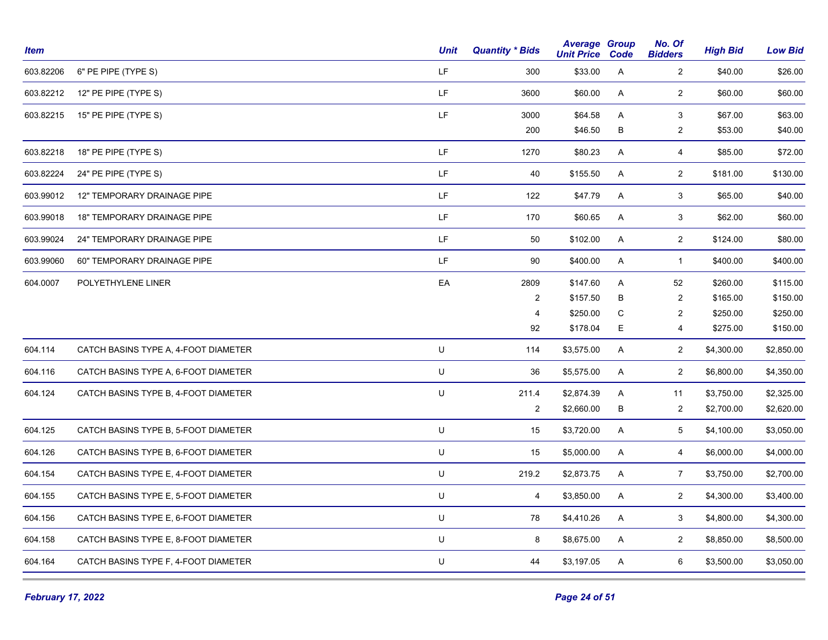| <b>Item</b> |                                      | <b>Unit</b> | <b>Quantity * Bids</b> | <b>Average Group</b><br><b>Unit Price</b> | Code        | No. Of<br><b>Bidders</b> | <b>High Bid</b> | <b>Low Bid</b> |
|-------------|--------------------------------------|-------------|------------------------|-------------------------------------------|-------------|--------------------------|-----------------|----------------|
| 603.82206   | 6" PE PIPE (TYPE S)                  | LF          | 300                    | \$33.00                                   | A           | $\overline{2}$           | \$40.00         | \$26.00        |
| 603.82212   | 12" PE PIPE (TYPE S)                 | LF          | 3600                   | \$60.00                                   | A           | $\overline{2}$           | \$60.00         | \$60.00        |
| 603.82215   | 15" PE PIPE (TYPE S)                 | LF          | 3000                   | \$64.58                                   | A           | 3                        | \$67.00         | \$63.00        |
|             |                                      |             | 200                    | \$46.50                                   | В           | $\mathbf{2}$             | \$53.00         | \$40.00        |
| 603.82218   | 18" PE PIPE (TYPE S)                 | LF.         | 1270                   | \$80.23                                   | A           | $\overline{4}$           | \$85.00         | \$72.00        |
| 603.82224   | 24" PE PIPE (TYPE S)                 | LF.         | 40                     | \$155.50                                  | A           | $\overline{2}$           | \$181.00        | \$130.00       |
| 603.99012   | 12" TEMPORARY DRAINAGE PIPE          | LF.         | 122                    | \$47.79                                   | Α           | 3                        | \$65.00         | \$40.00        |
| 603.99018   | <b>18" TEMPORARY DRAINAGE PIPE</b>   | LF.         | 170                    | \$60.65                                   | A           | $\mathbf{3}$             | \$62.00         | \$60.00        |
| 603.99024   | 24" TEMPORARY DRAINAGE PIPE          | LF.         | 50                     | \$102.00                                  | Α           | $\overline{c}$           | \$124.00        | \$80.00        |
| 603.99060   | 60" TEMPORARY DRAINAGE PIPE          | LF.         | 90                     | \$400.00                                  | Α           | $\mathbf{1}$             | \$400.00        | \$400.00       |
| 604.0007    | POLYETHYLENE LINER                   | EA          | 2809                   | \$147.60                                  | A           | 52                       | \$260.00        | \$115.00       |
|             |                                      |             | $\overline{2}$         | \$157.50                                  | В           | $\sqrt{2}$               | \$165.00        | \$150.00       |
|             |                                      |             | $\overline{4}$         | \$250.00                                  | $\mathsf C$ | $\sqrt{2}$               | \$250.00        | \$250.00       |
|             |                                      |             | 92                     | \$178.04                                  | E           | 4                        | \$275.00        | \$150.00       |
| 604.114     | CATCH BASINS TYPE A, 4-FOOT DIAMETER | $\sf U$     | 114                    | \$3,575.00                                | A           | $\overline{a}$           | \$4,300.00      | \$2,850.00     |
| 604.116     | CATCH BASINS TYPE A, 6-FOOT DIAMETER | $\sf U$     | 36                     | \$5,575.00                                | A           | $\overline{a}$           | \$6,800.00      | \$4,350.00     |
| 604.124     | CATCH BASINS TYPE B, 4-FOOT DIAMETER | $\sf U$     | 211.4                  | \$2,874.39                                | A           | 11                       | \$3,750.00      | \$2,325.00     |
|             |                                      |             | $\overline{2}$         | \$2,660.00                                | $\sf B$     | $\mathbf{2}$             | \$2,700.00      | \$2,620.00     |
| 604.125     | CATCH BASINS TYPE B, 5-FOOT DIAMETER | $\sf U$     | 15                     | \$3,720.00                                | Α           | $\,$ 5 $\,$              | \$4,100.00      | \$3,050.00     |
| 604.126     | CATCH BASINS TYPE B, 6-FOOT DIAMETER | $\sf U$     | 15                     | \$5,000.00                                | Α           | 4                        | \$6,000.00      | \$4,000.00     |
| 604.154     | CATCH BASINS TYPE E, 4-FOOT DIAMETER | $\sf U$     | 219.2                  | \$2,873.75                                | Α           | $\overline{7}$           | \$3,750.00      | \$2,700.00     |
| 604.155     | CATCH BASINS TYPE E, 5-FOOT DIAMETER | $\sf U$     | 4                      | \$3,850.00                                | A           | $\overline{2}$           | \$4,300.00      | \$3,400.00     |
| 604.156     | CATCH BASINS TYPE E, 6-FOOT DIAMETER | $\sf U$     | 78                     | \$4,410.26                                | A           | $\mathbf{3}$             | \$4,800.00      | \$4,300.00     |
| 604.158     | CATCH BASINS TYPE E, 8-FOOT DIAMETER | $\sf U$     | 8                      | \$8,675.00                                | A           | $\overline{2}$           | \$8,850.00      | \$8,500.00     |
| 604.164     | CATCH BASINS TYPE F, 4-FOOT DIAMETER | U           | 44                     | \$3,197.05                                | A           | 6                        | \$3,500.00      | \$3,050.00     |
|             |                                      |             |                        |                                           |             |                          |                 |                |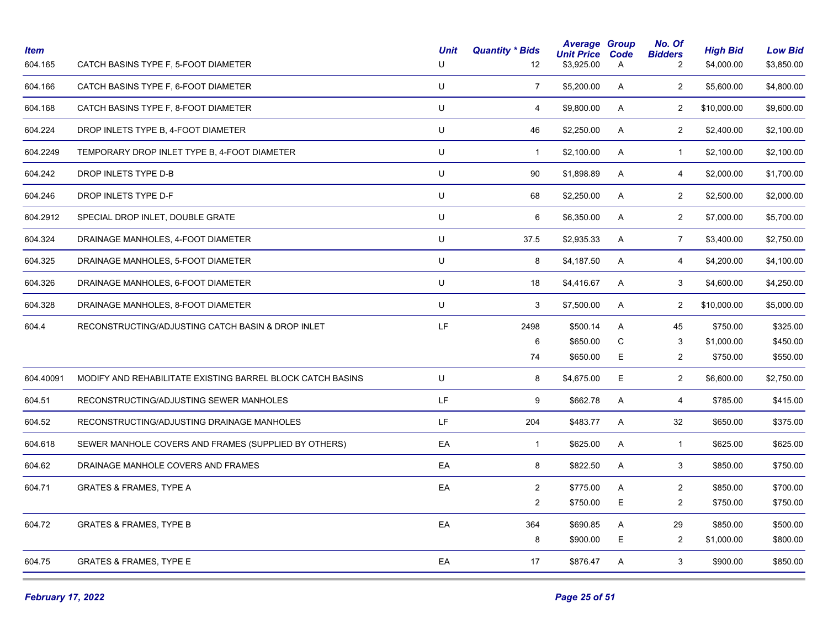| <b>Item</b><br>604.165 | CATCH BASINS TYPE F, 5-FOOT DIAMETER                       | <b>Unit</b><br>U | <b>Quantity * Bids</b><br>12 | <b>Average Group</b><br><b>Unit Price</b><br>\$3,925.00 | Code<br>A | No. Of<br><b>Bidders</b><br>2 | <b>High Bid</b><br>\$4,000.00 | <b>Low Bid</b><br>\$3,850.00 |
|------------------------|------------------------------------------------------------|------------------|------------------------------|---------------------------------------------------------|-----------|-------------------------------|-------------------------------|------------------------------|
| 604.166                | CATCH BASINS TYPE F, 6-FOOT DIAMETER                       | U                | $\overline{7}$               | \$5,200.00                                              | A         | $\overline{2}$                | \$5,600.00                    | \$4,800.00                   |
| 604.168                | CATCH BASINS TYPE F, 8-FOOT DIAMETER                       | $\sf U$          | 4                            | \$9,800.00                                              | A         | $\overline{2}$                | \$10,000.00                   | \$9,600.00                   |
| 604.224                | DROP INLETS TYPE B, 4-FOOT DIAMETER                        | U                | 46                           | \$2,250.00                                              | Α         | $\overline{2}$                | \$2,400.00                    | \$2,100.00                   |
| 604.2249               | TEMPORARY DROP INLET TYPE B, 4-FOOT DIAMETER               | $\sf U$          | $\mathbf{1}$                 | \$2,100.00                                              | A         | $\mathbf{1}$                  | \$2,100.00                    | \$2,100.00                   |
| 604.242                | DROP INLETS TYPE D-B                                       | U                | 90                           | \$1,898.89                                              | A         | $\overline{4}$                | \$2,000.00                    | \$1,700.00                   |
| 604.246                | DROP INLETS TYPE D-F                                       | U                | 68                           | \$2,250.00                                              | A         | $\overline{2}$                | \$2,500.00                    | \$2,000.00                   |
| 604.2912               | SPECIAL DROP INLET, DOUBLE GRATE                           | $\sf U$          | 6                            | \$6,350.00                                              | A         | $\overline{2}$                | \$7,000.00                    | \$5,700.00                   |
| 604.324                | DRAINAGE MANHOLES, 4-FOOT DIAMETER                         | $\sf U$          | 37.5                         | \$2,935.33                                              | A         | $\overline{7}$                | \$3,400.00                    | \$2,750.00                   |
| 604.325                | DRAINAGE MANHOLES, 5-FOOT DIAMETER                         | U                | 8                            | \$4,187.50                                              | A         | 4                             | \$4,200.00                    | \$4,100.00                   |
| 604.326                | DRAINAGE MANHOLES, 6-FOOT DIAMETER                         | U                | 18                           | \$4,416.67                                              | Α         | 3                             | \$4,600.00                    | \$4,250.00                   |
| 604.328                | DRAINAGE MANHOLES, 8-FOOT DIAMETER                         | U                | 3                            | \$7,500.00                                              | A         | $\overline{2}$                | \$10,000.00                   | \$5,000.00                   |
| 604.4                  | RECONSTRUCTING/ADJUSTING CATCH BASIN & DROP INLET          | LF               | 2498                         | \$500.14                                                | A         | 45                            | \$750.00                      | \$325.00                     |
|                        |                                                            |                  | 6                            | \$650.00                                                | C         | 3                             | \$1,000.00                    | \$450.00                     |
|                        |                                                            |                  | 74                           | \$650.00                                                | E         | $\overline{2}$                | \$750.00                      | \$550.00                     |
| 604.40091              | MODIFY AND REHABILITATE EXISTING BARREL BLOCK CATCH BASINS | U                | 8                            | \$4,675.00                                              | E         | $\overline{2}$                | \$6,600.00                    | \$2,750.00                   |
| 604.51                 | RECONSTRUCTING/ADJUSTING SEWER MANHOLES                    | LF.              | 9                            | \$662.78                                                | Α         | $\overline{4}$                | \$785.00                      | \$415.00                     |
| 604.52                 | RECONSTRUCTING/ADJUSTING DRAINAGE MANHOLES                 | LF.              | 204                          | \$483.77                                                | A         | 32                            | \$650.00                      | \$375.00                     |
| 604.618                | SEWER MANHOLE COVERS AND FRAMES (SUPPLIED BY OTHERS)       | EA               | $\mathbf{1}$                 | \$625.00                                                | Α         | $\mathbf{1}$                  | \$625.00                      | \$625.00                     |
| 604.62                 | DRAINAGE MANHOLE COVERS AND FRAMES                         | EA               | 8                            | \$822.50                                                | A         | 3                             | \$850.00                      | \$750.00                     |
| 604.71                 | <b>GRATES &amp; FRAMES, TYPE A</b>                         | EA               | $\overline{2}$               | \$775.00                                                | A         | $\overline{2}$                | \$850.00                      | \$700.00                     |
|                        |                                                            |                  | $\overline{2}$               | \$750.00                                                | E         | $\overline{c}$                | \$750.00                      | \$750.00                     |
| 604.72                 | <b>GRATES &amp; FRAMES, TYPE B</b>                         | EA               | 364                          | \$690.85                                                | A         | 29                            | \$850.00                      | \$500.00                     |
|                        |                                                            |                  | 8                            | \$900.00                                                | E         | $\overline{2}$                | \$1,000.00                    | \$800.00                     |
| 604.75                 | <b>GRATES &amp; FRAMES, TYPE E</b>                         | EA               | 17                           | \$876.47                                                | A         | 3                             | \$900.00                      | \$850.00                     |
|                        |                                                            |                  |                              |                                                         |           |                               |                               |                              |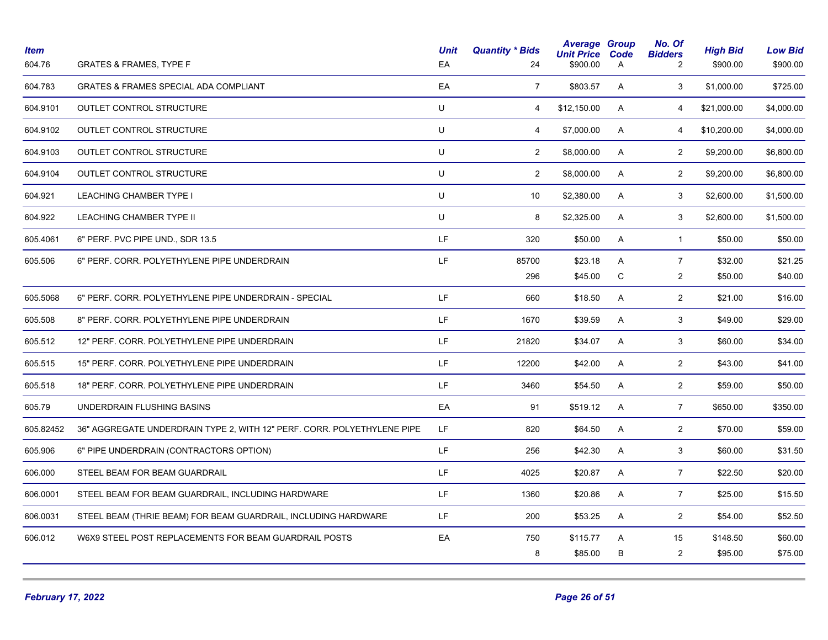| <b>GRATES &amp; FRAMES SPECIAL ADA COMPLIANT</b><br>EA<br>3<br>$\overline{7}$<br>\$803.57<br>A<br>\$1,000.00<br>\$725.00<br>U<br>OUTLET CONTROL STRUCTURE<br>\$12,150.00<br>A<br>\$21,000.00<br>\$4,000.00<br>4<br>4<br>OUTLET CONTROL STRUCTURE<br>U<br>\$7,000.00<br>A<br>\$10,200.00<br>\$4,000.00<br>4<br>4<br>U<br>OUTLET CONTROL STRUCTURE<br>$\overline{2}$<br>\$8,000.00<br>$\overline{2}$<br>\$6,800.00<br>A<br>\$9,200.00<br>OUTLET CONTROL STRUCTURE<br>U<br>$\overline{2}$<br>$\overline{2}$<br>\$8,000.00<br>A<br>\$9,200.00<br>\$6,800.00<br>U<br>LEACHING CHAMBER TYPE I<br>10<br>\$2,380.00<br>A<br>3<br>\$2,600.00<br>\$1,500.00<br>U<br>LEACHING CHAMBER TYPE II<br>8<br>\$2,325.00<br>A<br>3<br>\$2,600.00<br>\$1,500.00<br>LF.<br>\$50.00<br>A<br>\$50.00<br>6" PERF. PVC PIPE UND., SDR 13.5<br>320<br>$\overline{1}$<br>\$50.00<br>LF.<br>$\overline{7}$<br>\$21.25<br>85700<br>\$23.18<br>A<br>\$32.00<br>6" PERF. CORR. POLYETHYLENE PIPE UNDERDRAIN<br>$\mathsf{C}$<br>296<br>\$45.00<br>$\overline{c}$<br>\$50.00<br>\$40.00<br>LF.<br>$\overline{2}$<br>6" PERF. CORR. POLYETHYLENE PIPE UNDERDRAIN - SPECIAL<br>660<br>\$18.50<br>A<br>\$21.00<br>\$16.00<br>LF.<br>3<br>\$29.00<br>8" PERF. CORR. POLYETHYLENE PIPE UNDERDRAIN<br>1670<br>\$39.59<br>A<br>\$49.00<br>12" PERF. CORR. POLYETHYLENE PIPE UNDERDRAIN<br>LF.<br>3<br>21820<br>\$34.07<br>A<br>\$60.00<br>\$34.00<br>LF.<br>$\overline{2}$<br>15" PERF. CORR. POLYETHYLENE PIPE UNDERDRAIN<br>12200<br>\$42.00<br>A<br>\$43.00<br>\$41.00<br>$\overline{2}$<br>LF.<br>18" PERF. CORR. POLYETHYLENE PIPE UNDERDRAIN<br>3460<br>\$54.50<br>A<br>\$59.00<br>\$50.00<br>UNDERDRAIN FLUSHING BASINS<br>EA<br>91<br>\$519.12<br>A<br>$\overline{7}$<br>\$650.00<br>\$350.00<br>LF.<br>\$64.50<br>$\overline{2}$<br>36" AGGREGATE UNDERDRAIN TYPE 2, WITH 12" PERF. CORR. POLYETHYLENE PIPE<br>820<br>A<br>\$70.00<br>\$59.00<br>LF.<br>$\mathbf{3}$<br>\$42.30<br>A<br>\$60.00<br>\$31.50<br>6" PIPE UNDERDRAIN (CONTRACTORS OPTION)<br>256<br>LF.<br>STEEL BEAM FOR BEAM GUARDRAIL<br>4025<br>\$20.87<br>A<br>$\overline{7}$<br>\$22.50<br>\$20.00<br>LF<br>STEEL BEAM FOR BEAM GUARDRAIL, INCLUDING HARDWARE<br>1360<br>\$20.86<br>A<br>$\overline{7}$<br>\$25.00<br>\$15.50<br>LF.<br>$\overline{2}$<br>STEEL BEAM (THRIE BEAM) FOR BEAM GUARDRAIL, INCLUDING HARDWARE<br>\$53.25<br>A<br>\$54.00<br>\$52.50<br>200<br>EA<br>\$148.50<br>\$60.00<br>W6X9 STEEL POST REPLACEMENTS FOR BEAM GUARDRAIL POSTS<br>750<br>\$115.77<br>A<br>15<br>8<br>\$85.00<br>B<br>2<br>\$75.00<br>\$95.00 | <b>Item</b><br>604.76 | <b>GRATES &amp; FRAMES, TYPE F</b> | <b>Unit</b><br>EA | <b>Quantity * Bids</b><br>24 | <b>Average Group</b><br><b>Unit Price</b><br>\$900.00 | Code<br>A | No. Of<br><b>Bidders</b><br>$\overline{2}$ | <b>High Bid</b><br>\$900.00 | <b>Low Bid</b><br>\$900.00 |
|------------------------------------------------------------------------------------------------------------------------------------------------------------------------------------------------------------------------------------------------------------------------------------------------------------------------------------------------------------------------------------------------------------------------------------------------------------------------------------------------------------------------------------------------------------------------------------------------------------------------------------------------------------------------------------------------------------------------------------------------------------------------------------------------------------------------------------------------------------------------------------------------------------------------------------------------------------------------------------------------------------------------------------------------------------------------------------------------------------------------------------------------------------------------------------------------------------------------------------------------------------------------------------------------------------------------------------------------------------------------------------------------------------------------------------------------------------------------------------------------------------------------------------------------------------------------------------------------------------------------------------------------------------------------------------------------------------------------------------------------------------------------------------------------------------------------------------------------------------------------------------------------------------------------------------------------------------------------------------------------------------------------------------------------------------------------------------------------------------------------------------------------------------------------------------------------------------------------------------------------------------------------------------------------------------------------------------------------------------------------------------------------------------------------------------------------------------------------------------------------------------------------------------------------------------------------------|-----------------------|------------------------------------|-------------------|------------------------------|-------------------------------------------------------|-----------|--------------------------------------------|-----------------------------|----------------------------|
|                                                                                                                                                                                                                                                                                                                                                                                                                                                                                                                                                                                                                                                                                                                                                                                                                                                                                                                                                                                                                                                                                                                                                                                                                                                                                                                                                                                                                                                                                                                                                                                                                                                                                                                                                                                                                                                                                                                                                                                                                                                                                                                                                                                                                                                                                                                                                                                                                                                                                                                                                                              | 604.783               |                                    |                   |                              |                                                       |           |                                            |                             |                            |
|                                                                                                                                                                                                                                                                                                                                                                                                                                                                                                                                                                                                                                                                                                                                                                                                                                                                                                                                                                                                                                                                                                                                                                                                                                                                                                                                                                                                                                                                                                                                                                                                                                                                                                                                                                                                                                                                                                                                                                                                                                                                                                                                                                                                                                                                                                                                                                                                                                                                                                                                                                              | 604.9101              |                                    |                   |                              |                                                       |           |                                            |                             |                            |
|                                                                                                                                                                                                                                                                                                                                                                                                                                                                                                                                                                                                                                                                                                                                                                                                                                                                                                                                                                                                                                                                                                                                                                                                                                                                                                                                                                                                                                                                                                                                                                                                                                                                                                                                                                                                                                                                                                                                                                                                                                                                                                                                                                                                                                                                                                                                                                                                                                                                                                                                                                              | 604.9102              |                                    |                   |                              |                                                       |           |                                            |                             |                            |
|                                                                                                                                                                                                                                                                                                                                                                                                                                                                                                                                                                                                                                                                                                                                                                                                                                                                                                                                                                                                                                                                                                                                                                                                                                                                                                                                                                                                                                                                                                                                                                                                                                                                                                                                                                                                                                                                                                                                                                                                                                                                                                                                                                                                                                                                                                                                                                                                                                                                                                                                                                              | 604.9103              |                                    |                   |                              |                                                       |           |                                            |                             |                            |
|                                                                                                                                                                                                                                                                                                                                                                                                                                                                                                                                                                                                                                                                                                                                                                                                                                                                                                                                                                                                                                                                                                                                                                                                                                                                                                                                                                                                                                                                                                                                                                                                                                                                                                                                                                                                                                                                                                                                                                                                                                                                                                                                                                                                                                                                                                                                                                                                                                                                                                                                                                              | 604.9104              |                                    |                   |                              |                                                       |           |                                            |                             |                            |
|                                                                                                                                                                                                                                                                                                                                                                                                                                                                                                                                                                                                                                                                                                                                                                                                                                                                                                                                                                                                                                                                                                                                                                                                                                                                                                                                                                                                                                                                                                                                                                                                                                                                                                                                                                                                                                                                                                                                                                                                                                                                                                                                                                                                                                                                                                                                                                                                                                                                                                                                                                              | 604.921               |                                    |                   |                              |                                                       |           |                                            |                             |                            |
|                                                                                                                                                                                                                                                                                                                                                                                                                                                                                                                                                                                                                                                                                                                                                                                                                                                                                                                                                                                                                                                                                                                                                                                                                                                                                                                                                                                                                                                                                                                                                                                                                                                                                                                                                                                                                                                                                                                                                                                                                                                                                                                                                                                                                                                                                                                                                                                                                                                                                                                                                                              | 604.922               |                                    |                   |                              |                                                       |           |                                            |                             |                            |
|                                                                                                                                                                                                                                                                                                                                                                                                                                                                                                                                                                                                                                                                                                                                                                                                                                                                                                                                                                                                                                                                                                                                                                                                                                                                                                                                                                                                                                                                                                                                                                                                                                                                                                                                                                                                                                                                                                                                                                                                                                                                                                                                                                                                                                                                                                                                                                                                                                                                                                                                                                              | 605.4061              |                                    |                   |                              |                                                       |           |                                            |                             |                            |
|                                                                                                                                                                                                                                                                                                                                                                                                                                                                                                                                                                                                                                                                                                                                                                                                                                                                                                                                                                                                                                                                                                                                                                                                                                                                                                                                                                                                                                                                                                                                                                                                                                                                                                                                                                                                                                                                                                                                                                                                                                                                                                                                                                                                                                                                                                                                                                                                                                                                                                                                                                              | 605.506               |                                    |                   |                              |                                                       |           |                                            |                             |                            |
|                                                                                                                                                                                                                                                                                                                                                                                                                                                                                                                                                                                                                                                                                                                                                                                                                                                                                                                                                                                                                                                                                                                                                                                                                                                                                                                                                                                                                                                                                                                                                                                                                                                                                                                                                                                                                                                                                                                                                                                                                                                                                                                                                                                                                                                                                                                                                                                                                                                                                                                                                                              |                       |                                    |                   |                              |                                                       |           |                                            |                             |                            |
|                                                                                                                                                                                                                                                                                                                                                                                                                                                                                                                                                                                                                                                                                                                                                                                                                                                                                                                                                                                                                                                                                                                                                                                                                                                                                                                                                                                                                                                                                                                                                                                                                                                                                                                                                                                                                                                                                                                                                                                                                                                                                                                                                                                                                                                                                                                                                                                                                                                                                                                                                                              | 605.5068              |                                    |                   |                              |                                                       |           |                                            |                             |                            |
|                                                                                                                                                                                                                                                                                                                                                                                                                                                                                                                                                                                                                                                                                                                                                                                                                                                                                                                                                                                                                                                                                                                                                                                                                                                                                                                                                                                                                                                                                                                                                                                                                                                                                                                                                                                                                                                                                                                                                                                                                                                                                                                                                                                                                                                                                                                                                                                                                                                                                                                                                                              | 605.508               |                                    |                   |                              |                                                       |           |                                            |                             |                            |
|                                                                                                                                                                                                                                                                                                                                                                                                                                                                                                                                                                                                                                                                                                                                                                                                                                                                                                                                                                                                                                                                                                                                                                                                                                                                                                                                                                                                                                                                                                                                                                                                                                                                                                                                                                                                                                                                                                                                                                                                                                                                                                                                                                                                                                                                                                                                                                                                                                                                                                                                                                              | 605.512               |                                    |                   |                              |                                                       |           |                                            |                             |                            |
|                                                                                                                                                                                                                                                                                                                                                                                                                                                                                                                                                                                                                                                                                                                                                                                                                                                                                                                                                                                                                                                                                                                                                                                                                                                                                                                                                                                                                                                                                                                                                                                                                                                                                                                                                                                                                                                                                                                                                                                                                                                                                                                                                                                                                                                                                                                                                                                                                                                                                                                                                                              | 605.515               |                                    |                   |                              |                                                       |           |                                            |                             |                            |
|                                                                                                                                                                                                                                                                                                                                                                                                                                                                                                                                                                                                                                                                                                                                                                                                                                                                                                                                                                                                                                                                                                                                                                                                                                                                                                                                                                                                                                                                                                                                                                                                                                                                                                                                                                                                                                                                                                                                                                                                                                                                                                                                                                                                                                                                                                                                                                                                                                                                                                                                                                              | 605.518               |                                    |                   |                              |                                                       |           |                                            |                             |                            |
|                                                                                                                                                                                                                                                                                                                                                                                                                                                                                                                                                                                                                                                                                                                                                                                                                                                                                                                                                                                                                                                                                                                                                                                                                                                                                                                                                                                                                                                                                                                                                                                                                                                                                                                                                                                                                                                                                                                                                                                                                                                                                                                                                                                                                                                                                                                                                                                                                                                                                                                                                                              | 605.79                |                                    |                   |                              |                                                       |           |                                            |                             |                            |
|                                                                                                                                                                                                                                                                                                                                                                                                                                                                                                                                                                                                                                                                                                                                                                                                                                                                                                                                                                                                                                                                                                                                                                                                                                                                                                                                                                                                                                                                                                                                                                                                                                                                                                                                                                                                                                                                                                                                                                                                                                                                                                                                                                                                                                                                                                                                                                                                                                                                                                                                                                              | 605.82452             |                                    |                   |                              |                                                       |           |                                            |                             |                            |
|                                                                                                                                                                                                                                                                                                                                                                                                                                                                                                                                                                                                                                                                                                                                                                                                                                                                                                                                                                                                                                                                                                                                                                                                                                                                                                                                                                                                                                                                                                                                                                                                                                                                                                                                                                                                                                                                                                                                                                                                                                                                                                                                                                                                                                                                                                                                                                                                                                                                                                                                                                              | 605.906               |                                    |                   |                              |                                                       |           |                                            |                             |                            |
|                                                                                                                                                                                                                                                                                                                                                                                                                                                                                                                                                                                                                                                                                                                                                                                                                                                                                                                                                                                                                                                                                                                                                                                                                                                                                                                                                                                                                                                                                                                                                                                                                                                                                                                                                                                                                                                                                                                                                                                                                                                                                                                                                                                                                                                                                                                                                                                                                                                                                                                                                                              | 606.000               |                                    |                   |                              |                                                       |           |                                            |                             |                            |
|                                                                                                                                                                                                                                                                                                                                                                                                                                                                                                                                                                                                                                                                                                                                                                                                                                                                                                                                                                                                                                                                                                                                                                                                                                                                                                                                                                                                                                                                                                                                                                                                                                                                                                                                                                                                                                                                                                                                                                                                                                                                                                                                                                                                                                                                                                                                                                                                                                                                                                                                                                              | 606.0001              |                                    |                   |                              |                                                       |           |                                            |                             |                            |
|                                                                                                                                                                                                                                                                                                                                                                                                                                                                                                                                                                                                                                                                                                                                                                                                                                                                                                                                                                                                                                                                                                                                                                                                                                                                                                                                                                                                                                                                                                                                                                                                                                                                                                                                                                                                                                                                                                                                                                                                                                                                                                                                                                                                                                                                                                                                                                                                                                                                                                                                                                              | 606.0031              |                                    |                   |                              |                                                       |           |                                            |                             |                            |
|                                                                                                                                                                                                                                                                                                                                                                                                                                                                                                                                                                                                                                                                                                                                                                                                                                                                                                                                                                                                                                                                                                                                                                                                                                                                                                                                                                                                                                                                                                                                                                                                                                                                                                                                                                                                                                                                                                                                                                                                                                                                                                                                                                                                                                                                                                                                                                                                                                                                                                                                                                              | 606.012               |                                    |                   |                              |                                                       |           |                                            |                             |                            |
|                                                                                                                                                                                                                                                                                                                                                                                                                                                                                                                                                                                                                                                                                                                                                                                                                                                                                                                                                                                                                                                                                                                                                                                                                                                                                                                                                                                                                                                                                                                                                                                                                                                                                                                                                                                                                                                                                                                                                                                                                                                                                                                                                                                                                                                                                                                                                                                                                                                                                                                                                                              |                       |                                    |                   |                              |                                                       |           |                                            |                             |                            |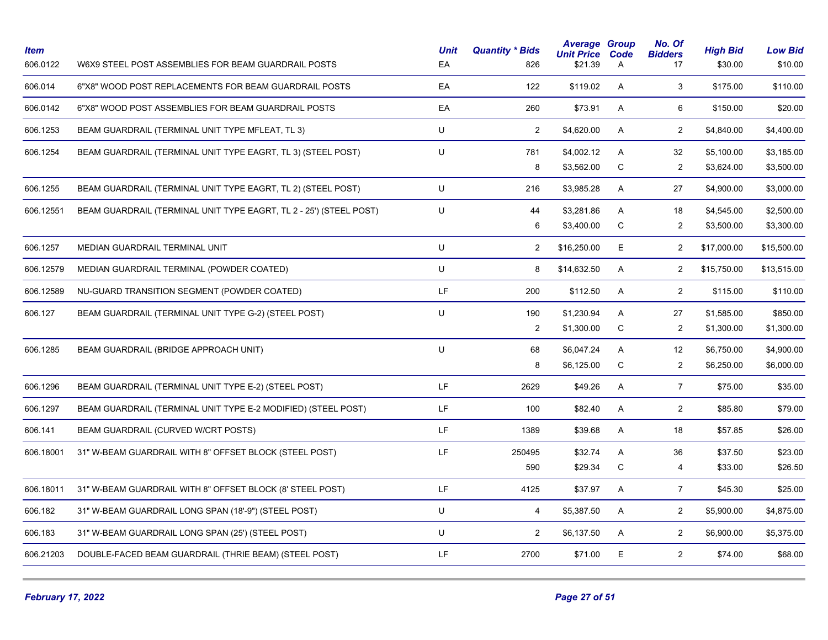| <b>Item</b><br>606.0122 | W6X9 STEEL POST ASSEMBLIES FOR BEAM GUARDRAIL POSTS                | <b>Unit</b><br>EA | <b>Quantity * Bids</b><br>826 | <b>Average Group</b><br><b>Unit Price</b><br>\$21.39 | Code<br>A      | No. Of<br><b>Bidders</b><br>17 | <b>High Bid</b><br>\$30.00 | <b>Low Bid</b><br>\$10.00 |
|-------------------------|--------------------------------------------------------------------|-------------------|-------------------------------|------------------------------------------------------|----------------|--------------------------------|----------------------------|---------------------------|
| 606.014                 | 6"X8" WOOD POST REPLACEMENTS FOR BEAM GUARDRAIL POSTS              | EA                | 122                           | \$119.02                                             | $\mathsf{A}$   | 3                              | \$175.00                   | \$110.00                  |
| 606.0142                | 6"X8" WOOD POST ASSEMBLIES FOR BEAM GUARDRAIL POSTS                | EA                | 260                           | \$73.91                                              | A              | 6                              | \$150.00                   | \$20.00                   |
| 606.1253                | BEAM GUARDRAIL (TERMINAL UNIT TYPE MFLEAT, TL 3)                   | U                 | 2                             | \$4,620.00                                           | $\overline{A}$ | $\overline{a}$                 | \$4,840.00                 | \$4,400.00                |
| 606.1254                | BEAM GUARDRAIL (TERMINAL UNIT TYPE EAGRT, TL 3) (STEEL POST)       | U                 | 781                           | \$4,002.12                                           | A              | 32                             | \$5,100.00                 | \$3,185.00                |
|                         |                                                                    |                   | 8                             | \$3,562.00                                           | ${\bf C}$      | $\overline{2}$                 | \$3,624.00                 | \$3,500.00                |
| 606.1255                | BEAM GUARDRAIL (TERMINAL UNIT TYPE EAGRT, TL 2) (STEEL POST)       | U                 | 216                           | \$3,985.28                                           | A              | 27                             | \$4,900.00                 | \$3,000.00                |
| 606.12551               | BEAM GUARDRAIL (TERMINAL UNIT TYPE EAGRT, TL 2 - 25') (STEEL POST) | U                 | 44                            | \$3,281.86                                           | A              | 18                             | \$4,545.00                 | \$2,500.00                |
|                         |                                                                    |                   | 6                             | \$3,400.00                                           | C              | $\overline{2}$                 | \$3,500.00                 | \$3,300.00                |
| 606.1257                | MEDIAN GUARDRAIL TERMINAL UNIT                                     | U                 | 2                             | \$16,250.00                                          | E              | $\overline{2}$                 | \$17,000.00                | \$15,500.00               |
| 606.12579               | MEDIAN GUARDRAIL TERMINAL (POWDER COATED)                          | U                 | 8                             | \$14,632.50                                          | A              | $\overline{c}$                 | \$15,750.00                | \$13,515.00               |
| 606.12589               | NU-GUARD TRANSITION SEGMENT (POWDER COATED)                        | LF                | 200                           | \$112.50                                             | A              | $\overline{2}$                 | \$115.00                   | \$110.00                  |
| 606.127                 | BEAM GUARDRAIL (TERMINAL UNIT TYPE G-2) (STEEL POST)               | U                 | 190                           | \$1,230.94                                           | A              | 27                             | \$1,585.00                 | \$850.00                  |
|                         |                                                                    |                   | 2                             | \$1,300.00                                           | $\mathsf C$    | 2                              | \$1,300.00                 | \$1,300.00                |
| 606.1285                | BEAM GUARDRAIL (BRIDGE APPROACH UNIT)                              | U                 | 68                            | \$6,047.24                                           | A              | 12                             | \$6,750.00                 | \$4,900.00                |
|                         |                                                                    |                   | 8                             | \$6,125.00                                           | $\mathsf C$    | $\overline{2}$                 | \$6,250.00                 | \$6,000.00                |
| 606.1296                | BEAM GUARDRAIL (TERMINAL UNIT TYPE E-2) (STEEL POST)               | LF                | 2629                          | \$49.26                                              | A              | $\overline{7}$                 | \$75.00                    | \$35.00                   |
| 606.1297                | BEAM GUARDRAIL (TERMINAL UNIT TYPE E-2 MODIFIED) (STEEL POST)      | LF                | 100                           | \$82.40                                              | A              | $\overline{2}$                 | \$85.80                    | \$79.00                   |
| 606.141                 | BEAM GUARDRAIL (CURVED W/CRT POSTS)                                | LF                | 1389                          | \$39.68                                              | A              | 18                             | \$57.85                    | \$26.00                   |
| 606.18001               | 31" W-BEAM GUARDRAIL WITH 8" OFFSET BLOCK (STEEL POST)             | LF                | 250495                        | \$32.74                                              | A              | 36                             | \$37.50                    | \$23.00                   |
|                         |                                                                    |                   | 590                           | \$29.34                                              | C              | 4                              | \$33.00                    | \$26.50                   |
| 606.18011               | 31" W-BEAM GUARDRAIL WITH 8" OFFSET BLOCK (8' STEEL POST)          | LF                | 4125                          | \$37.97                                              | A              | $\overline{7}$                 | \$45.30                    | \$25.00                   |
| 606.182                 | 31" W-BEAM GUARDRAIL LONG SPAN (18'-9") (STEEL POST)               | U                 | $\overline{4}$                | \$5,387.50                                           | A              | $\overline{2}$                 | \$5,900.00                 | \$4,875.00                |
| 606.183                 | 31" W-BEAM GUARDRAIL LONG SPAN (25') (STEEL POST)                  | U                 | $\overline{2}$                | \$6,137.50                                           | Α              | $\overline{2}$                 | \$6,900.00                 | \$5,375.00                |
| 606.21203               | DOUBLE-FACED BEAM GUARDRAIL (THRIE BEAM) (STEEL POST)              | LF                | 2700                          | \$71.00                                              | E              | $\overline{2}$                 | \$74.00                    | \$68.00                   |
|                         |                                                                    |                   |                               |                                                      |                |                                |                            |                           |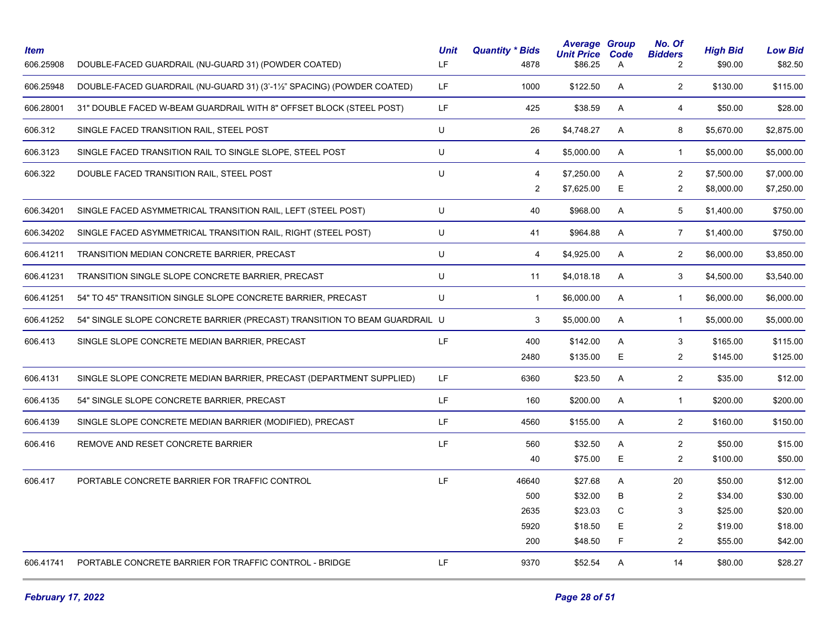| <b>Item</b><br>606.25908 | DOUBLE-FACED GUARDRAIL (NU-GUARD 31) (POWDER COATED)                       | <b>Unit</b><br>LF. | <b>Quantity * Bids</b><br>4878 | <b>Average Group</b><br><b>Unit Price</b><br>\$86.25 | Code<br>$\mathsf{A}$ | No. Of<br><b>Bidders</b><br>$\overline{2}$ | <b>High Bid</b><br>\$90.00 | <b>Low Bid</b><br>\$82.50 |
|--------------------------|----------------------------------------------------------------------------|--------------------|--------------------------------|------------------------------------------------------|----------------------|--------------------------------------------|----------------------------|---------------------------|
| 606.25948                | DOUBLE-FACED GUARDRAIL (NU-GUARD 31) (3'-11/2" SPACING) (POWDER COATED)    | LF.                | 1000                           | \$122.50                                             | A                    | $\overline{2}$                             | \$130.00                   | \$115.00                  |
| 606.28001                | 31" DOUBLE FACED W-BEAM GUARDRAIL WITH 8" OFFSET BLOCK (STEEL POST)        | LF.                | 425                            | \$38.59                                              | A                    | $\overline{4}$                             | \$50.00                    | \$28.00                   |
| 606.312                  | SINGLE FACED TRANSITION RAIL, STEEL POST                                   | U                  | 26                             | \$4,748.27                                           | $\mathsf{A}$         | 8                                          | \$5,670.00                 | \$2,875.00                |
| 606.3123                 | SINGLE FACED TRANSITION RAIL TO SINGLE SLOPE, STEEL POST                   | U                  | $\overline{4}$                 | \$5,000.00                                           | $\mathsf{A}$         | $\mathbf{1}$                               | \$5,000.00                 | \$5,000.00                |
| 606.322                  | DOUBLE FACED TRANSITION RAIL, STEEL POST                                   | U                  | 4                              | \$7,250.00                                           | A                    | $\overline{2}$                             | \$7,500.00                 | \$7,000.00                |
|                          |                                                                            |                    | 2                              | \$7,625.00                                           | E                    | $\overline{2}$                             | \$8,000.00                 | \$7,250.00                |
| 606.34201                | SINGLE FACED ASYMMETRICAL TRANSITION RAIL, LEFT (STEEL POST)               | U                  | 40                             | \$968.00                                             | A                    | 5                                          | \$1,400.00                 | \$750.00                  |
| 606.34202                | SINGLE FACED ASYMMETRICAL TRANSITION RAIL, RIGHT (STEEL POST)              | U                  | 41                             | \$964.88                                             | A                    | $\overline{7}$                             | \$1,400.00                 | \$750.00                  |
| 606.41211                | TRANSITION MEDIAN CONCRETE BARRIER, PRECAST                                | U                  | $\overline{4}$                 | \$4,925.00                                           | A                    | $\overline{2}$                             | \$6,000.00                 | \$3,850.00                |
| 606.41231                | TRANSITION SINGLE SLOPE CONCRETE BARRIER, PRECAST                          | U                  | 11                             | \$4,018.18                                           | A                    | 3                                          | \$4,500.00                 | \$3,540.00                |
| 606.41251                | 54" TO 45" TRANSITION SINGLE SLOPE CONCRETE BARRIER, PRECAST               | U                  | $\mathbf{1}$                   | \$6,000.00                                           | A                    | $\mathbf{1}$                               | \$6,000.00                 | \$6,000.00                |
| 606.41252                | 54" SINGLE SLOPE CONCRETE BARRIER (PRECAST) TRANSITION TO BEAM GUARDRAIL U |                    | 3                              | \$5,000.00                                           | A                    | $\mathbf{1}$                               | \$5,000.00                 | \$5,000.00                |
| 606.413                  | SINGLE SLOPE CONCRETE MEDIAN BARRIER, PRECAST                              | LF.                | 400                            | \$142.00                                             | A                    | 3                                          | \$165.00                   | \$115.00                  |
|                          |                                                                            |                    | 2480                           | \$135.00                                             | E                    | $\overline{c}$                             | \$145.00                   | \$125.00                  |
| 606.4131                 | SINGLE SLOPE CONCRETE MEDIAN BARRIER, PRECAST (DEPARTMENT SUPPLIED)        | LF.                | 6360                           | \$23.50                                              | A                    | $\overline{2}$                             | \$35.00                    | \$12.00                   |
| 606.4135                 | 54" SINGLE SLOPE CONCRETE BARRIER, PRECAST                                 | LF                 | 160                            | \$200.00                                             | A                    | $\mathbf{1}$                               | \$200.00                   | \$200.00                  |
| 606.4139                 | SINGLE SLOPE CONCRETE MEDIAN BARRIER (MODIFIED), PRECAST                   | LF                 | 4560                           | \$155.00                                             | A                    | $\overline{2}$                             | \$160.00                   | \$150.00                  |
| 606.416                  | REMOVE AND RESET CONCRETE BARRIER                                          | LF.                | 560                            | \$32.50                                              | A                    | $\overline{2}$                             | \$50.00                    | \$15.00                   |
|                          |                                                                            |                    | 40                             | \$75.00                                              | E                    | $\overline{2}$                             | \$100.00                   | \$50.00                   |
| 606.417                  | PORTABLE CONCRETE BARRIER FOR TRAFFIC CONTROL                              | LF.                | 46640                          | \$27.68                                              | Α                    | 20                                         | \$50.00                    | \$12.00                   |
|                          |                                                                            |                    | 500                            | \$32.00                                              | B                    | $\overline{2}$                             | \$34.00                    | \$30.00                   |
|                          |                                                                            |                    | 2635                           | \$23.03                                              | C                    | 3                                          | \$25.00                    | \$20.00                   |
|                          |                                                                            |                    | 5920                           | \$18.50                                              | E                    | 2                                          | \$19.00                    | \$18.00                   |
|                          |                                                                            |                    | 200                            | \$48.50                                              | F                    | $\overline{2}$                             | \$55.00                    | \$42.00                   |
| 606.41741                | PORTABLE CONCRETE BARRIER FOR TRAFFIC CONTROL - BRIDGE                     | LF                 | 9370                           | \$52.54                                              | A                    | 14                                         | \$80.00                    | \$28.27                   |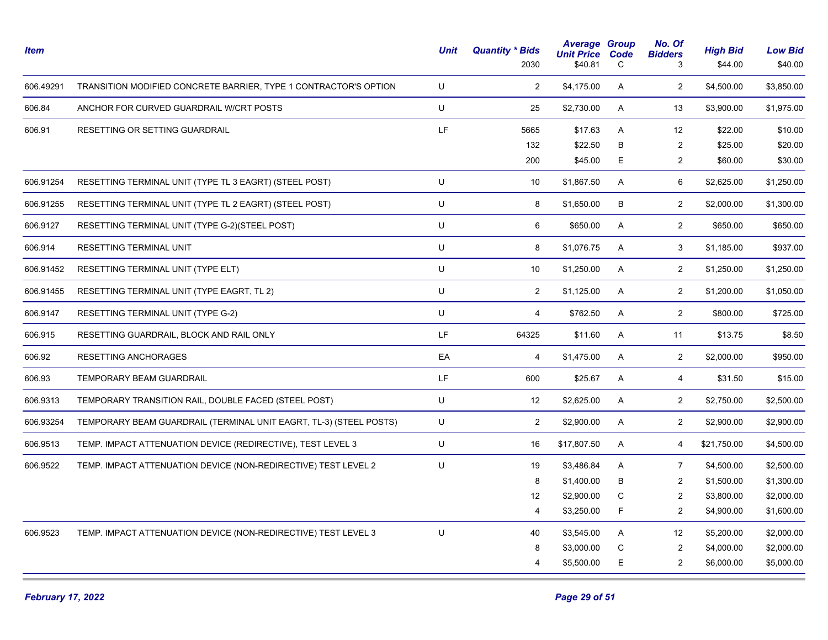| <b>Item</b> |                                                                    | Unit | <b>Quantity * Bids</b><br>2030 | <b>Average Group</b><br><b>Unit Price</b><br>\$40.81 | Code<br>C | No. Of<br><b>Bidders</b><br>3 | <b>High Bid</b><br>\$44.00 | <b>Low Bid</b><br>\$40.00 |
|-------------|--------------------------------------------------------------------|------|--------------------------------|------------------------------------------------------|-----------|-------------------------------|----------------------------|---------------------------|
| 606.49291   | TRANSITION MODIFIED CONCRETE BARRIER, TYPE 1 CONTRACTOR'S OPTION   | U    | $\overline{2}$                 | \$4,175.00                                           | A         | $\overline{2}$                | \$4,500.00                 | \$3,850.00                |
| 606.84      | ANCHOR FOR CURVED GUARDRAIL W/CRT POSTS                            | U    | 25                             | \$2,730.00                                           | A         | 13                            | \$3,900.00                 | \$1,975.00                |
| 606.91      | RESETTING OR SETTING GUARDRAIL                                     | LF.  | 5665                           | \$17.63                                              | A         | 12                            | \$22.00                    | \$10.00                   |
|             |                                                                    |      | 132                            | \$22.50                                              | B         | $\overline{2}$                | \$25.00                    | \$20.00                   |
|             |                                                                    |      | 200                            | \$45.00                                              | E.        | $\overline{2}$                | \$60.00                    | \$30.00                   |
| 606.91254   | RESETTING TERMINAL UNIT (TYPE TL 3 EAGRT) (STEEL POST)             | U    | 10                             | \$1,867.50                                           | A         | 6                             | \$2,625.00                 | \$1,250.00                |
| 606.91255   | RESETTING TERMINAL UNIT (TYPE TL 2 EAGRT) (STEEL POST)             | U    | 8                              | \$1,650.00                                           | B         | $\overline{2}$                | \$2,000.00                 | \$1,300.00                |
| 606.9127    | RESETTING TERMINAL UNIT (TYPE G-2)(STEEL POST)                     | U    | 6                              | \$650.00                                             | A         | $\overline{2}$                | \$650.00                   | \$650.00                  |
| 606.914     | RESETTING TERMINAL UNIT                                            | U    | 8                              | \$1,076.75                                           | Α         | 3                             | \$1,185.00                 | \$937.00                  |
| 606.91452   | RESETTING TERMINAL UNIT (TYPE ELT)                                 | U    | 10                             | \$1,250.00                                           | A         | $\overline{c}$                | \$1,250.00                 | \$1,250.00                |
| 606.91455   | RESETTING TERMINAL UNIT (TYPE EAGRT, TL 2)                         | U    | $\overline{2}$                 | \$1,125.00                                           | A         | $\overline{2}$                | \$1,200.00                 | \$1,050.00                |
| 606.9147    | RESETTING TERMINAL UNIT (TYPE G-2)                                 | U    | $\overline{4}$                 | \$762.50                                             | A         | $\overline{2}$                | \$800.00                   | \$725.00                  |
| 606.915     | RESETTING GUARDRAIL, BLOCK AND RAIL ONLY                           | LF.  | 64325                          | \$11.60                                              | A         | 11                            | \$13.75                    | \$8.50                    |
| 606.92      | <b>RESETTING ANCHORAGES</b>                                        | EA   | $\overline{4}$                 | \$1,475.00                                           | A         | $\overline{2}$                | \$2,000.00                 | \$950.00                  |
| 606.93      | TEMPORARY BEAM GUARDRAIL                                           | LF.  | 600                            | \$25.67                                              | A         | $\overline{4}$                | \$31.50                    | \$15.00                   |
| 606.9313    | TEMPORARY TRANSITION RAIL, DOUBLE FACED (STEEL POST)               | U    | 12                             | \$2,625.00                                           | A         | $\overline{c}$                | \$2,750.00                 | \$2,500.00                |
| 606.93254   | TEMPORARY BEAM GUARDRAIL (TERMINAL UNIT EAGRT, TL-3) (STEEL POSTS) | U    | $\overline{2}$                 | \$2,900.00                                           | A         | $\overline{2}$                | \$2,900.00                 | \$2,900.00                |
| 606.9513    | TEMP. IMPACT ATTENUATION DEVICE (REDIRECTIVE), TEST LEVEL 3        | U    | 16                             | \$17,807.50                                          | A         | 4                             | \$21,750.00                | \$4,500.00                |
| 606.9522    | TEMP. IMPACT ATTENUATION DEVICE (NON-REDIRECTIVE) TEST LEVEL 2     | U    | 19                             | \$3,486.84                                           | A         | $\overline{7}$                | \$4,500.00                 | \$2,500.00                |
|             |                                                                    |      | 8                              | \$1,400.00                                           | В         | 2                             | \$1,500.00                 | \$1,300.00                |
|             |                                                                    |      | 12                             | \$2,900.00                                           | C         | $\overline{2}$                | \$3,800.00                 | \$2,000.00                |
|             |                                                                    |      | 4                              | \$3,250.00                                           | F         | $\overline{c}$                | \$4,900.00                 | \$1,600.00                |
| 606.9523    | TEMP. IMPACT ATTENUATION DEVICE (NON-REDIRECTIVE) TEST LEVEL 3     | U    | 40                             | \$3,545.00                                           | A         | 12                            | \$5,200.00                 | \$2,000.00                |
|             |                                                                    |      | 8                              | \$3,000.00                                           | C         | $\overline{c}$                | \$4,000.00                 | \$2,000.00                |
|             |                                                                    |      | $\overline{4}$                 | \$5,500.00                                           | E         | $\overline{c}$                | \$6,000.00                 | \$5,000.00                |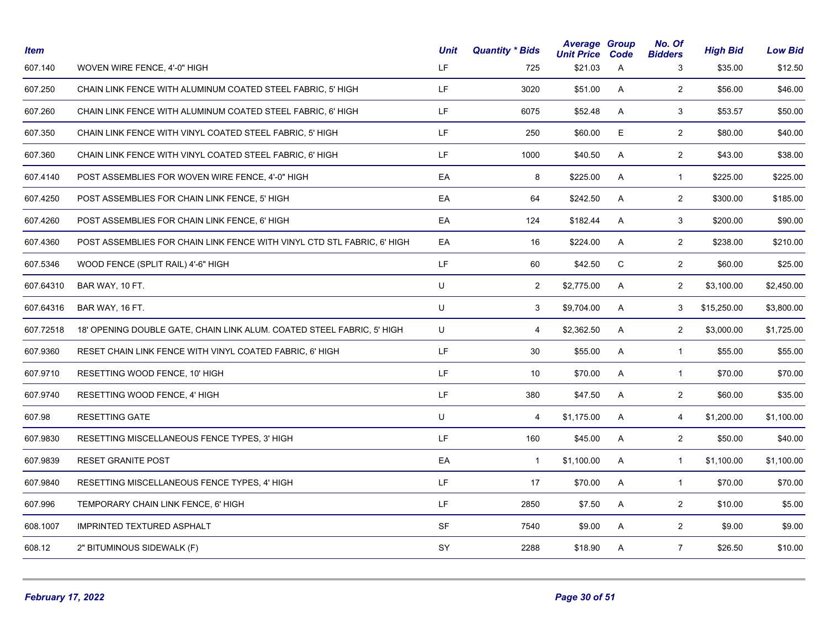| <b>Item</b> |                                                                         | <b>Unit</b> | <b>Quantity * Bids</b> | <b>Average Group</b><br><b>Unit Price</b> | Code | No. Of<br><b>Bidders</b> | <b>High Bid</b> | <b>Low Bid</b> |
|-------------|-------------------------------------------------------------------------|-------------|------------------------|-------------------------------------------|------|--------------------------|-----------------|----------------|
| 607.140     | WOVEN WIRE FENCE, 4'-0" HIGH                                            | LF.         | 725                    | \$21.03                                   | A    | 3                        | \$35.00         | \$12.50        |
| 607.250     | CHAIN LINK FENCE WITH ALUMINUM COATED STEEL FABRIC, 5' HIGH             | LF.         | 3020                   | \$51.00                                   | A    | $\overline{2}$           | \$56.00         | \$46.00        |
| 607.260     | CHAIN LINK FENCE WITH ALUMINUM COATED STEEL FABRIC, 6' HIGH             | LF.         | 6075                   | \$52.48                                   | A    | 3                        | \$53.57         | \$50.00        |
| 607.350     | CHAIN LINK FENCE WITH VINYL COATED STEEL FABRIC, 5' HIGH                | LF.         | 250                    | \$60.00                                   | E    | $\overline{2}$           | \$80.00         | \$40.00        |
| 607.360     | CHAIN LINK FENCE WITH VINYL COATED STEEL FABRIC, 6' HIGH                | LF.         | 1000                   | \$40.50                                   | A    | $\overline{2}$           | \$43.00         | \$38.00        |
| 607.4140    | POST ASSEMBLIES FOR WOVEN WIRE FENCE, 4'-0" HIGH                        | EA          | 8                      | \$225.00                                  | A    | $\mathbf{1}$             | \$225.00        | \$225.00       |
| 607.4250    | POST ASSEMBLIES FOR CHAIN LINK FENCE, 5' HIGH                           | EA          | 64                     | \$242.50                                  | A    | $\overline{2}$           | \$300.00        | \$185.00       |
| 607.4260    | POST ASSEMBLIES FOR CHAIN LINK FENCE, 6' HIGH                           | EA          | 124                    | \$182.44                                  | A    | 3                        | \$200.00        | \$90.00        |
| 607.4360    | POST ASSEMBLIES FOR CHAIN LINK FENCE WITH VINYL CTD STL FABRIC, 6' HIGH | EA          | 16                     | \$224.00                                  | A    | $\overline{2}$           | \$238.00        | \$210.00       |
| 607.5346    | WOOD FENCE (SPLIT RAIL) 4'-6" HIGH                                      | LF.         | 60                     | \$42.50                                   | C    | $\overline{2}$           | \$60.00         | \$25.00        |
| 607.64310   | BAR WAY, 10 FT.                                                         | U           | $\overline{2}$         | \$2,775.00                                | A    | $\overline{2}$           | \$3,100.00      | \$2,450.00     |
| 607.64316   | BAR WAY, 16 FT.                                                         | U           | 3                      | \$9,704.00                                | A    | 3                        | \$15,250.00     | \$3,800.00     |
| 607.72518   | 18' OPENING DOUBLE GATE, CHAIN LINK ALUM. COATED STEEL FABRIC, 5' HIGH  | U           | 4                      | \$2,362.50                                | A    | $\overline{2}$           | \$3,000.00      | \$1,725.00     |
| 607.9360    | RESET CHAIN LINK FENCE WITH VINYL COATED FABRIC, 6' HIGH                | LF.         | 30                     | \$55.00                                   | A    | $\mathbf{1}$             | \$55.00         | \$55.00        |
| 607.9710    | RESETTING WOOD FENCE, 10' HIGH                                          | LF.         | 10                     | \$70.00                                   | A    | $\mathbf{1}$             | \$70.00         | \$70.00        |
| 607.9740    | RESETTING WOOD FENCE, 4' HIGH                                           | LF.         | 380                    | \$47.50                                   | A    | $\overline{2}$           | \$60.00         | \$35.00        |
| 607.98      | <b>RESETTING GATE</b>                                                   | U           | 4                      | \$1,175.00                                | A    | 4                        | \$1,200.00      | \$1,100.00     |
| 607.9830    | RESETTING MISCELLANEOUS FENCE TYPES, 3' HIGH                            | LF.         | 160                    | \$45.00                                   | A    | $\overline{2}$           | \$50.00         | \$40.00        |
| 607.9839    | <b>RESET GRANITE POST</b>                                               | EA          | $\mathbf{1}$           | \$1,100.00                                | A    | $\mathbf{1}$             | \$1,100.00      | \$1,100.00     |
| 607.9840    | RESETTING MISCELLANEOUS FENCE TYPES, 4' HIGH                            | LF.         | 17                     | \$70.00                                   | A    | $\mathbf{1}$             | \$70.00         | \$70.00        |
| 607.996     | TEMPORARY CHAIN LINK FENCE, 6' HIGH                                     | LF.         | 2850                   | \$7.50                                    | A    | $\overline{2}$           | \$10.00         | \$5.00         |
| 608.1007    | <b>IMPRINTED TEXTURED ASPHALT</b>                                       | <b>SF</b>   | 7540                   | \$9.00                                    | A    | $\overline{2}$           | \$9.00          | \$9.00         |
| 608.12      | 2" BITUMINOUS SIDEWALK (F)                                              | SY          | 2288                   | \$18.90                                   | A    | $\overline{7}$           | \$26.50         | \$10.00        |
|             |                                                                         |             |                        |                                           |      |                          |                 |                |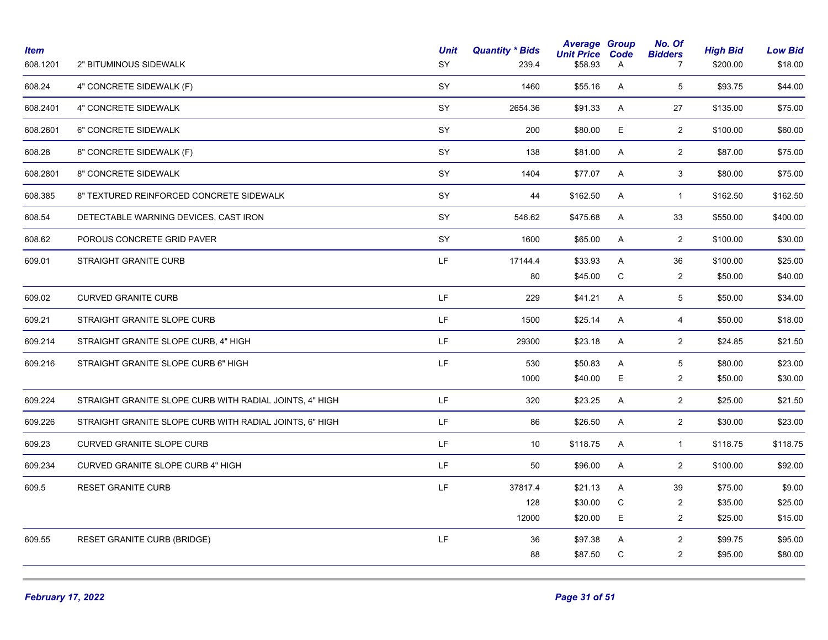| 608.24<br>SY<br>5<br>4" CONCRETE SIDEWALK (F)<br>1460<br>\$55.16<br>A<br>\$93.75<br>SY<br>608.2401<br>4" CONCRETE SIDEWALK<br>2654.36<br>\$91.33<br>A<br>27<br>\$135.00<br>SY<br>E<br>$\overline{2}$<br>608.2601<br>6" CONCRETE SIDEWALK<br>200<br>\$80.00<br>\$100.00<br>SY<br>608.28<br>8" CONCRETE SIDEWALK (F)<br>\$81.00<br>$\overline{2}$<br>\$87.00<br>138<br>A<br>8" CONCRETE SIDEWALK<br>SY<br>3<br>608.2801<br>1404<br>\$77.07<br>A<br>\$80.00<br>SY<br>\$162.50<br>608.385<br>8" TEXTURED REINFORCED CONCRETE SIDEWALK<br>44<br>A<br>$\mathbf{1}$<br>\$162.50<br><b>SY</b><br>608.54<br>DETECTABLE WARNING DEVICES, CAST IRON<br>546.62<br>\$475.68<br>A<br>33<br>\$550.00<br>SY<br>$\overline{2}$<br>608.62<br>POROUS CONCRETE GRID PAVER<br>1600<br>\$65.00<br>A<br>\$100.00<br>LF.<br>STRAIGHT GRANITE CURB<br>17144.4<br>\$33.93<br>Α<br>36<br>\$100.00<br>609.01<br>\$45.00<br>C<br>80<br>$\overline{2}$<br>\$50.00<br>LF.<br>609.02<br><b>CURVED GRANITE CURB</b><br>229<br>\$41.21<br>A<br>5<br>\$50.00<br>LF.<br>609.21<br>STRAIGHT GRANITE SLOPE CURB<br>\$50.00<br>1500<br>\$25.14<br>A<br>4<br>LF.<br>609.214<br>STRAIGHT GRANITE SLOPE CURB, 4" HIGH<br>29300<br>\$23.18<br>A<br>$\overline{2}$<br>\$24.85<br>LF.<br>609.216<br>STRAIGHT GRANITE SLOPE CURB 6" HIGH<br>530<br>\$50.83<br>A<br>5<br>\$80.00<br>E.<br>\$40.00<br>$\overline{2}$<br>1000<br>\$50.00<br>$\overline{2}$<br>LF.<br>609.224<br>STRAIGHT GRANITE SLOPE CURB WITH RADIAL JOINTS, 4" HIGH<br>320<br>\$23.25<br>A<br>\$25.00<br>LF.<br>$\overline{2}$<br>609.226<br>STRAIGHT GRANITE SLOPE CURB WITH RADIAL JOINTS, 6" HIGH<br>86<br>\$26.50<br>A<br>\$30.00<br>LF.<br>609.23<br><b>CURVED GRANITE SLOPE CURB</b><br>10<br>\$118.75<br>A<br>$\mathbf{1}$<br>\$118.75<br>LF<br>$\overline{2}$<br>609.234<br><b>CURVED GRANITE SLOPE CURB 4" HIGH</b><br>50<br>\$96.00<br>A<br>\$100.00<br>LF.<br>37817.4<br>39<br>\$75.00<br>609.5<br><b>RESET GRANITE CURB</b><br>\$21.13<br>A<br>\$30.00<br>C<br>$\overline{2}$<br>\$35.00<br>128<br>E<br>12000<br>\$20.00<br>$\overline{2}$<br>\$25.00<br>LF<br>609.55<br><b>RESET GRANITE CURB (BRIDGE)</b><br>36<br>\$97.38<br>$\overline{c}$<br>\$99.75<br>A<br>\$87.50<br>C<br>$\overline{2}$<br>\$95.00<br>88 | <b>Item</b><br>608.1201 | 2" BITUMINOUS SIDEWALK | <b>Unit</b><br>SY | <b>Quantity * Bids</b><br>239.4 | <b>Average Group</b><br><b>Unit Price</b><br>\$58.93 | Code<br>A | No. Of<br><b>Bidders</b><br>$\overline{7}$ | <b>High Bid</b><br>\$200.00 | <b>Low Bid</b><br>\$18.00 |
|--------------------------------------------------------------------------------------------------------------------------------------------------------------------------------------------------------------------------------------------------------------------------------------------------------------------------------------------------------------------------------------------------------------------------------------------------------------------------------------------------------------------------------------------------------------------------------------------------------------------------------------------------------------------------------------------------------------------------------------------------------------------------------------------------------------------------------------------------------------------------------------------------------------------------------------------------------------------------------------------------------------------------------------------------------------------------------------------------------------------------------------------------------------------------------------------------------------------------------------------------------------------------------------------------------------------------------------------------------------------------------------------------------------------------------------------------------------------------------------------------------------------------------------------------------------------------------------------------------------------------------------------------------------------------------------------------------------------------------------------------------------------------------------------------------------------------------------------------------------------------------------------------------------------------------------------------------------------------------------------------------------------------------------------------------------------------------------------------------------------------------------------------------------------------------------------------------------------------------------------------|-------------------------|------------------------|-------------------|---------------------------------|------------------------------------------------------|-----------|--------------------------------------------|-----------------------------|---------------------------|
|                                                                                                                                                                                                                                                                                                                                                                                                                                                                                                                                                                                                                                                                                                                                                                                                                                                                                                                                                                                                                                                                                                                                                                                                                                                                                                                                                                                                                                                                                                                                                                                                                                                                                                                                                                                                                                                                                                                                                                                                                                                                                                                                                                                                                                                  |                         |                        |                   |                                 |                                                      |           |                                            |                             | \$44.00                   |
|                                                                                                                                                                                                                                                                                                                                                                                                                                                                                                                                                                                                                                                                                                                                                                                                                                                                                                                                                                                                                                                                                                                                                                                                                                                                                                                                                                                                                                                                                                                                                                                                                                                                                                                                                                                                                                                                                                                                                                                                                                                                                                                                                                                                                                                  |                         |                        |                   |                                 |                                                      |           |                                            |                             | \$75.00                   |
|                                                                                                                                                                                                                                                                                                                                                                                                                                                                                                                                                                                                                                                                                                                                                                                                                                                                                                                                                                                                                                                                                                                                                                                                                                                                                                                                                                                                                                                                                                                                                                                                                                                                                                                                                                                                                                                                                                                                                                                                                                                                                                                                                                                                                                                  |                         |                        |                   |                                 |                                                      |           |                                            |                             | \$60.00                   |
|                                                                                                                                                                                                                                                                                                                                                                                                                                                                                                                                                                                                                                                                                                                                                                                                                                                                                                                                                                                                                                                                                                                                                                                                                                                                                                                                                                                                                                                                                                                                                                                                                                                                                                                                                                                                                                                                                                                                                                                                                                                                                                                                                                                                                                                  |                         |                        |                   |                                 |                                                      |           |                                            |                             | \$75.00                   |
|                                                                                                                                                                                                                                                                                                                                                                                                                                                                                                                                                                                                                                                                                                                                                                                                                                                                                                                                                                                                                                                                                                                                                                                                                                                                                                                                                                                                                                                                                                                                                                                                                                                                                                                                                                                                                                                                                                                                                                                                                                                                                                                                                                                                                                                  |                         |                        |                   |                                 |                                                      |           |                                            |                             | \$75.00                   |
|                                                                                                                                                                                                                                                                                                                                                                                                                                                                                                                                                                                                                                                                                                                                                                                                                                                                                                                                                                                                                                                                                                                                                                                                                                                                                                                                                                                                                                                                                                                                                                                                                                                                                                                                                                                                                                                                                                                                                                                                                                                                                                                                                                                                                                                  |                         |                        |                   |                                 |                                                      |           |                                            |                             | \$162.50                  |
|                                                                                                                                                                                                                                                                                                                                                                                                                                                                                                                                                                                                                                                                                                                                                                                                                                                                                                                                                                                                                                                                                                                                                                                                                                                                                                                                                                                                                                                                                                                                                                                                                                                                                                                                                                                                                                                                                                                                                                                                                                                                                                                                                                                                                                                  |                         |                        |                   |                                 |                                                      |           |                                            |                             | \$400.00                  |
|                                                                                                                                                                                                                                                                                                                                                                                                                                                                                                                                                                                                                                                                                                                                                                                                                                                                                                                                                                                                                                                                                                                                                                                                                                                                                                                                                                                                                                                                                                                                                                                                                                                                                                                                                                                                                                                                                                                                                                                                                                                                                                                                                                                                                                                  |                         |                        |                   |                                 |                                                      |           |                                            |                             | \$30.00                   |
|                                                                                                                                                                                                                                                                                                                                                                                                                                                                                                                                                                                                                                                                                                                                                                                                                                                                                                                                                                                                                                                                                                                                                                                                                                                                                                                                                                                                                                                                                                                                                                                                                                                                                                                                                                                                                                                                                                                                                                                                                                                                                                                                                                                                                                                  |                         |                        |                   |                                 |                                                      |           |                                            |                             | \$25.00                   |
|                                                                                                                                                                                                                                                                                                                                                                                                                                                                                                                                                                                                                                                                                                                                                                                                                                                                                                                                                                                                                                                                                                                                                                                                                                                                                                                                                                                                                                                                                                                                                                                                                                                                                                                                                                                                                                                                                                                                                                                                                                                                                                                                                                                                                                                  |                         |                        |                   |                                 |                                                      |           |                                            |                             | \$40.00                   |
|                                                                                                                                                                                                                                                                                                                                                                                                                                                                                                                                                                                                                                                                                                                                                                                                                                                                                                                                                                                                                                                                                                                                                                                                                                                                                                                                                                                                                                                                                                                                                                                                                                                                                                                                                                                                                                                                                                                                                                                                                                                                                                                                                                                                                                                  |                         |                        |                   |                                 |                                                      |           |                                            |                             | \$34.00                   |
|                                                                                                                                                                                                                                                                                                                                                                                                                                                                                                                                                                                                                                                                                                                                                                                                                                                                                                                                                                                                                                                                                                                                                                                                                                                                                                                                                                                                                                                                                                                                                                                                                                                                                                                                                                                                                                                                                                                                                                                                                                                                                                                                                                                                                                                  |                         |                        |                   |                                 |                                                      |           |                                            |                             | \$18.00                   |
|                                                                                                                                                                                                                                                                                                                                                                                                                                                                                                                                                                                                                                                                                                                                                                                                                                                                                                                                                                                                                                                                                                                                                                                                                                                                                                                                                                                                                                                                                                                                                                                                                                                                                                                                                                                                                                                                                                                                                                                                                                                                                                                                                                                                                                                  |                         |                        |                   |                                 |                                                      |           |                                            |                             | \$21.50                   |
|                                                                                                                                                                                                                                                                                                                                                                                                                                                                                                                                                                                                                                                                                                                                                                                                                                                                                                                                                                                                                                                                                                                                                                                                                                                                                                                                                                                                                                                                                                                                                                                                                                                                                                                                                                                                                                                                                                                                                                                                                                                                                                                                                                                                                                                  |                         |                        |                   |                                 |                                                      |           |                                            |                             | \$23.00                   |
|                                                                                                                                                                                                                                                                                                                                                                                                                                                                                                                                                                                                                                                                                                                                                                                                                                                                                                                                                                                                                                                                                                                                                                                                                                                                                                                                                                                                                                                                                                                                                                                                                                                                                                                                                                                                                                                                                                                                                                                                                                                                                                                                                                                                                                                  |                         |                        |                   |                                 |                                                      |           |                                            |                             | \$30.00                   |
|                                                                                                                                                                                                                                                                                                                                                                                                                                                                                                                                                                                                                                                                                                                                                                                                                                                                                                                                                                                                                                                                                                                                                                                                                                                                                                                                                                                                                                                                                                                                                                                                                                                                                                                                                                                                                                                                                                                                                                                                                                                                                                                                                                                                                                                  |                         |                        |                   |                                 |                                                      |           |                                            |                             | \$21.50                   |
|                                                                                                                                                                                                                                                                                                                                                                                                                                                                                                                                                                                                                                                                                                                                                                                                                                                                                                                                                                                                                                                                                                                                                                                                                                                                                                                                                                                                                                                                                                                                                                                                                                                                                                                                                                                                                                                                                                                                                                                                                                                                                                                                                                                                                                                  |                         |                        |                   |                                 |                                                      |           |                                            |                             | \$23.00                   |
|                                                                                                                                                                                                                                                                                                                                                                                                                                                                                                                                                                                                                                                                                                                                                                                                                                                                                                                                                                                                                                                                                                                                                                                                                                                                                                                                                                                                                                                                                                                                                                                                                                                                                                                                                                                                                                                                                                                                                                                                                                                                                                                                                                                                                                                  |                         |                        |                   |                                 |                                                      |           |                                            |                             | \$118.75                  |
|                                                                                                                                                                                                                                                                                                                                                                                                                                                                                                                                                                                                                                                                                                                                                                                                                                                                                                                                                                                                                                                                                                                                                                                                                                                                                                                                                                                                                                                                                                                                                                                                                                                                                                                                                                                                                                                                                                                                                                                                                                                                                                                                                                                                                                                  |                         |                        |                   |                                 |                                                      |           |                                            |                             | \$92.00                   |
|                                                                                                                                                                                                                                                                                                                                                                                                                                                                                                                                                                                                                                                                                                                                                                                                                                                                                                                                                                                                                                                                                                                                                                                                                                                                                                                                                                                                                                                                                                                                                                                                                                                                                                                                                                                                                                                                                                                                                                                                                                                                                                                                                                                                                                                  |                         |                        |                   |                                 |                                                      |           |                                            |                             | \$9.00                    |
|                                                                                                                                                                                                                                                                                                                                                                                                                                                                                                                                                                                                                                                                                                                                                                                                                                                                                                                                                                                                                                                                                                                                                                                                                                                                                                                                                                                                                                                                                                                                                                                                                                                                                                                                                                                                                                                                                                                                                                                                                                                                                                                                                                                                                                                  |                         |                        |                   |                                 |                                                      |           |                                            |                             | \$25.00                   |
|                                                                                                                                                                                                                                                                                                                                                                                                                                                                                                                                                                                                                                                                                                                                                                                                                                                                                                                                                                                                                                                                                                                                                                                                                                                                                                                                                                                                                                                                                                                                                                                                                                                                                                                                                                                                                                                                                                                                                                                                                                                                                                                                                                                                                                                  |                         |                        |                   |                                 |                                                      |           |                                            |                             | \$15.00                   |
|                                                                                                                                                                                                                                                                                                                                                                                                                                                                                                                                                                                                                                                                                                                                                                                                                                                                                                                                                                                                                                                                                                                                                                                                                                                                                                                                                                                                                                                                                                                                                                                                                                                                                                                                                                                                                                                                                                                                                                                                                                                                                                                                                                                                                                                  |                         |                        |                   |                                 |                                                      |           |                                            |                             | \$95.00                   |
|                                                                                                                                                                                                                                                                                                                                                                                                                                                                                                                                                                                                                                                                                                                                                                                                                                                                                                                                                                                                                                                                                                                                                                                                                                                                                                                                                                                                                                                                                                                                                                                                                                                                                                                                                                                                                                                                                                                                                                                                                                                                                                                                                                                                                                                  |                         |                        |                   |                                 |                                                      |           |                                            |                             | \$80.00                   |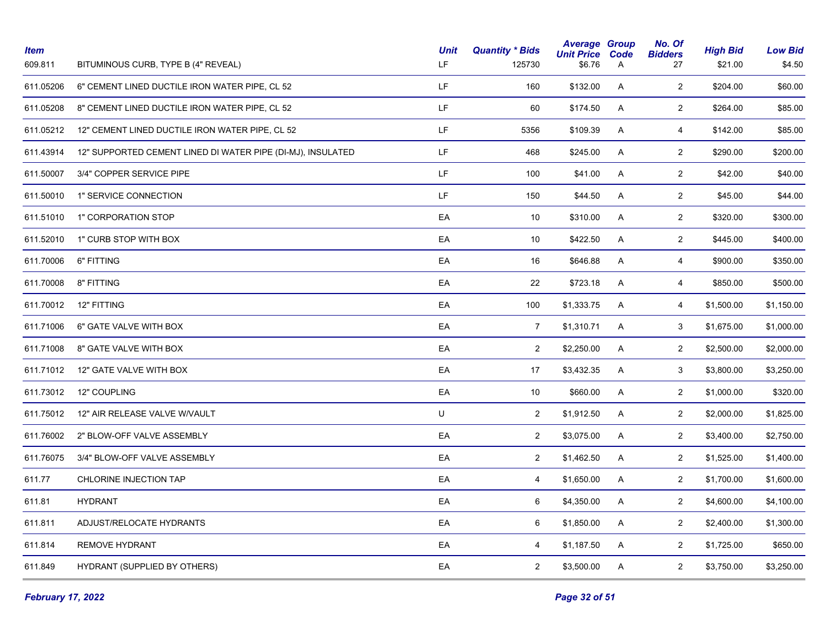| <b>Item</b><br>609.811 | BITUMINOUS CURB, TYPE B (4" REVEAL)                         | <b>Unit</b><br>LF. | <b>Quantity * Bids</b><br>125730 | <b>Average Group</b><br><b>Unit Price</b><br>\$6.76 | Code<br>A | No. Of<br><b>Bidders</b><br>27 | <b>High Bid</b><br>\$21.00 | <b>Low Bid</b><br>\$4.50 |
|------------------------|-------------------------------------------------------------|--------------------|----------------------------------|-----------------------------------------------------|-----------|--------------------------------|----------------------------|--------------------------|
| 611.05206              | 6" CEMENT LINED DUCTILE IRON WATER PIPE, CL 52              | LF.                | 160                              | \$132.00                                            | A         | $\overline{2}$                 | \$204.00                   | \$60.00                  |
| 611.05208              | 8" CEMENT LINED DUCTILE IRON WATER PIPE, CL 52              | LF.                | 60                               | \$174.50                                            | Α         | $\overline{2}$                 | \$264.00                   | \$85.00                  |
| 611.05212              | 12" CEMENT LINED DUCTILE IRON WATER PIPE, CL 52             | LF.                | 5356                             | \$109.39                                            | A         | $\overline{4}$                 | \$142.00                   | \$85.00                  |
| 611.43914              | 12" SUPPORTED CEMENT LINED DI WATER PIPE (DI-MJ), INSULATED | LF.                | 468                              | \$245.00                                            | A         | $\overline{2}$                 | \$290.00                   | \$200.00                 |
| 611.50007              | 3/4" COPPER SERVICE PIPE                                    | LF.                | 100                              | \$41.00                                             | A         | $\overline{2}$                 | \$42.00                    | \$40.00                  |
| 611.50010              | 1" SERVICE CONNECTION                                       | LF.                | 150                              | \$44.50                                             | A         | $\overline{2}$                 | \$45.00                    | \$44.00                  |
| 611.51010              | 1" CORPORATION STOP                                         | EA                 | 10                               | \$310.00                                            | Α         | $\mathbf{2}$                   | \$320.00                   | \$300.00                 |
| 611.52010              | 1" CURB STOP WITH BOX                                       | EA                 | 10                               | \$422.50                                            | A         | $\overline{2}$                 | \$445.00                   | \$400.00                 |
| 611.70006              | 6" FITTING                                                  | EA                 | 16                               | \$646.88                                            | A         | 4                              | \$900.00                   | \$350.00                 |
| 611.70008              | 8" FITTING                                                  | EA                 | 22                               | \$723.18                                            | A         | 4                              | \$850.00                   | \$500.00                 |
| 611.70012              | 12" FITTING                                                 | EA                 | 100                              | \$1,333.75                                          | A         | 4                              | \$1,500.00                 | \$1,150.00               |
| 611.71006              | 6" GATE VALVE WITH BOX                                      | EA                 | $\overline{7}$                   | \$1,310.71                                          | A         | 3                              | \$1,675.00                 | \$1,000.00               |
| 611.71008              | 8" GATE VALVE WITH BOX                                      | EA                 | $\overline{2}$                   | \$2,250.00                                          | A         | $\overline{2}$                 | \$2,500.00                 | \$2,000.00               |
| 611.71012              | 12" GATE VALVE WITH BOX                                     | EA                 | 17                               | \$3,432.35                                          | A         | 3                              | \$3,800.00                 | \$3,250.00               |
| 611.73012              | 12" COUPLING                                                | EA                 | 10                               | \$660.00                                            | A         | $\overline{2}$                 | \$1,000.00                 | \$320.00                 |
| 611.75012              | 12" AIR RELEASE VALVE W/VAULT                               | $\sf U$            | $\overline{2}$                   | \$1,912.50                                          | A         | $\overline{2}$                 | \$2,000.00                 | \$1,825.00               |
| 611.76002              | 2" BLOW-OFF VALVE ASSEMBLY                                  | EA                 | $\overline{2}$                   | \$3,075.00                                          | A         | $\overline{2}$                 | \$3,400.00                 | \$2,750.00               |
| 611.76075              | 3/4" BLOW-OFF VALVE ASSEMBLY                                | EA                 | $\overline{2}$                   | \$1,462.50                                          | A         | $\overline{2}$                 | \$1,525.00                 | \$1,400.00               |
| 611.77                 | CHLORINE INJECTION TAP                                      | EA                 | 4                                | \$1,650.00                                          | A         | $\overline{2}$                 | \$1,700.00                 | \$1,600.00               |
| 611.81                 | <b>HYDRANT</b>                                              | EA                 | 6                                | \$4,350.00                                          | A         | $\overline{2}$                 | \$4,600.00                 | \$4,100.00               |
| 611.811                | ADJUST/RELOCATE HYDRANTS                                    | EA                 | 6                                | \$1,850.00                                          | A         | $\overline{2}$                 | \$2,400.00                 | \$1,300.00               |
| 611.814                | REMOVE HYDRANT                                              | EA                 | 4                                | \$1,187.50                                          | A         | $\overline{2}$                 | \$1,725.00                 | \$650.00                 |
| 611.849                | <b>HYDRANT (SUPPLIED BY OTHERS)</b>                         | EA                 | $\overline{2}$                   | \$3,500.00                                          | Α         | $\overline{a}$                 | \$3,750.00                 | \$3,250.00               |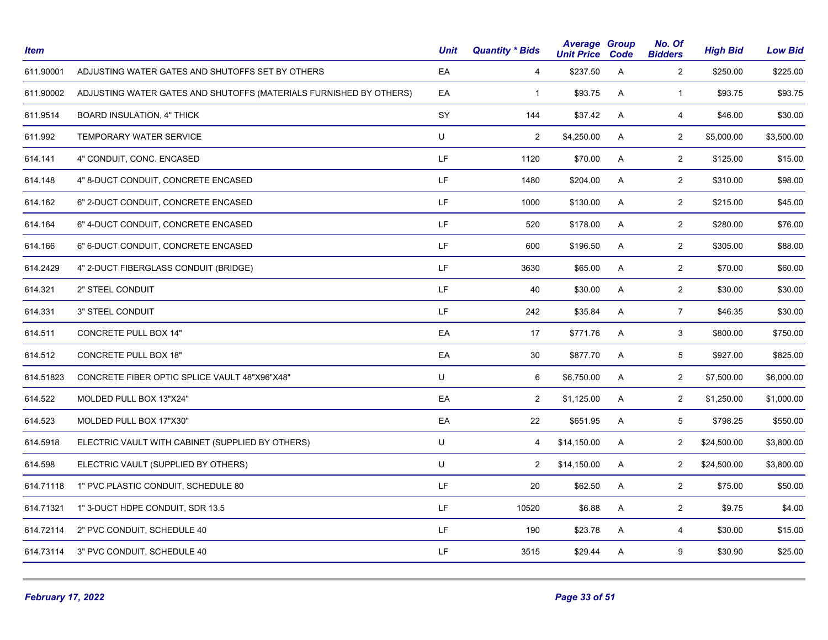| <b>Item</b> |                                                                    | <b>Unit</b> | <b>Quantity * Bids</b> | <b>Average Group</b><br><b>Unit Price Code</b> |   | No. Of<br><b>Bidders</b> | <b>High Bid</b> | <b>Low Bid</b> |
|-------------|--------------------------------------------------------------------|-------------|------------------------|------------------------------------------------|---|--------------------------|-----------------|----------------|
| 611.90001   | ADJUSTING WATER GATES AND SHUTOFFS SET BY OTHERS                   | EA          | 4                      | \$237.50                                       | A | $\overline{2}$           | \$250.00        | \$225.00       |
| 611.90002   | ADJUSTING WATER GATES AND SHUTOFFS (MATERIALS FURNISHED BY OTHERS) | EA          | $\mathbf{1}$           | \$93.75                                        | A | $\mathbf{1}$             | \$93.75         | \$93.75        |
| 611.9514    | <b>BOARD INSULATION, 4" THICK</b>                                  | SY          | 144                    | \$37.42                                        | A | $\overline{4}$           | \$46.00         | \$30.00        |
| 611.992     | <b>TEMPORARY WATER SERVICE</b>                                     | U           | $\overline{2}$         | \$4,250.00                                     | A | $\overline{2}$           | \$5,000.00      | \$3,500.00     |
| 614.141     | 4" CONDUIT, CONC. ENCASED                                          | LF.         | 1120                   | \$70.00                                        | A | $\overline{2}$           | \$125.00        | \$15.00        |
| 614.148     | 4" 8-DUCT CONDUIT, CONCRETE ENCASED                                | LF.         | 1480                   | \$204.00                                       | A | $\overline{2}$           | \$310.00        | \$98.00        |
| 614.162     | 6" 2-DUCT CONDUIT, CONCRETE ENCASED                                | LF.         | 1000                   | \$130.00                                       | A | $\overline{2}$           | \$215.00        | \$45.00        |
| 614.164     | 6" 4-DUCT CONDUIT, CONCRETE ENCASED                                | LF.         | 520                    | \$178.00                                       | A | $\overline{2}$           | \$280.00        | \$76.00        |
| 614.166     | 6" 6-DUCT CONDUIT, CONCRETE ENCASED                                | LF.         | 600                    | \$196.50                                       | Α | $\overline{2}$           | \$305.00        | \$88.00        |
| 614.2429    | 4" 2-DUCT FIBERGLASS CONDUIT (BRIDGE)                              | LF.         | 3630                   | \$65.00                                        | A | $\overline{2}$           | \$70.00         | \$60.00        |
| 614.321     | 2" STEEL CONDUIT                                                   | LF.         | 40                     | \$30.00                                        | A | $\overline{2}$           | \$30.00         | \$30.00        |
| 614.331     | 3" STEEL CONDUIT                                                   | LF.         | 242                    | \$35.84                                        | A | 7 <sup>7</sup>           | \$46.35         | \$30.00        |
| 614.511     | CONCRETE PULL BOX 14"                                              | EA          | 17                     | \$771.76                                       | A | $\mathbf{3}$             | \$800.00        | \$750.00       |
| 614.512     | <b>CONCRETE PULL BOX 18"</b>                                       | EA          | 30                     | \$877.70                                       | A | $5\phantom{.0}$          | \$927.00        | \$825.00       |
| 614.51823   | CONCRETE FIBER OPTIC SPLICE VAULT 48"X96"X48"                      | U           | 6                      | \$6,750.00                                     | A | $\overline{c}$           | \$7,500.00      | \$6,000.00     |
| 614.522     | MOLDED PULL BOX 13"X24"                                            | EA          | $\overline{2}$         | \$1,125.00                                     | A | $\overline{2}$           | \$1,250.00      | \$1,000.00     |
| 614.523     | MOLDED PULL BOX 17"X30"                                            | EA          | 22                     | \$651.95                                       | A | 5                        | \$798.25        | \$550.00       |
| 614.5918    | ELECTRIC VAULT WITH CABINET (SUPPLIED BY OTHERS)                   | U           | 4                      | \$14,150.00                                    | A | $\overline{2}$           | \$24,500.00     | \$3,800.00     |
| 614.598     | ELECTRIC VAULT (SUPPLIED BY OTHERS)                                | U           | $\overline{2}$         | \$14,150.00                                    | A | $\overline{2}$           | \$24,500.00     | \$3,800.00     |
| 614.71118   | 1" PVC PLASTIC CONDUIT, SCHEDULE 80                                | LF.         | 20                     | \$62.50                                        | A | $\overline{2}$           | \$75.00         | \$50.00        |
| 614.71321   | 1" 3-DUCT HDPE CONDUIT, SDR 13.5                                   | LF.         | 10520                  | \$6.88                                         | A | $\mathbf{2}$             | \$9.75          | \$4.00         |
| 614.72114   | 2" PVC CONDUIT, SCHEDULE 40                                        | LF.         | 190                    | \$23.78                                        | A | $\overline{4}$           | \$30.00         | \$15.00        |
| 614.73114   | 3" PVC CONDUIT, SCHEDULE 40                                        | LF.         | 3515                   | \$29.44                                        | A | 9                        | \$30.90         | \$25.00        |
|             |                                                                    |             |                        |                                                |   |                          |                 |                |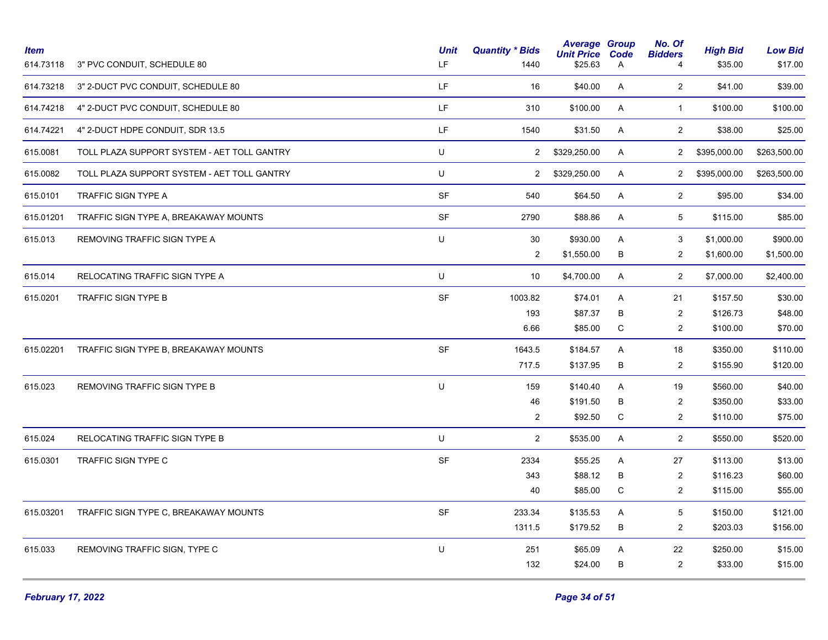| <b>Item</b><br>614.73118 | 3" PVC CONDUIT, SCHEDULE 80                 | <b>Unit</b><br>LF. | <b>Quantity * Bids</b><br>1440 | <b>Average Group</b><br><b>Unit Price</b><br>\$25.63 | Code<br>A      | No. Of<br><b>Bidders</b><br>4 | <b>High Bid</b><br>\$35.00 | <b>Low Bid</b><br>\$17.00 |
|--------------------------|---------------------------------------------|--------------------|--------------------------------|------------------------------------------------------|----------------|-------------------------------|----------------------------|---------------------------|
| 614.73218                | 3" 2-DUCT PVC CONDUIT, SCHEDULE 80          | LF.                | 16                             | \$40.00                                              | A              | $\overline{2}$                | \$41.00                    | \$39.00                   |
| 614.74218                | 4" 2-DUCT PVC CONDUIT, SCHEDULE 80          | LF.                | 310                            | \$100.00                                             | A              | $\mathbf{1}$                  | \$100.00                   | \$100.00                  |
| 614.74221                | 4" 2-DUCT HDPE CONDUIT, SDR 13.5            | LF.                | 1540                           | \$31.50                                              | $\mathsf{A}$   | $\overline{2}$                | \$38.00                    | \$25.00                   |
| 615.0081                 | TOLL PLAZA SUPPORT SYSTEM - AET TOLL GANTRY | U                  | $\mathbf{2}$                   | \$329,250.00                                         | A              | $\overline{2}$                | \$395,000.00               | \$263,500.00              |
| 615.0082                 | TOLL PLAZA SUPPORT SYSTEM - AET TOLL GANTRY | U                  | $\overline{2}$                 | \$329,250.00                                         | $\mathsf{A}$   | $2^{\circ}$                   | \$395,000.00               | \$263,500.00              |
| 615.0101                 | TRAFFIC SIGN TYPE A                         | <b>SF</b>          | 540                            | \$64.50                                              | $\overline{A}$ | $\overline{2}$                | \$95.00                    | \$34.00                   |
| 615.01201                | TRAFFIC SIGN TYPE A, BREAKAWAY MOUNTS       | SF                 | 2790                           | \$88.86                                              | A              | $5\phantom{.0}$               | \$115.00                   | \$85.00                   |
| 615.013                  | REMOVING TRAFFIC SIGN TYPE A                | U                  | 30<br>$\overline{c}$           | \$930.00<br>\$1,550.00                               | A<br>B         | 3<br>$\overline{2}$           | \$1,000.00<br>\$1,600.00   | \$900.00<br>\$1,500.00    |
| 615.014                  | RELOCATING TRAFFIC SIGN TYPE A              | U                  | 10                             | \$4,700.00                                           | A              | $\overline{2}$                | \$7,000.00                 | \$2,400.00                |
| 615.0201                 | TRAFFIC SIGN TYPE B                         | SF                 | 1003.82                        | \$74.01                                              | A              | 21                            | \$157.50                   | \$30.00                   |
|                          |                                             |                    | 193                            | \$87.37                                              | В              | 2                             | \$126.73                   | \$48.00                   |
|                          |                                             |                    | 6.66                           | \$85.00                                              | ${\bf C}$      | $\overline{2}$                | \$100.00                   | \$70.00                   |
| 615.02201                | TRAFFIC SIGN TYPE B, BREAKAWAY MOUNTS       | <b>SF</b>          | 1643.5                         | \$184.57                                             | A              | 18                            | \$350.00                   | \$110.00                  |
|                          |                                             |                    | 717.5                          | \$137.95                                             | B              | $\overline{2}$                | \$155.90                   | \$120.00                  |
| 615.023                  | REMOVING TRAFFIC SIGN TYPE B                | U                  | 159                            | \$140.40                                             | A              | 19                            | \$560.00                   | \$40.00                   |
|                          |                                             |                    | 46                             | \$191.50                                             | B              | 2                             | \$350.00                   | \$33.00                   |
|                          |                                             |                    | $\overline{2}$                 | \$92.50                                              | C              | $\overline{2}$                | \$110.00                   | \$75.00                   |
| 615.024                  | RELOCATING TRAFFIC SIGN TYPE B              | U                  | $\overline{2}$                 | \$535.00                                             | A              | $\overline{2}$                | \$550.00                   | \$520.00                  |
| 615.0301                 | TRAFFIC SIGN TYPE C                         | SF                 | 2334                           | \$55.25                                              | A              | 27                            | \$113.00                   | \$13.00                   |
|                          |                                             |                    | 343                            | \$88.12                                              | B              | $\sqrt{2}$                    | \$116.23                   | \$60.00                   |
|                          |                                             |                    | 40                             | \$85.00                                              | C              | $\sqrt{2}$                    | \$115.00                   | \$55.00                   |
| 615.03201                | TRAFFIC SIGN TYPE C, BREAKAWAY MOUNTS       | SF                 | 233.34                         | \$135.53                                             | Α              | $\,$ 5 $\,$                   | \$150.00                   | \$121.00                  |
|                          |                                             |                    | 1311.5                         | \$179.52                                             | $\sf B$        | $\overline{2}$                | \$203.03                   | \$156.00                  |
| 615.033                  | REMOVING TRAFFIC SIGN, TYPE C               | U                  | 251                            | \$65.09                                              | Α              | 22                            | \$250.00                   | \$15.00                   |
|                          |                                             |                    | 132                            | \$24.00                                              | B              | 2                             | \$33.00                    | \$15.00                   |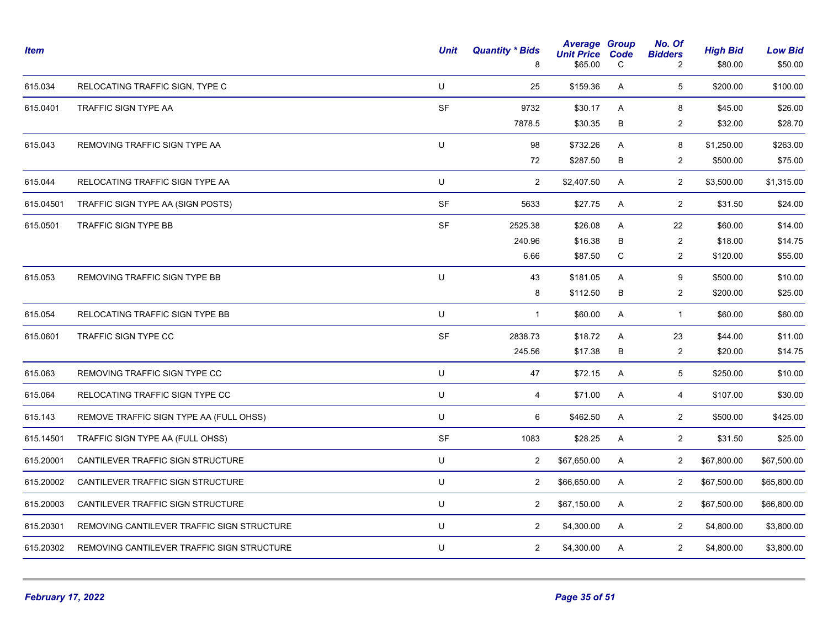| <b>Item</b> |                                            | <b>Unit</b> | <b>Quantity * Bids</b><br>8 | <b>Average Group</b><br><b>Unit Price</b><br>\$65.00 | Code<br>C | No. Of<br><b>Bidders</b><br>$\overline{2}$ | <b>High Bid</b><br>\$80.00 | <b>Low Bid</b><br>\$50.00 |
|-------------|--------------------------------------------|-------------|-----------------------------|------------------------------------------------------|-----------|--------------------------------------------|----------------------------|---------------------------|
| 615.034     | RELOCATING TRAFFIC SIGN, TYPE C            | U           | 25                          | \$159.36                                             | A         | 5                                          | \$200.00                   | \$100.00                  |
| 615.0401    | TRAFFIC SIGN TYPE AA                       | SF          | 9732                        | \$30.17                                              | A         | 8                                          | \$45.00                    | \$26.00                   |
|             |                                            |             | 7878.5                      | \$30.35                                              | В         | $\overline{2}$                             | \$32.00                    | \$28.70                   |
| 615.043     | REMOVING TRAFFIC SIGN TYPE AA              | U           | 98                          | \$732.26                                             | A         | 8                                          | \$1,250.00                 | \$263.00                  |
|             |                                            |             | 72                          | \$287.50                                             | В         | $\overline{2}$                             | \$500.00                   | \$75.00                   |
| 615.044     | RELOCATING TRAFFIC SIGN TYPE AA            | U           | 2                           | \$2,407.50                                           | A         | $\overline{2}$                             | \$3,500.00                 | \$1,315.00                |
| 615.04501   | TRAFFIC SIGN TYPE AA (SIGN POSTS)          | SF          | 5633                        | \$27.75                                              | A         | $\overline{2}$                             | \$31.50                    | \$24.00                   |
| 615.0501    | TRAFFIC SIGN TYPE BB                       | <b>SF</b>   | 2525.38                     | \$26.08                                              | A         | 22                                         | \$60.00                    | \$14.00                   |
|             |                                            |             | 240.96                      | \$16.38                                              | B         | $\overline{c}$                             | \$18.00                    | \$14.75                   |
|             |                                            |             | 6.66                        | \$87.50                                              | C         | $\overline{2}$                             | \$120.00                   | \$55.00                   |
| 615.053     | REMOVING TRAFFIC SIGN TYPE BB              | U           | 43                          | \$181.05                                             | A         | 9                                          | \$500.00                   | \$10.00                   |
|             |                                            |             | 8                           | \$112.50                                             | B         | $\overline{2}$                             | \$200.00                   | \$25.00                   |
| 615.054     | RELOCATING TRAFFIC SIGN TYPE BB            | U           | $\mathbf{1}$                | \$60.00                                              | A         | $\mathbf{1}$                               | \$60.00                    | \$60.00                   |
| 615.0601    | TRAFFIC SIGN TYPE CC                       | SF          | 2838.73                     | \$18.72                                              | A         | 23                                         | \$44.00                    | \$11.00                   |
|             |                                            |             | 245.56                      | \$17.38                                              | В         | $\overline{2}$                             | \$20.00                    | \$14.75                   |
| 615.063     | REMOVING TRAFFIC SIGN TYPE CC              | U           | 47                          | \$72.15                                              | A         | 5                                          | \$250.00                   | \$10.00                   |
| 615.064     | RELOCATING TRAFFIC SIGN TYPE CC            | U           | $\overline{4}$              | \$71.00                                              | A         | $\overline{4}$                             | \$107.00                   | \$30.00                   |
| 615.143     | REMOVE TRAFFIC SIGN TYPE AA (FULL OHSS)    | $\sf U$     | 6                           | \$462.50                                             | A         | $\overline{2}$                             | \$500.00                   | \$425.00                  |
| 615.14501   | TRAFFIC SIGN TYPE AA (FULL OHSS)           | SF          | 1083                        | \$28.25                                              | A         | $\overline{2}$                             | \$31.50                    | \$25.00                   |
| 615.20001   | CANTILEVER TRAFFIC SIGN STRUCTURE          | $\sf U$     | 2                           | \$67,650.00                                          | A         | $\overline{2}$                             | \$67,800.00                | \$67,500.00               |
| 615.20002   | CANTILEVER TRAFFIC SIGN STRUCTURE          | U           | $\overline{2}$              | \$66,650.00                                          | A         | $\overline{2}$                             | \$67,500.00                | \$65,800.00               |
| 615.20003   | CANTILEVER TRAFFIC SIGN STRUCTURE          | U           | $\overline{2}$              | \$67,150.00                                          | A         | $\overline{2}$                             | \$67,500.00                | \$66,800.00               |
| 615.20301   | REMOVING CANTILEVER TRAFFIC SIGN STRUCTURE | $\sf U$     | 2                           | \$4,300.00                                           | A         | $\overline{2}$                             | \$4,800.00                 | \$3,800.00                |
| 615.20302   | REMOVING CANTILEVER TRAFFIC SIGN STRUCTURE | U           | 2                           | \$4,300.00                                           | A         | $\overline{2}$                             | \$4,800.00                 | \$3,800.00                |
|             |                                            |             |                             |                                                      |           |                                            |                            |                           |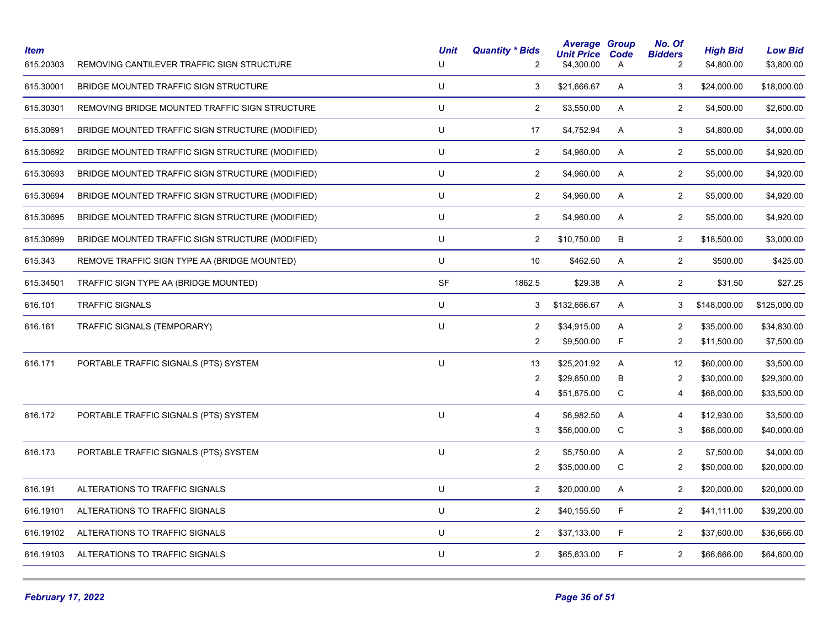| <b>Item</b><br>615.20303 | REMOVING CANTILEVER TRAFFIC SIGN STRUCTURE       | <b>Unit</b><br>$\cup$ | <b>Quantity * Bids</b><br>$\overline{2}$ | <b>Average Group</b><br><b>Unit Price</b><br>\$4,300.00 | Code<br>Α   | No. Of<br><b>Bidders</b><br>2 | <b>High Bid</b><br>\$4,800.00 | <b>Low Bid</b><br>\$3,800.00 |
|--------------------------|--------------------------------------------------|-----------------------|------------------------------------------|---------------------------------------------------------|-------------|-------------------------------|-------------------------------|------------------------------|
| 615.30001                | BRIDGE MOUNTED TRAFFIC SIGN STRUCTURE            | U                     | 3                                        | \$21,666.67                                             | Α           | 3                             | \$24,000.00                   | \$18,000.00                  |
| 615.30301                | REMOVING BRIDGE MOUNTED TRAFFIC SIGN STRUCTURE   | $\sf U$               | $\overline{2}$                           | \$3,550.00                                              | A           | $\overline{2}$                | \$4,500.00                    | \$2,600.00                   |
| 615.30691                | BRIDGE MOUNTED TRAFFIC SIGN STRUCTURE (MODIFIED) | U                     | 17                                       | \$4,752.94                                              | Α           | 3                             | \$4,800.00                    | \$4,000.00                   |
| 615.30692                | BRIDGE MOUNTED TRAFFIC SIGN STRUCTURE (MODIFIED) | U                     | $\overline{2}$                           | \$4,960.00                                              | A           | $\overline{2}$                | \$5,000.00                    | \$4,920.00                   |
| 615.30693                | BRIDGE MOUNTED TRAFFIC SIGN STRUCTURE (MODIFIED) | $\sf U$               | $\overline{2}$                           | \$4,960.00                                              | A           | $\overline{2}$                | \$5,000.00                    | \$4,920.00                   |
| 615.30694                | BRIDGE MOUNTED TRAFFIC SIGN STRUCTURE (MODIFIED) | U                     | $\overline{2}$                           | \$4,960.00                                              | A           | $\overline{c}$                | \$5,000.00                    | \$4,920.00                   |
| 615.30695                | BRIDGE MOUNTED TRAFFIC SIGN STRUCTURE (MODIFIED) | U                     | $\overline{c}$                           | \$4,960.00                                              | A           | $\sqrt{2}$                    | \$5,000.00                    | \$4,920.00                   |
| 615.30699                | BRIDGE MOUNTED TRAFFIC SIGN STRUCTURE (MODIFIED) | U                     | $\overline{2}$                           | \$10,750.00                                             | В           | $\overline{2}$                | \$18,500.00                   | \$3,000.00                   |
| 615.343                  | REMOVE TRAFFIC SIGN TYPE AA (BRIDGE MOUNTED)     | U                     | 10                                       | \$462.50                                                | Α           | $\mathbf{2}$                  | \$500.00                      | \$425.00                     |
| 615.34501                | TRAFFIC SIGN TYPE AA (BRIDGE MOUNTED)            | <b>SF</b>             | 1862.5                                   | \$29.38                                                 | A           | $\overline{2}$                | \$31.50                       | \$27.25                      |
| 616.101                  | <b>TRAFFIC SIGNALS</b>                           | $\sf U$               | 3                                        | \$132,666.67                                            | A           | 3                             | \$148,000.00                  | \$125,000.00                 |
| 616.161                  | TRAFFIC SIGNALS (TEMPORARY)                      | U                     | $\overline{2}$                           | \$34,915.00                                             | A           | $\overline{2}$                | \$35,000.00                   | \$34,830.00                  |
|                          |                                                  |                       | $\overline{c}$                           | \$9,500.00                                              | F           | $\overline{2}$                | \$11,500.00                   | \$7,500.00                   |
| 616.171                  | PORTABLE TRAFFIC SIGNALS (PTS) SYSTEM            | U                     | 13                                       | \$25,201.92                                             | Α           | 12                            | \$60,000.00                   | \$3,500.00                   |
|                          |                                                  |                       | $\overline{2}$                           | \$29,650.00                                             | В           | $\overline{2}$                | \$30,000.00                   | \$29,300.00                  |
|                          |                                                  |                       | 4                                        | \$51,875.00                                             | $\mathsf C$ | 4                             | \$68,000.00                   | \$33,500.00                  |
| 616.172                  | PORTABLE TRAFFIC SIGNALS (PTS) SYSTEM            | $\sf U$               | $\overline{4}$                           | \$6,982.50                                              | A           | $\overline{4}$                | \$12,930.00                   | \$3,500.00                   |
|                          |                                                  |                       | 3                                        | \$56,000.00                                             | C           | 3                             | \$68,000.00                   | \$40,000.00                  |
| 616.173                  | PORTABLE TRAFFIC SIGNALS (PTS) SYSTEM            | U                     | $\overline{2}$                           | \$5,750.00                                              | Α           | $\overline{2}$                | \$7,500.00                    | \$4,000.00                   |
|                          |                                                  |                       | $\overline{2}$                           | \$35,000.00                                             | C           | $\overline{c}$                | \$50,000.00                   | \$20,000.00                  |
| 616.191                  | ALTERATIONS TO TRAFFIC SIGNALS                   | U                     | $\overline{2}$                           | \$20,000.00                                             | A           | $\overline{2}$                | \$20,000.00                   | \$20,000.00                  |
| 616.19101                | ALTERATIONS TO TRAFFIC SIGNALS                   | $\sf U$               | $\overline{2}$                           | \$40,155.50                                             | F           | 2                             | \$41,111.00                   | \$39,200.00                  |
| 616.19102                | ALTERATIONS TO TRAFFIC SIGNALS                   | U                     | $\overline{2}$                           | \$37,133.00                                             | F           | $\overline{2}$                | \$37,600.00                   | \$36,666.00                  |
| 616.19103                | ALTERATIONS TO TRAFFIC SIGNALS                   | U                     | $\overline{c}$                           | \$65,633.00                                             | F           | $\sqrt{2}$                    | \$66,666.00                   | \$64,600.00                  |
|                          |                                                  |                       |                                          |                                                         |             |                               |                               |                              |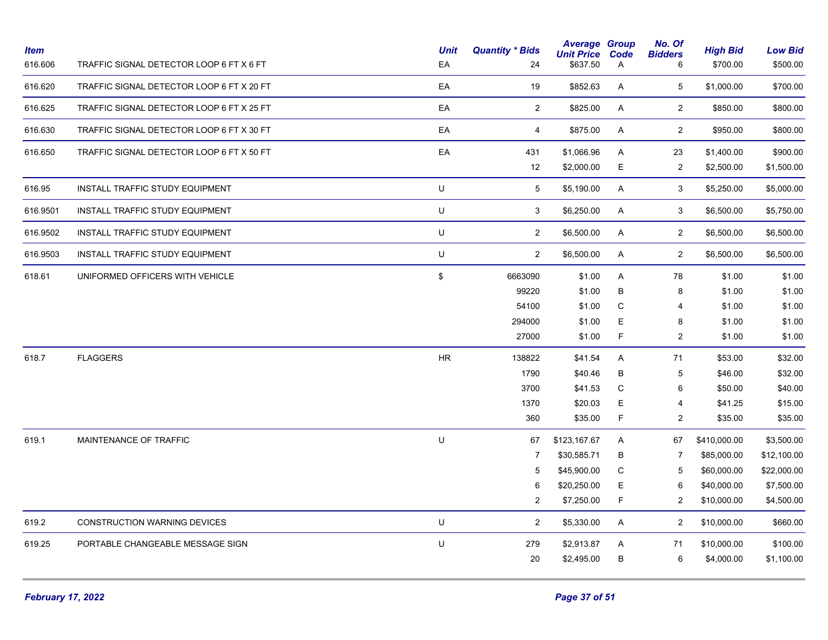| <b>Item</b><br>616.606 | TRAFFIC SIGNAL DETECTOR LOOP 6 FT X 6 FT  | <b>Unit</b><br>EA | <b>Quantity * Bids</b><br>24 | <b>Average Group</b><br><b>Unit Price</b><br>\$637.50 | Code<br>Α    | No. Of<br><b>Bidders</b><br>6 | <b>High Bid</b><br>\$700.00 | <b>Low Bid</b><br>\$500.00 |
|------------------------|-------------------------------------------|-------------------|------------------------------|-------------------------------------------------------|--------------|-------------------------------|-----------------------------|----------------------------|
| 616.620                | TRAFFIC SIGNAL DETECTOR LOOP 6 FT X 20 FT | EA                | 19                           | \$852.63                                              | A            | $\sqrt{5}$                    | \$1,000.00                  | \$700.00                   |
| 616.625                | TRAFFIC SIGNAL DETECTOR LOOP 6 FT X 25 FT | EA                | $\overline{2}$               | \$825.00                                              | A            | $\overline{2}$                | \$850.00                    | \$800.00                   |
| 616.630                | TRAFFIC SIGNAL DETECTOR LOOP 6 FT X 30 FT | EA                | 4                            | \$875.00                                              | A            | $\overline{2}$                | \$950.00                    | \$800.00                   |
| 616.650                | TRAFFIC SIGNAL DETECTOR LOOP 6 FT X 50 FT | EA                | 431                          | \$1,066.96                                            | Α            | 23                            | \$1,400.00                  | \$900.00                   |
|                        |                                           |                   | 12                           | \$2,000.00                                            | $\mathsf E$  | $\overline{2}$                | \$2,500.00                  | \$1,500.00                 |
| 616.95                 | INSTALL TRAFFIC STUDY EQUIPMENT           | $\sf U$           | 5                            | \$5,190.00                                            | A            | 3                             | \$5,250.00                  | \$5,000.00                 |
| 616.9501               | INSTALL TRAFFIC STUDY EQUIPMENT           | U                 | 3                            | \$6,250.00                                            | A            | 3                             | \$6,500.00                  | \$5,750.00                 |
| 616.9502               | INSTALL TRAFFIC STUDY EQUIPMENT           | U                 | $\overline{2}$               | \$6,500.00                                            | A            | $\overline{2}$                | \$6,500.00                  | \$6,500.00                 |
| 616.9503               | INSTALL TRAFFIC STUDY EQUIPMENT           | U                 | $\overline{c}$               | \$6,500.00                                            | A            | $\overline{2}$                | \$6,500.00                  | \$6,500.00                 |
| 618.61                 | UNIFORMED OFFICERS WITH VEHICLE           | \$                | 6663090                      | \$1.00                                                | A            | 78                            | \$1.00                      | \$1.00                     |
|                        |                                           |                   | 99220                        | \$1.00                                                | B            | 8                             | \$1.00                      | \$1.00                     |
|                        |                                           |                   | 54100                        | \$1.00                                                | $\mathsf{C}$ | $\overline{4}$                | \$1.00                      | \$1.00                     |
|                        |                                           |                   | 294000                       | \$1.00                                                | E            | 8                             | \$1.00                      | \$1.00                     |
|                        |                                           |                   | 27000                        | \$1.00                                                | F            | $\overline{2}$                | \$1.00                      | \$1.00                     |
| 618.7                  | <b>FLAGGERS</b>                           | <b>HR</b>         | 138822                       | \$41.54                                               | A            | 71                            | \$53.00                     | \$32.00                    |
|                        |                                           |                   | 1790                         | \$40.46                                               | B            | 5                             | \$46.00                     | \$32.00                    |
|                        |                                           |                   | 3700                         | \$41.53                                               | $\mathsf C$  | $\,6\,$                       | \$50.00                     | \$40.00                    |
|                        |                                           |                   | 1370                         | \$20.03                                               | E            | $\overline{4}$                | \$41.25                     | \$15.00                    |
|                        |                                           |                   | 360                          | \$35.00                                               | F            | 2                             | \$35.00                     | \$35.00                    |
| 619.1                  | MAINTENANCE OF TRAFFIC                    | $\sf U$           | 67                           | \$123,167.67                                          | Α            | 67                            | \$410,000.00                | \$3,500.00                 |
|                        |                                           |                   | $\overline{7}$               | \$30,585.71                                           | В            | 7                             | \$85,000.00                 | \$12,100.00                |
|                        |                                           |                   | 5                            | \$45,900.00                                           | C            | 5                             | \$60,000.00                 | \$22,000.00                |
|                        |                                           |                   | 6                            | \$20,250.00                                           | Е            | 6                             | \$40,000.00                 | \$7,500.00                 |
|                        |                                           |                   | $\overline{c}$               | \$7,250.00                                            | F            | $\overline{2}$                | \$10,000.00                 | \$4,500.00                 |
| 619.2                  | CONSTRUCTION WARNING DEVICES              | $\sf U$           | $\overline{2}$               | \$5,330.00                                            | A            | $\overline{2}$                | \$10,000.00                 | \$660.00                   |
| 619.25                 | PORTABLE CHANGEABLE MESSAGE SIGN          | U                 | 279                          | \$2,913.87                                            | A            | 71                            | \$10,000.00                 | \$100.00                   |
|                        |                                           |                   | 20                           | \$2,495.00                                            | B            | 6                             | \$4,000.00                  | \$1,100.00                 |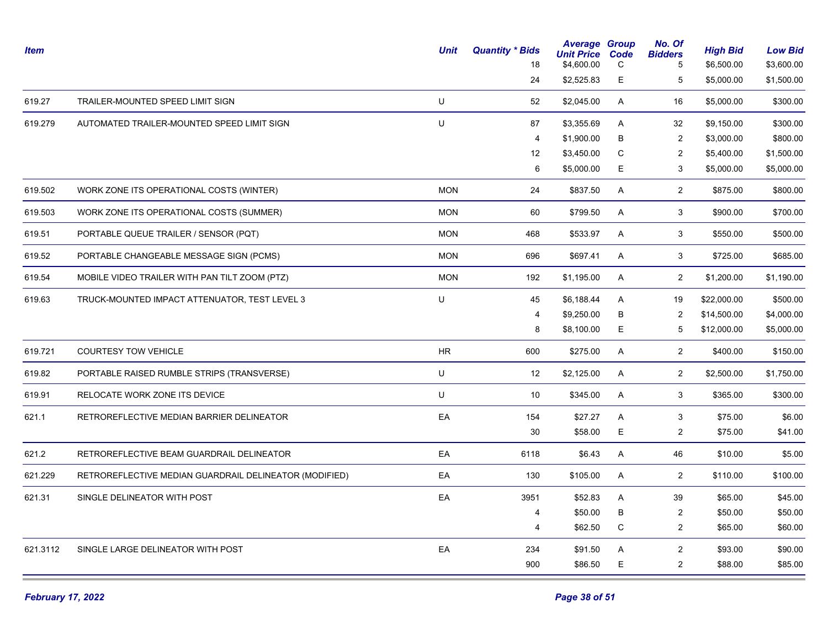| Item     |                                                        | <b>Unit</b> | <b>Quantity * Bids</b><br>18 | <b>Average Group</b><br><b>Unit Price Code</b><br>\$4,600.00 | C           | No. Of<br><b>Bidders</b><br>5 | <b>High Bid</b><br>\$6,500.00 | <b>Low Bid</b><br>\$3,600.00 |
|----------|--------------------------------------------------------|-------------|------------------------------|--------------------------------------------------------------|-------------|-------------------------------|-------------------------------|------------------------------|
|          |                                                        |             | 24                           | \$2,525.83                                                   | E           | 5                             | \$5,000.00                    | \$1,500.00                   |
| 619.27   | TRAILER-MOUNTED SPEED LIMIT SIGN                       | U           | 52                           | \$2,045.00                                                   | A           | 16                            | \$5,000.00                    | \$300.00                     |
| 619.279  | AUTOMATED TRAILER-MOUNTED SPEED LIMIT SIGN             | U           | 87                           | \$3,355.69                                                   | A           | 32                            | \$9,150.00                    | \$300.00                     |
|          |                                                        |             | 4                            | \$1,900.00                                                   | B           | $\overline{2}$                | \$3,000.00                    | \$800.00                     |
|          |                                                        |             | 12                           | \$3,450.00                                                   | C           | 2                             | \$5,400.00                    | \$1,500.00                   |
|          |                                                        |             | 6                            | \$5,000.00                                                   | Е           | 3                             | \$5,000.00                    | \$5,000.00                   |
| 619.502  | WORK ZONE ITS OPERATIONAL COSTS (WINTER)               | <b>MON</b>  | 24                           | \$837.50                                                     | Α           | $\overline{2}$                | \$875.00                      | \$800.00                     |
| 619.503  | WORK ZONE ITS OPERATIONAL COSTS (SUMMER)               | <b>MON</b>  | 60                           | \$799.50                                                     | A           | 3                             | \$900.00                      | \$700.00                     |
| 619.51   | PORTABLE QUEUE TRAILER / SENSOR (PQT)                  | <b>MON</b>  | 468                          | \$533.97                                                     | Α           | 3                             | \$550.00                      | \$500.00                     |
| 619.52   | PORTABLE CHANGEABLE MESSAGE SIGN (PCMS)                | <b>MON</b>  | 696                          | \$697.41                                                     | A           | 3                             | \$725.00                      | \$685.00                     |
| 619.54   | MOBILE VIDEO TRAILER WITH PAN TILT ZOOM (PTZ)          | <b>MON</b>  | 192                          | \$1,195.00                                                   | A           | $\overline{2}$                | \$1,200.00                    | \$1,190.00                   |
| 619.63   | TRUCK-MOUNTED IMPACT ATTENUATOR, TEST LEVEL 3          | U           | 45                           | \$6,188.44                                                   | A           | 19                            | \$22,000.00                   | \$500.00                     |
|          |                                                        |             | 4                            | \$9,250.00                                                   | B           | 2                             | \$14,500.00                   | \$4,000.00                   |
|          |                                                        |             | 8                            | \$8,100.00                                                   | E           | 5                             | \$12,000.00                   | \$5,000.00                   |
| 619.721  | <b>COURTESY TOW VEHICLE</b>                            | HR          | 600                          | \$275.00                                                     | A           | $\overline{2}$                | \$400.00                      | \$150.00                     |
| 619.82   | PORTABLE RAISED RUMBLE STRIPS (TRANSVERSE)             | U           | 12                           | \$2,125.00                                                   | A           | $\overline{2}$                | \$2,500.00                    | \$1,750.00                   |
| 619.91   | RELOCATE WORK ZONE ITS DEVICE                          | U           | 10                           | \$345.00                                                     | A           | 3                             | \$365.00                      | \$300.00                     |
| 621.1    | RETROREFLECTIVE MEDIAN BARRIER DELINEATOR              | EA          | 154                          | \$27.27                                                      | А           | 3                             | \$75.00                       | \$6.00                       |
|          |                                                        |             | 30                           | \$58.00                                                      | $\mathsf E$ | 2                             | \$75.00                       | \$41.00                      |
| 621.2    | RETROREFLECTIVE BEAM GUARDRAIL DELINEATOR              | EA          | 6118                         | \$6.43                                                       | A           | 46                            | \$10.00                       | \$5.00                       |
| 621.229  | RETROREFLECTIVE MEDIAN GUARDRAIL DELINEATOR (MODIFIED) | EA          | 130                          | \$105.00                                                     | A           | $\overline{2}$                | \$110.00                      | \$100.00                     |
| 621.31   | SINGLE DELINEATOR WITH POST                            | EA          | 3951                         | \$52.83                                                      | A           | 39                            | \$65.00                       | \$45.00                      |
|          |                                                        |             | 4                            | \$50.00                                                      | B           | $\overline{c}$                | \$50.00                       | \$50.00                      |
|          |                                                        |             | 4                            | \$62.50                                                      | C           | $\overline{2}$                | \$65.00                       | \$60.00                      |
| 621.3112 | SINGLE LARGE DELINEATOR WITH POST                      | EA          | 234                          | \$91.50                                                      | Α           | $\overline{2}$                | \$93.00                       | \$90.00                      |
|          |                                                        |             | 900                          | \$86.50                                                      | Е           | $\overline{2}$                | \$88.00                       | \$85.00                      |
|          |                                                        |             |                              |                                                              |             |                               |                               |                              |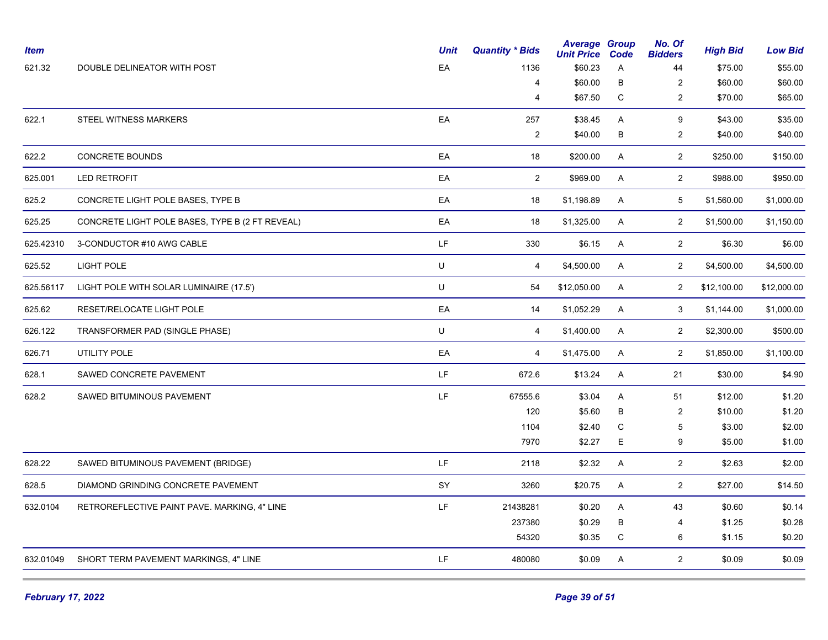| <b>Item</b> |                                                 | <b>Unit</b> | <b>Quantity * Bids</b>  | <b>Average Group</b><br><b>Unit Price</b> | Code        | No. Of<br><b>Bidders</b> | <b>High Bid</b> | <b>Low Bid</b> |
|-------------|-------------------------------------------------|-------------|-------------------------|-------------------------------------------|-------------|--------------------------|-----------------|----------------|
| 621.32      | DOUBLE DELINEATOR WITH POST                     | EA          | 1136                    | \$60.23                                   | A           | 44                       | \$75.00         | \$55.00        |
|             |                                                 |             | 4                       | \$60.00                                   | B           | $\overline{2}$           | \$60.00         | \$60.00        |
|             |                                                 |             | 4                       | \$67.50                                   | C           | 2                        | \$70.00         | \$65.00        |
| 622.1       | STEEL WITNESS MARKERS                           | EA          | 257                     | \$38.45                                   | Α           | 9                        | \$43.00         | \$35.00        |
|             |                                                 |             | $\overline{2}$          | \$40.00                                   | B           | 2                        | \$40.00         | \$40.00        |
| 622.2       | <b>CONCRETE BOUNDS</b>                          | EA          | 18                      | \$200.00                                  | A           | $\overline{2}$           | \$250.00        | \$150.00       |
| 625.001     | LED RETROFIT                                    | EA          | $\overline{2}$          | \$969.00                                  | Α           | $\overline{2}$           | \$988.00        | \$950.00       |
| 625.2       | CONCRETE LIGHT POLE BASES, TYPE B               | EA          | 18                      | \$1,198.89                                | A           | 5                        | \$1,560.00      | \$1,000.00     |
| 625.25      | CONCRETE LIGHT POLE BASES, TYPE B (2 FT REVEAL) | EA          | 18                      | \$1,325.00                                | A           | $\overline{2}$           | \$1,500.00      | \$1,150.00     |
| 625.42310   | 3-CONDUCTOR #10 AWG CABLE                       | LF.         | 330                     | \$6.15                                    | A           | $\mathbf{2}$             | \$6.30          | \$6.00         |
| 625.52      | LIGHT POLE                                      | U           | $\overline{\mathbf{4}}$ | \$4,500.00                                | Α           | $\overline{2}$           | \$4,500.00      | \$4,500.00     |
| 625.56117   | LIGHT POLE WITH SOLAR LUMINAIRE (17.5')         | U           | 54                      | \$12,050.00                               | A           | $\overline{2}$           | \$12,100.00     | \$12,000.00    |
| 625.62      | RESET/RELOCATE LIGHT POLE                       | EA          | 14                      | \$1,052.29                                | A           | 3                        | \$1,144.00      | \$1,000.00     |
| 626.122     | TRANSFORMER PAD (SINGLE PHASE)                  | U           | 4                       | \$1,400.00                                | A           | $\overline{2}$           | \$2,300.00      | \$500.00       |
| 626.71      | UTILITY POLE                                    | EA          | $\overline{4}$          | \$1,475.00                                | A           | $\overline{2}$           | \$1,850.00      | \$1,100.00     |
| 628.1       | SAWED CONCRETE PAVEMENT                         | LF          | 672.6                   | \$13.24                                   | A           | 21                       | \$30.00         | \$4.90         |
| 628.2       | SAWED BITUMINOUS PAVEMENT                       | LF          | 67555.6                 | \$3.04                                    | A           | 51                       | \$12.00         | \$1.20         |
|             |                                                 |             | 120                     | \$5.60                                    | B           | $\overline{2}$           | \$10.00         | \$1.20         |
|             |                                                 |             | 1104                    | \$2.40                                    | C           | 5                        | \$3.00          | \$2.00         |
|             |                                                 |             | 7970                    | \$2.27                                    | E           | 9                        | \$5.00          | \$1.00         |
| 628.22      | SAWED BITUMINOUS PAVEMENT (BRIDGE)              | LF.         | 2118                    | \$2.32                                    | A           | $\overline{2}$           | \$2.63          | \$2.00         |
| 628.5       | DIAMOND GRINDING CONCRETE PAVEMENT              | SY          | 3260                    | \$20.75                                   | A           | $\overline{2}$           | \$27.00         | \$14.50        |
| 632.0104    | RETROREFLECTIVE PAINT PAVE. MARKING, 4" LINE    | LF.         | 21438281                | \$0.20                                    | Α           | 43                       | \$0.60          | \$0.14         |
|             |                                                 |             | 237380                  | \$0.29                                    | B           | 4                        | \$1.25          | \$0.28         |
|             |                                                 |             | 54320                   | \$0.35                                    | $\mathsf C$ | 6                        | \$1.15          | \$0.20         |
| 632.01049   | SHORT TERM PAVEMENT MARKINGS, 4" LINE           | LF.         | 480080                  | \$0.09                                    | A           | $\overline{2}$           | \$0.09          | \$0.09         |
|             |                                                 |             |                         |                                           |             |                          |                 |                |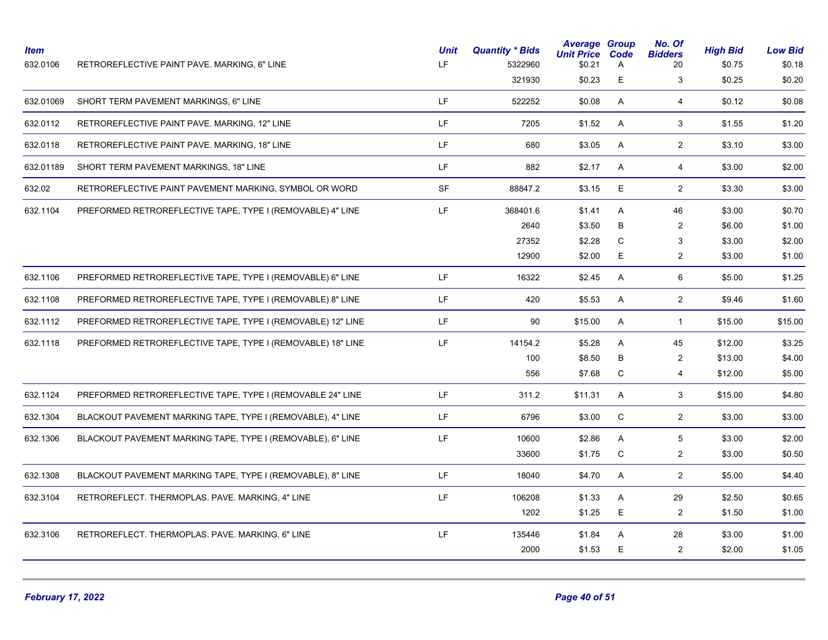| \$0.23<br>Е<br>3<br>321930<br>\$0.25<br>LF<br>$\overline{4}$<br>632.01069<br>SHORT TERM PAVEMENT MARKINGS, 6" LINE<br>522252<br>\$0.08<br>A<br>\$0.12<br>LF<br>632.0112<br>RETROREFLECTIVE PAINT PAVE. MARKING, 12" LINE<br>7205<br>\$1.52<br>A<br>3 <sup>1</sup><br>\$1.55<br>LF<br>$\overline{2}$<br>RETROREFLECTIVE PAINT PAVE. MARKING, 18" LINE<br>680<br>\$3.05<br>A<br>\$3.10<br>632.0118<br>LF<br>632.01189<br>SHORT TERM PAVEMENT MARKINGS, 18" LINE<br>882<br>\$2.17<br>A<br>$\overline{4}$<br>\$3.00<br>$\ensuremath{\mathsf{SF}}\xspace$<br>E<br>632.02<br>88847.2<br>\$3.15<br>$\overline{2}$<br>\$3.30<br>RETROREFLECTIVE PAINT PAVEMENT MARKING, SYMBOL OR WORD<br>LF<br>632.1104<br>PREFORMED RETROREFLECTIVE TAPE, TYPE I (REMOVABLE) 4" LINE<br>368401.6<br>\$1.41<br>A<br>46<br>\$3.00<br>2640<br>\$3.50<br>B<br>2<br>\$6.00<br>27352<br>$\mathbf C$<br>3<br>\$2.28<br>\$3.00<br>Е<br>12900<br>\$2.00<br>$\overline{2}$<br>\$3.00<br>LF.<br>PREFORMED RETROREFLECTIVE TAPE, TYPE I (REMOVABLE) 6" LINE<br>16322<br>A<br>6<br>\$5.00<br>632.1106<br>\$2.45<br>$\mathsf{LF}% _{0}\left( \mathcal{N}\right) \equiv\mathsf{LF}_{0}\left( \mathcal{N}\right)$<br>$\overline{2}$<br>A<br>632.1108<br>PREFORMED RETROREFLECTIVE TAPE, TYPE I (REMOVABLE) 8" LINE<br>420<br>\$5.53<br>\$9.46<br>LF<br>632.1112<br>PREFORMED RETROREFLECTIVE TAPE, TYPE I (REMOVABLE) 12" LINE<br>90<br>\$15.00<br>A<br>\$15.00<br>$\mathbf{1}$<br>LF<br>14154.2<br>45<br>\$12.00<br>632.1118<br>PREFORMED RETROREFLECTIVE TAPE, TYPE I (REMOVABLE) 18" LINE<br>\$5.28<br>A<br>100<br>\$8.50<br>B<br>$\overline{2}$<br>\$13.00<br>C<br>556<br>\$7.68<br>4<br>\$12.00<br>LF<br>3<br>632.1124<br>PREFORMED RETROREFLECTIVE TAPE, TYPE I (REMOVABLE 24" LINE<br>311.2<br>\$11.31<br>A<br>\$15.00<br>LF<br>C<br>$\overline{2}$<br>632.1304<br>BLACKOUT PAVEMENT MARKING TAPE, TYPE I (REMOVABLE), 4" LINE<br>6796<br>\$3.00<br>\$3.00<br>LF<br>A<br>5<br>632.1306<br>BLACKOUT PAVEMENT MARKING TAPE, TYPE I (REMOVABLE), 6" LINE<br>10600<br>\$2.86<br>\$3.00<br>$\mathsf{C}$<br>33600<br>\$1.75<br>$\overline{2}$<br>\$3.00<br>LF<br>A<br>$\overline{2}$<br>632.1308<br>BLACKOUT PAVEMENT MARKING TAPE, TYPE I (REMOVABLE), 8" LINE<br>18040<br>\$4.70<br>\$5.00<br>LF<br>29<br>632.3104<br>RETROREFLECT. THERMOPLAS. PAVE. MARKING, 4" LINE<br>106208<br>\$1.33<br>A<br>\$2.50<br>E<br>1202<br>\$1.25<br>$\overline{2}$<br>\$1.50<br>LF<br>28<br>135446<br>\$1.84<br>A<br>\$3.00<br>632.3106<br>RETROREFLECT. THERMOPLAS. PAVE. MARKING, 6" LINE<br>Е<br>$\overline{2}$<br>2000<br>\$1.53<br>\$2.00 | <b>Item</b><br>632.0106 | RETROREFLECTIVE PAINT PAVE. MARKING, 6" LINE | <b>Unit</b><br>LF | <b>Quantity * Bids</b><br>5322960 | <b>Average Group</b><br><b>Unit Price</b><br>\$0.21 | Code<br>A | No. Of<br><b>Bidders</b><br>20 | <b>High Bid</b><br>\$0.75 | <b>Low Bid</b><br>\$0.18 |
|---------------------------------------------------------------------------------------------------------------------------------------------------------------------------------------------------------------------------------------------------------------------------------------------------------------------------------------------------------------------------------------------------------------------------------------------------------------------------------------------------------------------------------------------------------------------------------------------------------------------------------------------------------------------------------------------------------------------------------------------------------------------------------------------------------------------------------------------------------------------------------------------------------------------------------------------------------------------------------------------------------------------------------------------------------------------------------------------------------------------------------------------------------------------------------------------------------------------------------------------------------------------------------------------------------------------------------------------------------------------------------------------------------------------------------------------------------------------------------------------------------------------------------------------------------------------------------------------------------------------------------------------------------------------------------------------------------------------------------------------------------------------------------------------------------------------------------------------------------------------------------------------------------------------------------------------------------------------------------------------------------------------------------------------------------------------------------------------------------------------------------------------------------------------------------------------------------------------------------------------------------------------------------------------------------------------------------------------------------------------------------------------------------------------------------------------------------------------------------------------------------------------------------------------------------------------------------------------|-------------------------|----------------------------------------------|-------------------|-----------------------------------|-----------------------------------------------------|-----------|--------------------------------|---------------------------|--------------------------|
|                                                                                                                                                                                                                                                                                                                                                                                                                                                                                                                                                                                                                                                                                                                                                                                                                                                                                                                                                                                                                                                                                                                                                                                                                                                                                                                                                                                                                                                                                                                                                                                                                                                                                                                                                                                                                                                                                                                                                                                                                                                                                                                                                                                                                                                                                                                                                                                                                                                                                                                                                                                             |                         |                                              |                   |                                   |                                                     |           |                                |                           | \$0.20                   |
|                                                                                                                                                                                                                                                                                                                                                                                                                                                                                                                                                                                                                                                                                                                                                                                                                                                                                                                                                                                                                                                                                                                                                                                                                                                                                                                                                                                                                                                                                                                                                                                                                                                                                                                                                                                                                                                                                                                                                                                                                                                                                                                                                                                                                                                                                                                                                                                                                                                                                                                                                                                             |                         |                                              |                   |                                   |                                                     |           |                                |                           | \$0.08                   |
|                                                                                                                                                                                                                                                                                                                                                                                                                                                                                                                                                                                                                                                                                                                                                                                                                                                                                                                                                                                                                                                                                                                                                                                                                                                                                                                                                                                                                                                                                                                                                                                                                                                                                                                                                                                                                                                                                                                                                                                                                                                                                                                                                                                                                                                                                                                                                                                                                                                                                                                                                                                             |                         |                                              |                   |                                   |                                                     |           |                                |                           | \$1.20                   |
|                                                                                                                                                                                                                                                                                                                                                                                                                                                                                                                                                                                                                                                                                                                                                                                                                                                                                                                                                                                                                                                                                                                                                                                                                                                                                                                                                                                                                                                                                                                                                                                                                                                                                                                                                                                                                                                                                                                                                                                                                                                                                                                                                                                                                                                                                                                                                                                                                                                                                                                                                                                             |                         |                                              |                   |                                   |                                                     |           |                                |                           | \$3.00                   |
|                                                                                                                                                                                                                                                                                                                                                                                                                                                                                                                                                                                                                                                                                                                                                                                                                                                                                                                                                                                                                                                                                                                                                                                                                                                                                                                                                                                                                                                                                                                                                                                                                                                                                                                                                                                                                                                                                                                                                                                                                                                                                                                                                                                                                                                                                                                                                                                                                                                                                                                                                                                             |                         |                                              |                   |                                   |                                                     |           |                                |                           | \$2.00                   |
|                                                                                                                                                                                                                                                                                                                                                                                                                                                                                                                                                                                                                                                                                                                                                                                                                                                                                                                                                                                                                                                                                                                                                                                                                                                                                                                                                                                                                                                                                                                                                                                                                                                                                                                                                                                                                                                                                                                                                                                                                                                                                                                                                                                                                                                                                                                                                                                                                                                                                                                                                                                             |                         |                                              |                   |                                   |                                                     |           |                                |                           | \$3.00                   |
|                                                                                                                                                                                                                                                                                                                                                                                                                                                                                                                                                                                                                                                                                                                                                                                                                                                                                                                                                                                                                                                                                                                                                                                                                                                                                                                                                                                                                                                                                                                                                                                                                                                                                                                                                                                                                                                                                                                                                                                                                                                                                                                                                                                                                                                                                                                                                                                                                                                                                                                                                                                             |                         |                                              |                   |                                   |                                                     |           |                                |                           | \$0.70                   |
|                                                                                                                                                                                                                                                                                                                                                                                                                                                                                                                                                                                                                                                                                                                                                                                                                                                                                                                                                                                                                                                                                                                                                                                                                                                                                                                                                                                                                                                                                                                                                                                                                                                                                                                                                                                                                                                                                                                                                                                                                                                                                                                                                                                                                                                                                                                                                                                                                                                                                                                                                                                             |                         |                                              |                   |                                   |                                                     |           |                                |                           | \$1.00                   |
|                                                                                                                                                                                                                                                                                                                                                                                                                                                                                                                                                                                                                                                                                                                                                                                                                                                                                                                                                                                                                                                                                                                                                                                                                                                                                                                                                                                                                                                                                                                                                                                                                                                                                                                                                                                                                                                                                                                                                                                                                                                                                                                                                                                                                                                                                                                                                                                                                                                                                                                                                                                             |                         |                                              |                   |                                   |                                                     |           |                                |                           | \$2.00                   |
|                                                                                                                                                                                                                                                                                                                                                                                                                                                                                                                                                                                                                                                                                                                                                                                                                                                                                                                                                                                                                                                                                                                                                                                                                                                                                                                                                                                                                                                                                                                                                                                                                                                                                                                                                                                                                                                                                                                                                                                                                                                                                                                                                                                                                                                                                                                                                                                                                                                                                                                                                                                             |                         |                                              |                   |                                   |                                                     |           |                                |                           | \$1.00                   |
|                                                                                                                                                                                                                                                                                                                                                                                                                                                                                                                                                                                                                                                                                                                                                                                                                                                                                                                                                                                                                                                                                                                                                                                                                                                                                                                                                                                                                                                                                                                                                                                                                                                                                                                                                                                                                                                                                                                                                                                                                                                                                                                                                                                                                                                                                                                                                                                                                                                                                                                                                                                             |                         |                                              |                   |                                   |                                                     |           |                                |                           | \$1.25                   |
|                                                                                                                                                                                                                                                                                                                                                                                                                                                                                                                                                                                                                                                                                                                                                                                                                                                                                                                                                                                                                                                                                                                                                                                                                                                                                                                                                                                                                                                                                                                                                                                                                                                                                                                                                                                                                                                                                                                                                                                                                                                                                                                                                                                                                                                                                                                                                                                                                                                                                                                                                                                             |                         |                                              |                   |                                   |                                                     |           |                                |                           | \$1.60                   |
|                                                                                                                                                                                                                                                                                                                                                                                                                                                                                                                                                                                                                                                                                                                                                                                                                                                                                                                                                                                                                                                                                                                                                                                                                                                                                                                                                                                                                                                                                                                                                                                                                                                                                                                                                                                                                                                                                                                                                                                                                                                                                                                                                                                                                                                                                                                                                                                                                                                                                                                                                                                             |                         |                                              |                   |                                   |                                                     |           |                                |                           | \$15.00                  |
|                                                                                                                                                                                                                                                                                                                                                                                                                                                                                                                                                                                                                                                                                                                                                                                                                                                                                                                                                                                                                                                                                                                                                                                                                                                                                                                                                                                                                                                                                                                                                                                                                                                                                                                                                                                                                                                                                                                                                                                                                                                                                                                                                                                                                                                                                                                                                                                                                                                                                                                                                                                             |                         |                                              |                   |                                   |                                                     |           |                                |                           | \$3.25                   |
|                                                                                                                                                                                                                                                                                                                                                                                                                                                                                                                                                                                                                                                                                                                                                                                                                                                                                                                                                                                                                                                                                                                                                                                                                                                                                                                                                                                                                                                                                                                                                                                                                                                                                                                                                                                                                                                                                                                                                                                                                                                                                                                                                                                                                                                                                                                                                                                                                                                                                                                                                                                             |                         |                                              |                   |                                   |                                                     |           |                                |                           | \$4.00                   |
|                                                                                                                                                                                                                                                                                                                                                                                                                                                                                                                                                                                                                                                                                                                                                                                                                                                                                                                                                                                                                                                                                                                                                                                                                                                                                                                                                                                                                                                                                                                                                                                                                                                                                                                                                                                                                                                                                                                                                                                                                                                                                                                                                                                                                                                                                                                                                                                                                                                                                                                                                                                             |                         |                                              |                   |                                   |                                                     |           |                                |                           | \$5.00                   |
|                                                                                                                                                                                                                                                                                                                                                                                                                                                                                                                                                                                                                                                                                                                                                                                                                                                                                                                                                                                                                                                                                                                                                                                                                                                                                                                                                                                                                                                                                                                                                                                                                                                                                                                                                                                                                                                                                                                                                                                                                                                                                                                                                                                                                                                                                                                                                                                                                                                                                                                                                                                             |                         |                                              |                   |                                   |                                                     |           |                                |                           | \$4.80                   |
|                                                                                                                                                                                                                                                                                                                                                                                                                                                                                                                                                                                                                                                                                                                                                                                                                                                                                                                                                                                                                                                                                                                                                                                                                                                                                                                                                                                                                                                                                                                                                                                                                                                                                                                                                                                                                                                                                                                                                                                                                                                                                                                                                                                                                                                                                                                                                                                                                                                                                                                                                                                             |                         |                                              |                   |                                   |                                                     |           |                                |                           | \$3.00                   |
|                                                                                                                                                                                                                                                                                                                                                                                                                                                                                                                                                                                                                                                                                                                                                                                                                                                                                                                                                                                                                                                                                                                                                                                                                                                                                                                                                                                                                                                                                                                                                                                                                                                                                                                                                                                                                                                                                                                                                                                                                                                                                                                                                                                                                                                                                                                                                                                                                                                                                                                                                                                             |                         |                                              |                   |                                   |                                                     |           |                                |                           | \$2.00                   |
|                                                                                                                                                                                                                                                                                                                                                                                                                                                                                                                                                                                                                                                                                                                                                                                                                                                                                                                                                                                                                                                                                                                                                                                                                                                                                                                                                                                                                                                                                                                                                                                                                                                                                                                                                                                                                                                                                                                                                                                                                                                                                                                                                                                                                                                                                                                                                                                                                                                                                                                                                                                             |                         |                                              |                   |                                   |                                                     |           |                                |                           | \$0.50                   |
|                                                                                                                                                                                                                                                                                                                                                                                                                                                                                                                                                                                                                                                                                                                                                                                                                                                                                                                                                                                                                                                                                                                                                                                                                                                                                                                                                                                                                                                                                                                                                                                                                                                                                                                                                                                                                                                                                                                                                                                                                                                                                                                                                                                                                                                                                                                                                                                                                                                                                                                                                                                             |                         |                                              |                   |                                   |                                                     |           |                                |                           | \$4.40                   |
|                                                                                                                                                                                                                                                                                                                                                                                                                                                                                                                                                                                                                                                                                                                                                                                                                                                                                                                                                                                                                                                                                                                                                                                                                                                                                                                                                                                                                                                                                                                                                                                                                                                                                                                                                                                                                                                                                                                                                                                                                                                                                                                                                                                                                                                                                                                                                                                                                                                                                                                                                                                             |                         |                                              |                   |                                   |                                                     |           |                                |                           | \$0.65                   |
|                                                                                                                                                                                                                                                                                                                                                                                                                                                                                                                                                                                                                                                                                                                                                                                                                                                                                                                                                                                                                                                                                                                                                                                                                                                                                                                                                                                                                                                                                                                                                                                                                                                                                                                                                                                                                                                                                                                                                                                                                                                                                                                                                                                                                                                                                                                                                                                                                                                                                                                                                                                             |                         |                                              |                   |                                   |                                                     |           |                                |                           | \$1.00                   |
|                                                                                                                                                                                                                                                                                                                                                                                                                                                                                                                                                                                                                                                                                                                                                                                                                                                                                                                                                                                                                                                                                                                                                                                                                                                                                                                                                                                                                                                                                                                                                                                                                                                                                                                                                                                                                                                                                                                                                                                                                                                                                                                                                                                                                                                                                                                                                                                                                                                                                                                                                                                             |                         |                                              |                   |                                   |                                                     |           |                                |                           | \$1.00                   |
|                                                                                                                                                                                                                                                                                                                                                                                                                                                                                                                                                                                                                                                                                                                                                                                                                                                                                                                                                                                                                                                                                                                                                                                                                                                                                                                                                                                                                                                                                                                                                                                                                                                                                                                                                                                                                                                                                                                                                                                                                                                                                                                                                                                                                                                                                                                                                                                                                                                                                                                                                                                             |                         |                                              |                   |                                   |                                                     |           |                                |                           | \$1.05                   |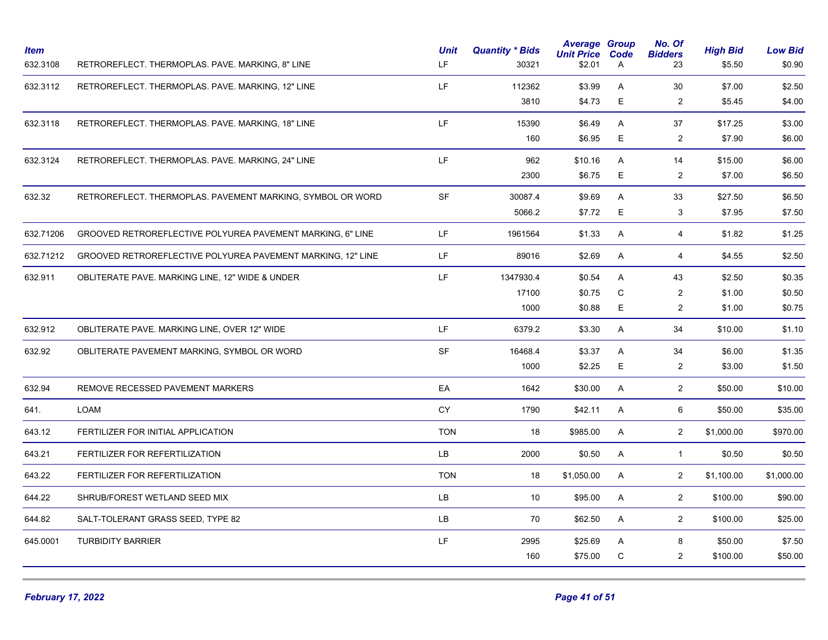| <b>Item</b><br>632.3108 | RETROREFLECT. THERMOPLAS. PAVE. MARKING, 8" LINE            | <b>Unit</b><br>LF. | <b>Quantity * Bids</b><br>30321 | <b>Average Group</b><br><b>Unit Price</b><br>\$2.01 | Code<br>A | No. Of<br><b>Bidders</b><br>23 | <b>High Bid</b><br>\$5.50 | <b>Low Bid</b><br>\$0.90 |
|-------------------------|-------------------------------------------------------------|--------------------|---------------------------------|-----------------------------------------------------|-----------|--------------------------------|---------------------------|--------------------------|
| 632.3112                | RETROREFLECT. THERMOPLAS. PAVE. MARKING, 12" LINE           | LF.                | 112362                          | \$3.99                                              | A         | 30                             | \$7.00                    | \$2.50                   |
|                         |                                                             |                    | 3810                            | \$4.73                                              | E         | $\overline{c}$                 | \$5.45                    | \$4.00                   |
| 632.3118                | RETROREFLECT. THERMOPLAS. PAVE. MARKING, 18" LINE           | LF.                | 15390                           | \$6.49                                              | A         | 37                             | \$17.25                   | \$3.00                   |
|                         |                                                             |                    | 160                             | \$6.95                                              | E         | $\overline{2}$                 | \$7.90                    | \$6.00                   |
| 632.3124                | RETROREFLECT. THERMOPLAS. PAVE. MARKING, 24" LINE           | LF.                | 962                             | \$10.16                                             | A         | 14                             | \$15.00                   | \$6.00                   |
|                         |                                                             |                    | 2300                            | \$6.75                                              | E         | 2                              | \$7.00                    | \$6.50                   |
| 632.32                  | RETROREFLECT. THERMOPLAS. PAVEMENT MARKING, SYMBOL OR WORD  | SF                 | 30087.4                         | \$9.69                                              | A         | 33                             | \$27.50                   | \$6.50                   |
|                         |                                                             |                    | 5066.2                          | \$7.72                                              | Е         | $\mathbf{3}$                   | \$7.95                    | \$7.50                   |
| 632.71206               | GROOVED RETROREFLECTIVE POLYUREA PAVEMENT MARKING, 6" LINE  | LF.                | 1961564                         | \$1.33                                              | A         | 4                              | \$1.82                    | \$1.25                   |
| 632.71212               | GROOVED RETROREFLECTIVE POLYUREA PAVEMENT MARKING, 12" LINE | LF.                | 89016                           | \$2.69                                              | A         | $\overline{4}$                 | \$4.55                    | \$2.50                   |
| 632.911                 | OBLITERATE PAVE. MARKING LINE, 12" WIDE & UNDER             | LF.                | 1347930.4                       | \$0.54                                              | A         | 43                             | \$2.50                    | \$0.35                   |
|                         |                                                             |                    | 17100                           | \$0.75                                              | C         | $\overline{2}$                 | \$1.00                    | \$0.50                   |
|                         |                                                             |                    | 1000                            | \$0.88                                              | Е         | $\overline{2}$                 | \$1.00                    | \$0.75                   |
| 632.912                 | OBLITERATE PAVE. MARKING LINE, OVER 12" WIDE                | LF.                | 6379.2                          | \$3.30                                              | A         | 34                             | \$10.00                   | \$1.10                   |
| 632.92                  | OBLITERATE PAVEMENT MARKING, SYMBOL OR WORD                 | SF                 | 16468.4                         | \$3.37                                              | A         | 34                             | \$6.00                    | \$1.35                   |
|                         |                                                             |                    | 1000                            | \$2.25                                              | E         | $\overline{2}$                 | \$3.00                    | \$1.50                   |
| 632.94                  | REMOVE RECESSED PAVEMENT MARKERS                            | EA                 | 1642                            | \$30.00                                             | A         | $\overline{2}$                 | \$50.00                   | \$10.00                  |
| 641.                    | <b>LOAM</b>                                                 | CY                 | 1790                            | \$42.11                                             | A         | 6                              | \$50.00                   | \$35.00                  |
| 643.12                  | FERTILIZER FOR INITIAL APPLICATION                          | <b>TON</b>         | 18                              | \$985.00                                            | A         | $\overline{2}$                 | \$1,000.00                | \$970.00                 |
| 643.21                  | FERTILIZER FOR REFERTILIZATION                              | LB                 | 2000                            | \$0.50                                              | A         | $\mathbf{1}$                   | \$0.50                    | \$0.50                   |
| 643.22                  | FERTILIZER FOR REFERTILIZATION                              | <b>TON</b>         | 18                              | \$1,050.00                                          | A         | $\overline{2}$                 | \$1,100.00                | \$1,000.00               |
| 644.22                  | SHRUB/FOREST WETLAND SEED MIX                               | LB                 | 10                              | \$95.00                                             | A         | $\overline{2}$                 | \$100.00                  | \$90.00                  |
| 644.82                  | SALT-TOLERANT GRASS SEED, TYPE 82                           | <b>LB</b>          | 70                              | \$62.50                                             | A         | $\overline{2}$                 | \$100.00                  | \$25.00                  |
| 645.0001                | <b>TURBIDITY BARRIER</b>                                    | LF.                | 2995                            | \$25.69                                             | A         | 8                              | \$50.00                   | \$7.50                   |
|                         |                                                             |                    | 160                             | \$75.00                                             | C         | $\overline{2}$                 | \$100.00                  | \$50.00                  |
|                         |                                                             |                    |                                 |                                                     |           |                                |                           |                          |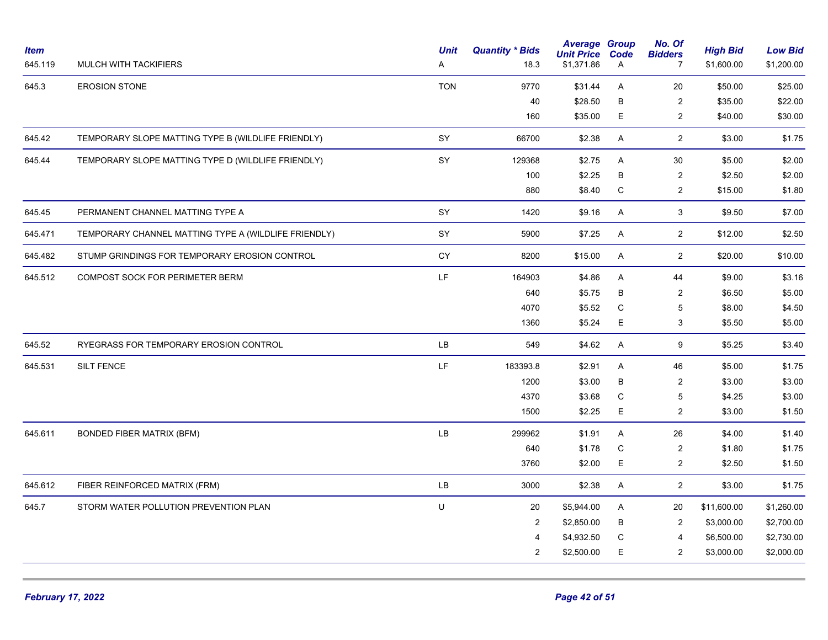| <b>Item</b><br>645.119 | MULCH WITH TACKIFIERS                                | <b>Unit</b><br>Α | <b>Quantity * Bids</b><br>18.3 | <b>Average Group</b><br><b>Unit Price</b><br>\$1,371.86 | Code<br>A   | No. Of<br><b>Bidders</b><br>$\overline{7}$ | <b>High Bid</b><br>\$1,600.00 | <b>Low Bid</b><br>\$1,200.00 |
|------------------------|------------------------------------------------------|------------------|--------------------------------|---------------------------------------------------------|-------------|--------------------------------------------|-------------------------------|------------------------------|
| 645.3                  | <b>EROSION STONE</b>                                 | <b>TON</b>       | 9770                           | \$31.44                                                 | Α           | 20                                         | \$50.00                       | \$25.00                      |
|                        |                                                      |                  | 40                             | \$28.50                                                 | В           | $\sqrt{2}$                                 | \$35.00                       | \$22.00                      |
|                        |                                                      |                  | 160                            | \$35.00                                                 | E           | $\overline{c}$                             | \$40.00                       | \$30.00                      |
| 645.42                 | TEMPORARY SLOPE MATTING TYPE B (WILDLIFE FRIENDLY)   | SY               | 66700                          | \$2.38                                                  | A           | $\overline{2}$                             | \$3.00                        | \$1.75                       |
| 645.44                 | TEMPORARY SLOPE MATTING TYPE D (WILDLIFE FRIENDLY)   | SY               | 129368                         | \$2.75                                                  | A           | 30                                         | \$5.00                        | \$2.00                       |
|                        |                                                      |                  | 100                            | \$2.25                                                  | B           | $\overline{2}$                             | \$2.50                        | \$2.00                       |
|                        |                                                      |                  | 880                            | \$8.40                                                  | С           | $\overline{2}$                             | \$15.00                       | \$1.80                       |
| 645.45                 | PERMANENT CHANNEL MATTING TYPE A                     | SY               | 1420                           | \$9.16                                                  | Α           | 3                                          | \$9.50                        | \$7.00                       |
| 645.471                | TEMPORARY CHANNEL MATTING TYPE A (WILDLIFE FRIENDLY) | SY               | 5900                           | \$7.25                                                  | A           | $\overline{2}$                             | \$12.00                       | \$2.50                       |
| 645.482                | STUMP GRINDINGS FOR TEMPORARY EROSION CONTROL        | CY               | 8200                           | \$15.00                                                 | A           | $\overline{2}$                             | \$20.00                       | \$10.00                      |
| 645.512                | COMPOST SOCK FOR PERIMETER BERM                      | LF.              | 164903                         | \$4.86                                                  | A           | 44                                         | \$9.00                        | \$3.16                       |
|                        |                                                      |                  | 640                            | \$5.75                                                  | B           | $\sqrt{2}$                                 | \$6.50                        | \$5.00                       |
|                        |                                                      |                  | 4070                           | \$5.52                                                  | $\mathsf C$ | $\sqrt{5}$                                 | \$8.00                        | \$4.50                       |
|                        |                                                      |                  | 1360                           | \$5.24                                                  | E           | 3                                          | \$5.50                        | \$5.00                       |
| 645.52                 | RYEGRASS FOR TEMPORARY EROSION CONTROL               | LB               | 549                            | \$4.62                                                  | A           | $\boldsymbol{9}$                           | \$5.25                        | \$3.40                       |
| 645.531                | <b>SILT FENCE</b>                                    | LF.              | 183393.8                       | \$2.91                                                  | A           | 46                                         | \$5.00                        | \$1.75                       |
|                        |                                                      |                  | 1200                           | \$3.00                                                  | В           | $\overline{c}$                             | \$3.00                        | \$3.00                       |
|                        |                                                      |                  | 4370                           | \$3.68                                                  | $\mathsf C$ | 5                                          | \$4.25                        | \$3.00                       |
|                        |                                                      |                  | 1500                           | \$2.25                                                  | E.          | 2                                          | \$3.00                        | \$1.50                       |
| 645.611                | <b>BONDED FIBER MATRIX (BFM)</b>                     | LB               | 299962                         | \$1.91                                                  | A           | 26                                         | \$4.00                        | \$1.40                       |
|                        |                                                      |                  | 640                            | \$1.78                                                  | C           | $\overline{2}$                             | \$1.80                        | \$1.75                       |
|                        |                                                      |                  | 3760                           | \$2.00                                                  | E           | $\overline{c}$                             | \$2.50                        | \$1.50                       |
| 645.612                | FIBER REINFORCED MATRIX (FRM)                        | LB               | 3000                           | \$2.38                                                  | Α           | $\overline{2}$                             | \$3.00                        | \$1.75                       |
| 645.7                  | STORM WATER POLLUTION PREVENTION PLAN                | U                | 20                             | \$5,944.00                                              | A           | 20                                         | \$11,600.00                   | \$1,260.00                   |
|                        |                                                      |                  | $\overline{2}$                 | \$2,850.00                                              | В           | $\overline{2}$                             | \$3,000.00                    | \$2,700.00                   |
|                        |                                                      |                  | $\overline{4}$                 | \$4,932.50                                              | С           | 4                                          | \$6,500.00                    | \$2,730.00                   |
|                        |                                                      |                  | $\overline{2}$                 | \$2,500.00                                              | E           | $\overline{2}$                             | \$3,000.00                    | \$2,000.00                   |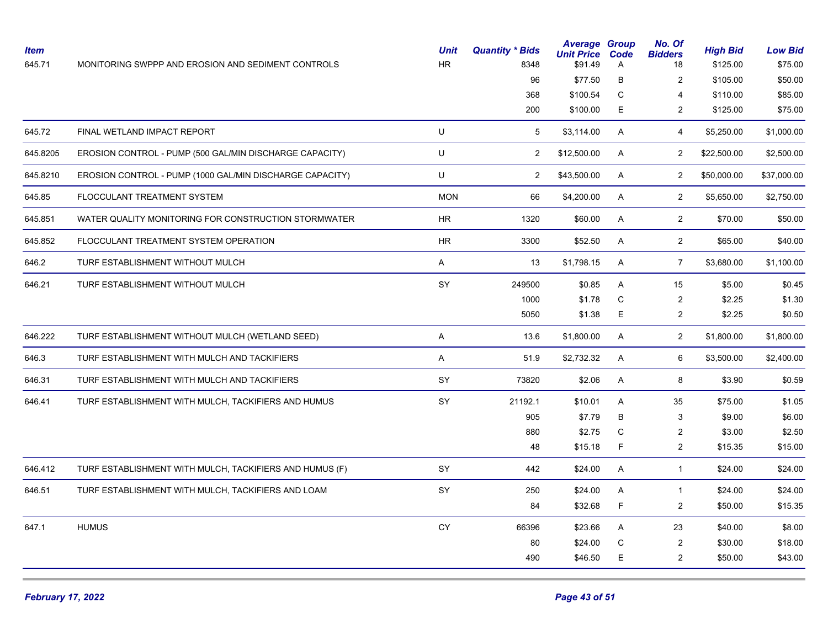| <b>Item</b><br>645.71 | MONITORING SWPPP AND EROSION AND SEDIMENT CONTROLS       | <b>Unit</b><br><b>HR</b> | <b>Quantity * Bids</b><br>8348 | <b>Average Group</b><br><b>Unit Price</b><br>\$91.49 | Code<br>Α    | No. Of<br><b>Bidders</b><br>18 | <b>High Bid</b><br>\$125.00 | <b>Low Bid</b><br>\$75.00 |
|-----------------------|----------------------------------------------------------|--------------------------|--------------------------------|------------------------------------------------------|--------------|--------------------------------|-----------------------------|---------------------------|
|                       |                                                          |                          | 96                             | \$77.50                                              | B            | $\overline{2}$                 | \$105.00                    | \$50.00                   |
|                       |                                                          |                          | 368                            | \$100.54                                             | С            | 4                              | \$110.00                    | \$85.00                   |
|                       |                                                          |                          | 200                            | \$100.00                                             | E            | $\overline{2}$                 | \$125.00                    | \$75.00                   |
| 645.72                | FINAL WETLAND IMPACT REPORT                              | U                        | 5                              | \$3,114.00                                           | A            | $\overline{4}$                 | \$5,250.00                  | \$1,000.00                |
| 645.8205              | EROSION CONTROL - PUMP (500 GAL/MIN DISCHARGE CAPACITY)  | U                        | $\overline{2}$                 | \$12,500.00                                          | A            | $\overline{2}$                 | \$22,500.00                 | \$2,500.00                |
| 645.8210              | EROSION CONTROL - PUMP (1000 GAL/MIN DISCHARGE CAPACITY) | U                        | $\overline{2}$                 | \$43,500.00                                          | A            | $\overline{2}$                 | \$50,000.00                 | \$37,000.00               |
| 645.85                | FLOCCULANT TREATMENT SYSTEM                              | <b>MON</b>               | 66                             | \$4,200.00                                           | $\mathsf{A}$ | $\overline{2}$                 | \$5,650.00                  | \$2,750.00                |
| 645.851               | WATER QUALITY MONITORING FOR CONSTRUCTION STORMWATER     | HR.                      | 1320                           | \$60.00                                              | A            | $\overline{2}$                 | \$70.00                     | \$50.00                   |
| 645.852               | FLOCCULANT TREATMENT SYSTEM OPERATION                    | HR.                      | 3300                           | \$52.50                                              | A            | $\overline{2}$                 | \$65.00                     | \$40.00                   |
| 646.2                 | TURF ESTABLISHMENT WITHOUT MULCH                         | A                        | 13                             | \$1,798.15                                           | A            | $\overline{7}$                 | \$3,680.00                  | \$1,100.00                |
| 646.21                | TURF ESTABLISHMENT WITHOUT MULCH                         | SY                       | 249500                         | \$0.85                                               | A            | 15                             | \$5.00                      | \$0.45                    |
|                       |                                                          |                          | 1000                           | \$1.78                                               | $\mathsf C$  | 2                              | \$2.25                      | \$1.30                    |
|                       |                                                          |                          | 5050                           | \$1.38                                               | E            | $\overline{2}$                 | \$2.25                      | \$0.50                    |
| 646.222               | TURF ESTABLISHMENT WITHOUT MULCH (WETLAND SEED)          | A                        | 13.6                           | \$1,800.00                                           | A            | $\overline{2}$                 | \$1,800.00                  | \$1,800.00                |
| 646.3                 | TURF ESTABLISHMENT WITH MULCH AND TACKIFIERS             | A                        | 51.9                           | \$2,732.32                                           | A            | 6                              | \$3,500.00                  | \$2,400.00                |
| 646.31                | TURF ESTABLISHMENT WITH MULCH AND TACKIFIERS             | SY                       | 73820                          | \$2.06                                               | A            | 8                              | \$3.90                      | \$0.59                    |
| 646.41                | TURF ESTABLISHMENT WITH MULCH, TACKIFIERS AND HUMUS      | SY                       | 21192.1                        | \$10.01                                              | A            | 35                             | \$75.00                     | \$1.05                    |
|                       |                                                          |                          | 905                            | \$7.79                                               | $\sf B$      | 3                              | \$9.00                      | \$6.00                    |
|                       |                                                          |                          | 880                            | \$2.75                                               | $\mathsf C$  | 2                              | \$3.00                      | \$2.50                    |
|                       |                                                          |                          | 48                             | \$15.18                                              | F            | $\overline{2}$                 | \$15.35                     | \$15.00                   |
| 646.412               | TURF ESTABLISHMENT WITH MULCH, TACKIFIERS AND HUMUS (F)  | SY                       | 442                            | \$24.00                                              | A            | $\mathbf{1}$                   | \$24.00                     | \$24.00                   |
| 646.51                | TURF ESTABLISHMENT WITH MULCH, TACKIFIERS AND LOAM       | SY                       | 250                            | \$24.00                                              | Α            | $\mathbf{1}$                   | \$24.00                     | \$24.00                   |
|                       |                                                          |                          | 84                             | \$32.68                                              | F            | $\overline{2}$                 | \$50.00                     | \$15.35                   |
| 647.1                 | <b>HUMUS</b>                                             | CY                       | 66396                          | \$23.66                                              | A            | 23                             | \$40.00                     | \$8.00                    |
|                       |                                                          |                          | 80                             | \$24.00                                              | C            | 2                              | \$30.00                     | \$18.00                   |
|                       |                                                          |                          | 490                            | \$46.50                                              | E            | 2                              | \$50.00                     | \$43.00                   |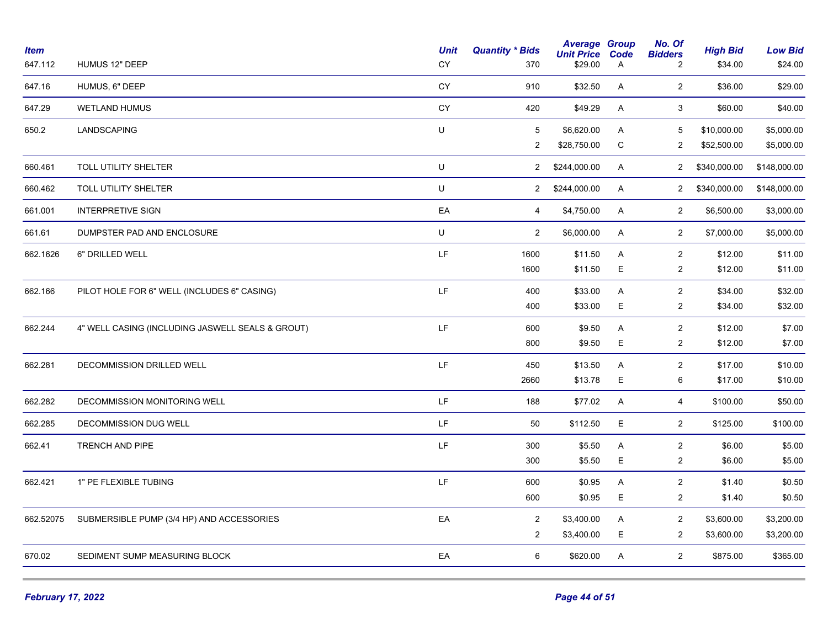| <b>Item</b><br>647.112 | HUMUS 12" DEEP                                   | <b>Unit</b><br>CY | <b>Quantity * Bids</b><br>370 | <b>Average Group</b><br><b>Unit Price</b><br>\$29.00 | Code<br>Α | No. Of<br><b>Bidders</b><br>2 | <b>High Bid</b><br>\$34.00 | <b>Low Bid</b><br>\$24.00 |
|------------------------|--------------------------------------------------|-------------------|-------------------------------|------------------------------------------------------|-----------|-------------------------------|----------------------------|---------------------------|
| 647.16                 | HUMUS, 6" DEEP                                   | CY                | 910                           | \$32.50                                              | A         | $\overline{2}$                | \$36.00                    | \$29.00                   |
| 647.29                 | <b>WETLAND HUMUS</b>                             | CY                | 420                           | \$49.29                                              | A         | 3                             | \$60.00                    | \$40.00                   |
| 650.2                  | LANDSCAPING                                      | U                 | 5                             | \$6,620.00                                           | A         | 5                             | \$10,000.00                | \$5,000.00                |
|                        |                                                  |                   | $\overline{2}$                | \$28,750.00                                          | C         | $\overline{2}$                | \$52,500.00                | \$5,000.00                |
| 660.461                | <b>TOLL UTILITY SHELTER</b>                      | U                 | $\overline{2}$                | \$244,000.00                                         | A         | $\overline{2}$                | \$340,000.00               | \$148,000.00              |
| 660.462                | TOLL UTILITY SHELTER                             | U                 | $\overline{2}$                | \$244,000.00                                         | Α         | $\overline{2}$                | \$340,000.00               | \$148,000.00              |
| 661.001                | <b>INTERPRETIVE SIGN</b>                         | EA                | 4                             | \$4,750.00                                           | A         | $\overline{2}$                | \$6,500.00                 | \$3,000.00                |
| 661.61                 | DUMPSTER PAD AND ENCLOSURE                       | U                 | $\overline{2}$                | \$6,000.00                                           | A         | $\overline{2}$                | \$7,000.00                 | \$5,000.00                |
| 662.1626               | 6" DRILLED WELL                                  | LF                | 1600                          | \$11.50                                              | A         | $\overline{c}$                | \$12.00                    | \$11.00                   |
|                        |                                                  |                   | 1600                          | \$11.50                                              | E         | $\overline{2}$                | \$12.00                    | \$11.00                   |
| 662.166                | PILOT HOLE FOR 6" WELL (INCLUDES 6" CASING)      | LF.               | 400                           | \$33.00                                              | A         | $\overline{c}$                | \$34.00                    | \$32.00                   |
|                        |                                                  |                   | 400                           | \$33.00                                              | Е         | $\overline{c}$                | \$34.00                    | \$32.00                   |
| 662.244                | 4" WELL CASING (INCLUDING JASWELL SEALS & GROUT) | LF                | 600                           | \$9.50                                               | A         | $\overline{2}$                | \$12.00                    | \$7.00                    |
|                        |                                                  |                   | 800                           | \$9.50                                               | E         | $\overline{2}$                | \$12.00                    | \$7.00                    |
| 662.281                | DECOMMISSION DRILLED WELL                        | LF                | 450                           | \$13.50                                              | A         | $\overline{2}$                | \$17.00                    | \$10.00                   |
|                        |                                                  |                   | 2660                          | \$13.78                                              | Е         | 6                             | \$17.00                    | \$10.00                   |
| 662.282                | DECOMMISSION MONITORING WELL                     | LF                | 188                           | \$77.02                                              | A         | $\overline{4}$                | \$100.00                   | \$50.00                   |
| 662.285                | DECOMMISSION DUG WELL                            | LF.               | 50                            | \$112.50                                             | E.        | $\overline{2}$                | \$125.00                   | \$100.00                  |
| 662.41                 | TRENCH AND PIPE                                  | LF                | 300                           | \$5.50                                               | A         | $\overline{c}$                | \$6.00                     | \$5.00                    |
|                        |                                                  |                   | 300                           | \$5.50                                               | E         | $\overline{2}$                | \$6.00                     | \$5.00                    |
| 662.421                | 1" PE FLEXIBLE TUBING                            | LF.               | 600                           | \$0.95                                               | A         | $\overline{c}$                | \$1.40                     | \$0.50                    |
|                        |                                                  |                   | 600                           | \$0.95                                               | E         | $\overline{2}$                | \$1.40                     | \$0.50                    |
| 662.52075              | SUBMERSIBLE PUMP (3/4 HP) AND ACCESSORIES        | EA                | $\overline{2}$                | \$3,400.00                                           | A         | $\overline{c}$                | \$3,600.00                 | \$3,200.00                |
|                        |                                                  |                   | $\overline{2}$                | \$3,400.00                                           | E.        | $\overline{2}$                | \$3,600.00                 | \$3,200.00                |
| 670.02                 | SEDIMENT SUMP MEASURING BLOCK                    | EA                | 6                             | \$620.00                                             | A         | $\overline{2}$                | \$875.00                   | \$365.00                  |
|                        |                                                  |                   |                               |                                                      |           |                               |                            |                           |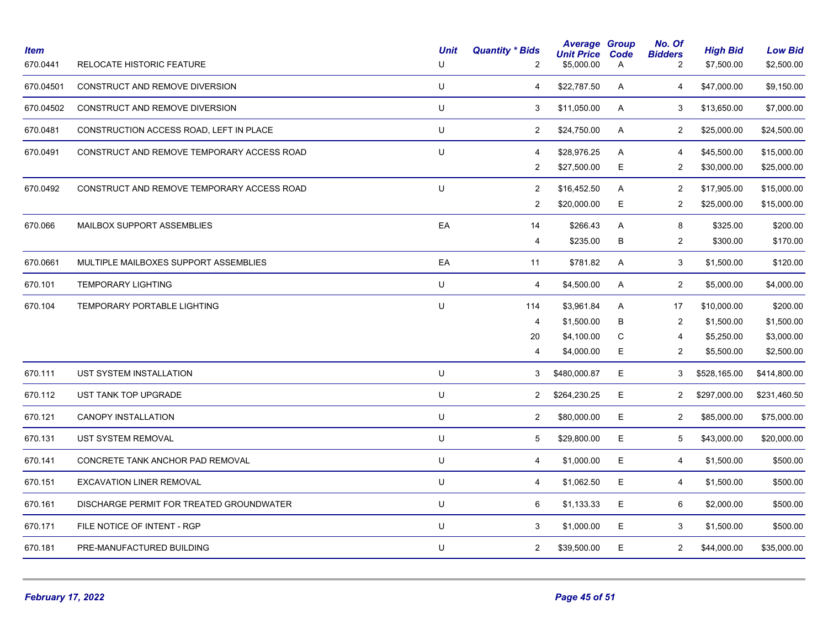| <b>Item</b><br>670.0441 | <b>RELOCATE HISTORIC FEATURE</b>           | <b>Unit</b><br>U | <b>Quantity * Bids</b><br>2 | <b>Average Group</b><br><b>Unit Price</b><br>\$5,000.00 | Code<br>A | No. Of<br><b>Bidders</b><br>$\overline{c}$ | <b>High Bid</b><br>\$7,500.00 | <b>Low Bid</b><br>\$2,500.00 |
|-------------------------|--------------------------------------------|------------------|-----------------------------|---------------------------------------------------------|-----------|--------------------------------------------|-------------------------------|------------------------------|
| 670.04501               | CONSTRUCT AND REMOVE DIVERSION             | $\sf U$          | 4                           | \$22,787.50                                             | A         | 4                                          | \$47,000.00                   | \$9,150.00                   |
| 670.04502               | CONSTRUCT AND REMOVE DIVERSION             | $\sf U$          | 3                           | \$11,050.00                                             | A         | 3                                          | \$13,650.00                   | \$7,000.00                   |
| 670.0481                | CONSTRUCTION ACCESS ROAD, LEFT IN PLACE    | U                | $\overline{2}$              | \$24,750.00                                             | A         | $\overline{2}$                             | \$25,000.00                   | \$24,500.00                  |
| 670.0491                | CONSTRUCT AND REMOVE TEMPORARY ACCESS ROAD | U                | $\overline{4}$              | \$28,976.25                                             | A         | 4                                          | \$45,500.00                   | \$15,000.00                  |
|                         |                                            |                  | $\overline{2}$              | \$27,500.00                                             | E.        | 2                                          | \$30,000.00                   | \$25,000.00                  |
| 670.0492                | CONSTRUCT AND REMOVE TEMPORARY ACCESS ROAD | U                | $\overline{2}$              | \$16,452.50                                             | A         | $\overline{2}$                             | \$17,905.00                   | \$15,000.00                  |
|                         |                                            |                  | $\overline{2}$              | \$20,000.00                                             | E         | $\overline{2}$                             | \$25,000.00                   | \$15,000.00                  |
| 670.066                 | MAILBOX SUPPORT ASSEMBLIES                 | EA               | 14                          | \$266.43                                                | A         | 8                                          | \$325.00                      | \$200.00                     |
|                         |                                            |                  | 4                           | \$235.00                                                | В         | $\overline{c}$                             | \$300.00                      | \$170.00                     |
| 670.0661                | MULTIPLE MAILBOXES SUPPORT ASSEMBLIES      | EA               | 11                          | \$781.82                                                | A         | 3                                          | \$1,500.00                    | \$120.00                     |
| 670.101                 | <b>TEMPORARY LIGHTING</b>                  | U                | $\overline{4}$              | \$4,500.00                                              | A         | $\overline{2}$                             | \$5,000.00                    | \$4,000.00                   |
| 670.104                 | TEMPORARY PORTABLE LIGHTING                | U                | 114                         | \$3,961.84                                              | A         | 17                                         | \$10,000.00                   | \$200.00                     |
|                         |                                            |                  | $\overline{4}$              | \$1,500.00                                              | В         | $\overline{2}$                             | \$1,500.00                    | \$1,500.00                   |
|                         |                                            |                  | 20                          | \$4,100.00                                              | С         | 4                                          | \$5,250.00                    | \$3,000.00                   |
|                         |                                            |                  | 4                           | \$4,000.00                                              | E.        | $\overline{c}$                             | \$5,500.00                    | \$2,500.00                   |
| 670.111                 | UST SYSTEM INSTALLATION                    | U                | 3                           | \$480,000.87                                            | E.        | 3                                          | \$528,165.00                  | \$414,800.00                 |
| 670.112                 | UST TANK TOP UPGRADE                       | U                | $\overline{2}$              | \$264,230.25                                            | E         | $\overline{2}$                             | \$297,000.00                  | \$231,460.50                 |
| 670.121                 | CANOPY INSTALLATION                        | U                | $\overline{2}$              | \$80,000.00                                             | E         | $\overline{2}$                             | \$85,000.00                   | \$75,000.00                  |
| 670.131                 | <b>UST SYSTEM REMOVAL</b>                  | U                | 5                           | \$29,800.00                                             | E.        | 5                                          | \$43,000.00                   | \$20,000.00                  |
| 670.141                 | CONCRETE TANK ANCHOR PAD REMOVAL           | U                | 4                           | \$1,000.00                                              | E.        | 4                                          | \$1,500.00                    | \$500.00                     |
| 670.151                 | <b>EXCAVATION LINER REMOVAL</b>            | U                | 4                           | \$1,062.50                                              | E         | 4                                          | \$1,500.00                    | \$500.00                     |
| 670.161                 | DISCHARGE PERMIT FOR TREATED GROUNDWATER   | U                | 6                           | \$1,133.33                                              | E         | 6                                          | \$2,000.00                    | \$500.00                     |
| 670.171                 | FILE NOTICE OF INTENT - RGP                | $\sf U$          | 3                           | \$1,000.00                                              | E         | 3                                          | \$1,500.00                    | \$500.00                     |
| 670.181                 | PRE-MANUFACTURED BUILDING                  | U                | $\overline{2}$              | \$39,500.00                                             | E.        | $\overline{2}$                             | \$44,000.00                   | \$35,000.00                  |
|                         |                                            |                  |                             |                                                         |           |                                            |                               |                              |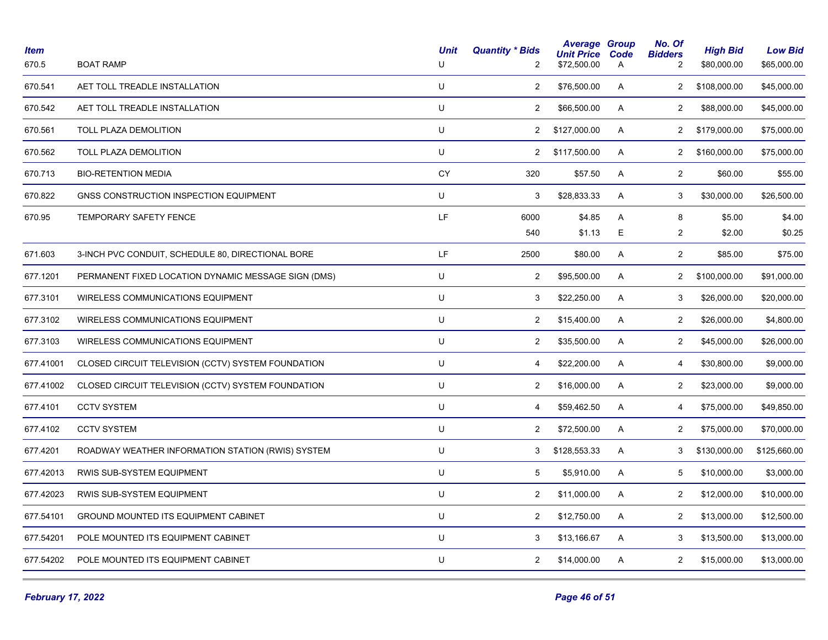| <b>Item</b><br>670.5 | <b>BOAT RAMP</b>                                    | <b>Unit</b><br>U | <b>Quantity * Bids</b><br>$\overline{2}$ | <b>Average Group</b><br><b>Unit Price</b><br>\$72,500.00 | Code<br>A | No. Of<br><b>Bidders</b><br>2 | <b>High Bid</b><br>\$80,000.00 | <b>Low Bid</b><br>\$65,000.00 |
|----------------------|-----------------------------------------------------|------------------|------------------------------------------|----------------------------------------------------------|-----------|-------------------------------|--------------------------------|-------------------------------|
| 670.541              | AET TOLL TREADLE INSTALLATION                       | U                | $\overline{a}$                           | \$76,500.00                                              | A         | $\overline{c}$                | \$108,000.00                   | \$45,000.00                   |
| 670.542              | AET TOLL TREADLE INSTALLATION                       | U                | $\overline{2}$                           | \$66,500.00                                              | A         | 2                             | \$88,000.00                    | \$45,000.00                   |
| 670.561              | TOLL PLAZA DEMOLITION                               | U                | $\overline{2}$                           | \$127,000.00                                             | A         | $\overline{2}$                | \$179,000.00                   | \$75,000.00                   |
| 670.562              | TOLL PLAZA DEMOLITION                               | U                | $\overline{2}$                           | \$117,500.00                                             | A         | $\overline{2}$                | \$160,000.00                   | \$75,000.00                   |
| 670.713              | <b>BIO-RETENTION MEDIA</b>                          | CY               | 320                                      | \$57.50                                                  | A         | 2                             | \$60.00                        | \$55.00                       |
| 670.822              | GNSS CONSTRUCTION INSPECTION EQUIPMENT              | U                | 3                                        | \$28,833.33                                              | A         | 3                             | \$30,000.00                    | \$26,500.00                   |
| 670.95               | TEMPORARY SAFETY FENCE                              | LF               | 6000                                     | \$4.85                                                   | A         | 8                             | \$5.00                         | \$4.00                        |
|                      |                                                     |                  | 540                                      | \$1.13                                                   | Е         | $\overline{c}$                | \$2.00                         | \$0.25                        |
| 671.603              | 3-INCH PVC CONDUIT, SCHEDULE 80, DIRECTIONAL BORE   | LF               | 2500                                     | \$80.00                                                  | A         | $\overline{2}$                | \$85.00                        | \$75.00                       |
| 677.1201             | PERMANENT FIXED LOCATION DYNAMIC MESSAGE SIGN (DMS) | U                | 2                                        | \$95,500.00                                              | A         | $\mathbf{2}$                  | \$100,000.00                   | \$91,000.00                   |
| 677.3101             | WIRELESS COMMUNICATIONS EQUIPMENT                   | U                | 3                                        | \$22,250.00                                              | A         | 3                             | \$26,000.00                    | \$20,000.00                   |
| 677.3102             | WIRELESS COMMUNICATIONS EQUIPMENT                   | U                | $\overline{a}$                           | \$15,400.00                                              | A         | $\overline{2}$                | \$26,000.00                    | \$4,800.00                    |
| 677.3103             | <b>WIRELESS COMMUNICATIONS EQUIPMENT</b>            | U                | $\overline{2}$                           | \$35,500.00                                              | A         | $\overline{2}$                | \$45,000.00                    | \$26,000.00                   |
| 677.41001            | CLOSED CIRCUIT TELEVISION (CCTV) SYSTEM FOUNDATION  | U                | 4                                        | \$22,200.00                                              | A         | 4                             | \$30,800.00                    | \$9,000.00                    |
| 677.41002            | CLOSED CIRCUIT TELEVISION (CCTV) SYSTEM FOUNDATION  | U                | $\overline{c}$                           | \$16,000.00                                              | A         | $\overline{2}$                | \$23,000.00                    | \$9,000.00                    |
| 677.4101             | <b>CCTV SYSTEM</b>                                  | U                | $\overline{4}$                           | \$59,462.50                                              | A         | 4                             | \$75,000.00                    | \$49,850.00                   |
| 677.4102             | <b>CCTV SYSTEM</b>                                  | U                | $\overline{2}$                           | \$72,500.00                                              | A         | $\overline{2}$                | \$75,000.00                    | \$70,000.00                   |
| 677.4201             | ROADWAY WEATHER INFORMATION STATION (RWIS) SYSTEM   | U                | 3                                        | \$128,553.33                                             | A         | 3                             | \$130,000.00                   | \$125,660.00                  |
| 677.42013            | RWIS SUB-SYSTEM EQUIPMENT                           | U                | 5                                        | \$5,910.00                                               | A         | 5                             | \$10,000.00                    | \$3,000.00                    |
| 677.42023            | RWIS SUB-SYSTEM EQUIPMENT                           | U                | $\overline{2}$                           | \$11,000.00                                              | A         | $\overline{2}$                | \$12,000.00                    | \$10,000.00                   |
| 677.54101            | <b>GROUND MOUNTED ITS EQUIPMENT CABINET</b>         | U                | $\overline{2}$                           | \$12,750.00                                              | A         | $\overline{2}$                | \$13,000.00                    | \$12,500.00                   |
| 677.54201            | POLE MOUNTED ITS EQUIPMENT CABINET                  | U                | 3                                        | \$13,166.67                                              | A         | 3                             | \$13,500.00                    | \$13,000.00                   |
| 677.54202            | POLE MOUNTED ITS EQUIPMENT CABINET                  | U                | $\overline{2}$                           | \$14,000.00                                              | A         | $\overline{2}$                | \$15,000.00                    | \$13,000.00                   |
|                      |                                                     |                  |                                          |                                                          |           |                               |                                |                               |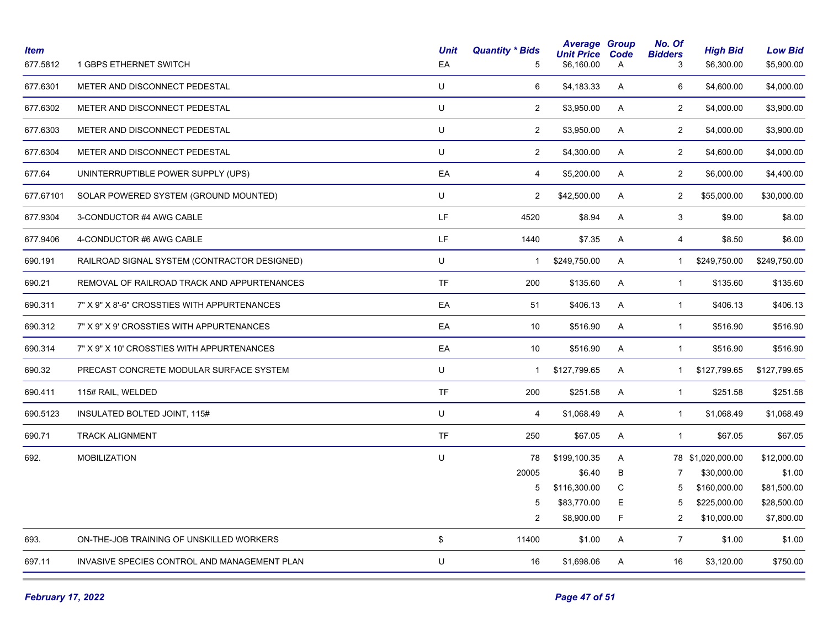| <b>Item</b><br>677.5812 | 1 GBPS ETHERNET SWITCH                       | <b>Unit</b><br>EA | <b>Quantity * Bids</b><br>5 | <b>Average Group</b><br><b>Unit Price</b><br>\$6,160.00 | Code<br>A | No. Of<br><b>Bidders</b><br>3 | <b>High Bid</b><br>\$6,300.00 | <b>Low Bid</b><br>\$5,900.00 |
|-------------------------|----------------------------------------------|-------------------|-----------------------------|---------------------------------------------------------|-----------|-------------------------------|-------------------------------|------------------------------|
| 677.6301                | METER AND DISCONNECT PEDESTAL                | U                 | 6                           | \$4,183.33                                              | A         | 6                             | \$4,600.00                    | \$4,000.00                   |
| 677.6302                | METER AND DISCONNECT PEDESTAL                | $\sf U$           | $\overline{2}$              | \$3,950.00                                              | A         | $\overline{2}$                | \$4,000.00                    | \$3,900.00                   |
| 677.6303                | METER AND DISCONNECT PEDESTAL                | $\sf U$           | $\overline{2}$              | \$3,950.00                                              | Α         | $\overline{2}$                | \$4,000.00                    | \$3,900.00                   |
| 677.6304                | METER AND DISCONNECT PEDESTAL                | U                 | $\overline{2}$              | \$4,300.00                                              | A         | $\overline{2}$                | \$4,600.00                    | \$4,000.00                   |
| 677.64                  | UNINTERRUPTIBLE POWER SUPPLY (UPS)           | EA                | 4                           | \$5,200.00                                              | A         | $\overline{2}$                | \$6,000.00                    | \$4,400.00                   |
| 677.67101               | SOLAR POWERED SYSTEM (GROUND MOUNTED)        | $\sf U$           | $\overline{2}$              | \$42,500.00                                             | A         | $\overline{2}$                | \$55,000.00                   | \$30,000.00                  |
| 677.9304                | 3-CONDUCTOR #4 AWG CABLE                     | LF                | 4520                        | \$8.94                                                  | A         | 3                             | \$9.00                        | \$8.00                       |
| 677.9406                | 4-CONDUCTOR #6 AWG CABLE                     | LF                | 1440                        | \$7.35                                                  | A         | $\overline{4}$                | \$8.50                        | \$6.00                       |
| 690.191                 | RAILROAD SIGNAL SYSTEM (CONTRACTOR DESIGNED) | U                 | $\mathbf{1}$                | \$249,750.00                                            | A         | $\mathbf{1}$                  | \$249,750.00                  | \$249,750.00                 |
| 690.21                  | REMOVAL OF RAILROAD TRACK AND APPURTENANCES  | <b>TF</b>         | 200                         | \$135.60                                                | A         | $\mathbf{1}$                  | \$135.60                      | \$135.60                     |
| 690.311                 | 7" X 9" X 8'-6" CROSSTIES WITH APPURTENANCES | EA                | 51                          | \$406.13                                                | A         | $\mathbf{1}$                  | \$406.13                      | \$406.13                     |
| 690.312                 | 7" X 9" X 9' CROSSTIES WITH APPURTENANCES    | EA                | 10                          | \$516.90                                                | A         | $\mathbf{1}$                  | \$516.90                      | \$516.90                     |
| 690.314                 | 7" X 9" X 10' CROSSTIES WITH APPURTENANCES   | EA                | 10                          | \$516.90                                                | A         | $\mathbf{1}$                  | \$516.90                      | \$516.90                     |
| 690.32                  | PRECAST CONCRETE MODULAR SURFACE SYSTEM      | $\sf U$           | $\mathbf{1}$                | \$127,799.65                                            | A         | $\mathbf{1}$                  | \$127,799.65                  | \$127,799.65                 |
| 690.411                 | 115# RAIL, WELDED                            | <b>TF</b>         | 200                         | \$251.58                                                | Α         | $\mathbf{1}$                  | \$251.58                      | \$251.58                     |
| 690.5123                | INSULATED BOLTED JOINT, 115#                 | U                 | $\overline{4}$              | \$1,068.49                                              | A         | $\mathbf{1}$                  | \$1,068.49                    | \$1,068.49                   |
| 690.71                  | <b>TRACK ALIGNMENT</b>                       | <b>TF</b>         | 250                         | \$67.05                                                 | A         | $\mathbf{1}$                  | \$67.05                       | \$67.05                      |
| 692.                    | <b>MOBILIZATION</b>                          | U                 | 78                          | \$199,100.35                                            | A         |                               | 78 \$1,020,000.00             | \$12,000.00                  |
|                         |                                              |                   | 20005                       | \$6.40                                                  | В         | 7                             | \$30,000.00                   | \$1.00                       |
|                         |                                              |                   | 5                           | \$116,300.00                                            | C         | 5                             | \$160,000.00                  | \$81,500.00                  |
|                         |                                              |                   | 5                           | \$83,770.00                                             | E         | 5                             | \$225,000.00                  | \$28,500.00                  |
|                         |                                              |                   | 2                           | \$8,900.00                                              | F.        | 2                             | \$10,000.00                   | \$7,800.00                   |
| 693.                    | ON-THE-JOB TRAINING OF UNSKILLED WORKERS     | \$                | 11400                       | \$1.00                                                  | A         | $\overline{7}$                | \$1.00                        | \$1.00                       |
| 697.11                  | INVASIVE SPECIES CONTROL AND MANAGEMENT PLAN | U                 | 16                          | \$1,698.06                                              | Α         | 16                            | \$3,120.00                    | \$750.00                     |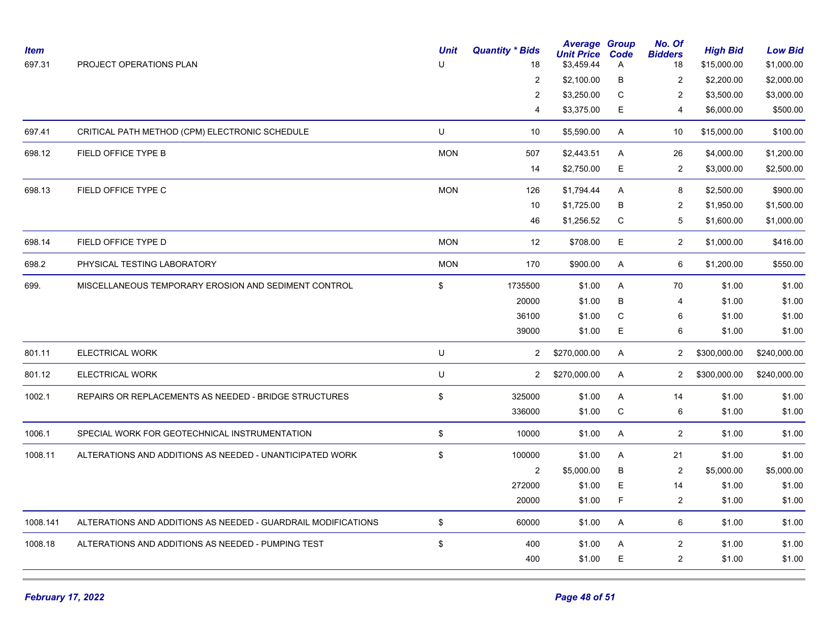| <b>Item</b><br>697.31 | PROJECT OPERATIONS PLAN                                       | <b>Unit</b><br>U | <b>Quantity * Bids</b><br>18 | <b>Average Group</b><br><b>Unit Price</b><br>\$3,459.44 | Code<br>A   | No. Of<br><b>Bidders</b><br>18 | <b>High Bid</b><br>\$15,000.00 | <b>Low Bid</b><br>\$1,000.00 |
|-----------------------|---------------------------------------------------------------|------------------|------------------------------|---------------------------------------------------------|-------------|--------------------------------|--------------------------------|------------------------------|
|                       |                                                               |                  | $\overline{2}$               | \$2,100.00                                              | В           | 2                              | \$2,200.00                     | \$2,000.00                   |
|                       |                                                               |                  | $\overline{c}$               | \$3,250.00                                              | $\mathbf C$ | 2                              | \$3,500.00                     | \$3,000.00                   |
|                       |                                                               |                  | 4                            | \$3,375.00                                              | E           | 4                              | \$6,000.00                     | \$500.00                     |
| 697.41                | CRITICAL PATH METHOD (CPM) ELECTRONIC SCHEDULE                | U                | 10                           | \$5,590.00                                              | A           | 10                             | \$15,000.00                    | \$100.00                     |
| 698.12                | FIELD OFFICE TYPE B                                           | <b>MON</b>       | 507                          | \$2,443.51                                              | A           | 26                             | \$4,000.00                     | \$1,200.00                   |
|                       |                                                               |                  | 14                           | \$2,750.00                                              | E           | $\overline{2}$                 | \$3,000.00                     | \$2,500.00                   |
| 698.13                | FIELD OFFICE TYPE C                                           | <b>MON</b>       | 126                          | \$1,794.44                                              | A           | 8                              | \$2,500.00                     | \$900.00                     |
|                       |                                                               |                  | 10                           | \$1,725.00                                              | В           | 2                              | \$1,950.00                     | \$1,500.00                   |
|                       |                                                               |                  | 46                           | \$1,256.52                                              | $\mathsf C$ | 5                              | \$1,600.00                     | \$1,000.00                   |
| 698.14                | FIELD OFFICE TYPE D                                           | <b>MON</b>       | 12                           | \$708.00                                                | E           | $\overline{2}$                 | \$1,000.00                     | \$416.00                     |
| 698.2                 | PHYSICAL TESTING LABORATORY                                   | <b>MON</b>       | 170                          | \$900.00                                                | A           | 6                              | \$1,200.00                     | \$550.00                     |
| 699.                  | MISCELLANEOUS TEMPORARY EROSION AND SEDIMENT CONTROL          | \$               | 1735500                      | \$1.00                                                  | A           | 70                             | \$1.00                         | \$1.00                       |
|                       |                                                               |                  | 20000                        | \$1.00                                                  | B           | $\overline{4}$                 | \$1.00                         | \$1.00                       |
|                       |                                                               |                  | 36100                        | \$1.00                                                  | C           | 6                              | \$1.00                         | \$1.00                       |
|                       |                                                               |                  | 39000                        | \$1.00                                                  | E           | 6                              | \$1.00                         | \$1.00                       |
| 801.11                | ELECTRICAL WORK                                               | U                | $\mathbf{2}$                 | \$270,000.00                                            | A           | $\mathbf{2}$                   | \$300,000.00                   | \$240,000.00                 |
| 801.12                | <b>ELECTRICAL WORK</b>                                        | U                | $\overline{2}$               | \$270,000.00                                            | A           | $2^{\circ}$                    | \$300,000.00                   | \$240,000.00                 |
| 1002.1                | REPAIRS OR REPLACEMENTS AS NEEDED - BRIDGE STRUCTURES         | \$               | 325000                       | \$1.00                                                  | A           | 14                             | \$1.00                         | \$1.00                       |
|                       |                                                               |                  | 336000                       | \$1.00                                                  | ${\bf C}$   | 6                              | \$1.00                         | \$1.00                       |
| 1006.1                | SPECIAL WORK FOR GEOTECHNICAL INSTRUMENTATION                 | \$               | 10000                        | \$1.00                                                  | A           | $\overline{2}$                 | \$1.00                         | \$1.00                       |
| 1008.11               | ALTERATIONS AND ADDITIONS AS NEEDED - UNANTICIPATED WORK      | \$               | 100000                       | \$1.00                                                  | Α           | 21                             | \$1.00                         | \$1.00                       |
|                       |                                                               |                  | 2                            | \$5,000.00                                              | B           | $\overline{2}$                 | \$5,000.00                     | \$5,000.00                   |
|                       |                                                               |                  | 272000                       | \$1.00                                                  | E           | 14                             | \$1.00                         | \$1.00                       |
|                       |                                                               |                  | 20000                        | \$1.00                                                  | F           | 2                              | \$1.00                         | \$1.00                       |
| 1008.141              | ALTERATIONS AND ADDITIONS AS NEEDED - GUARDRAIL MODIFICATIONS | \$               | 60000                        | \$1.00                                                  | A           | 6                              | \$1.00                         | \$1.00                       |
| 1008.18               | ALTERATIONS AND ADDITIONS AS NEEDED - PUMPING TEST            | \$               | 400                          | \$1.00                                                  | Α           | $\overline{c}$                 | \$1.00                         | \$1.00                       |
|                       |                                                               |                  | 400                          | \$1.00                                                  | E           | $\overline{2}$                 | \$1.00                         | \$1.00                       |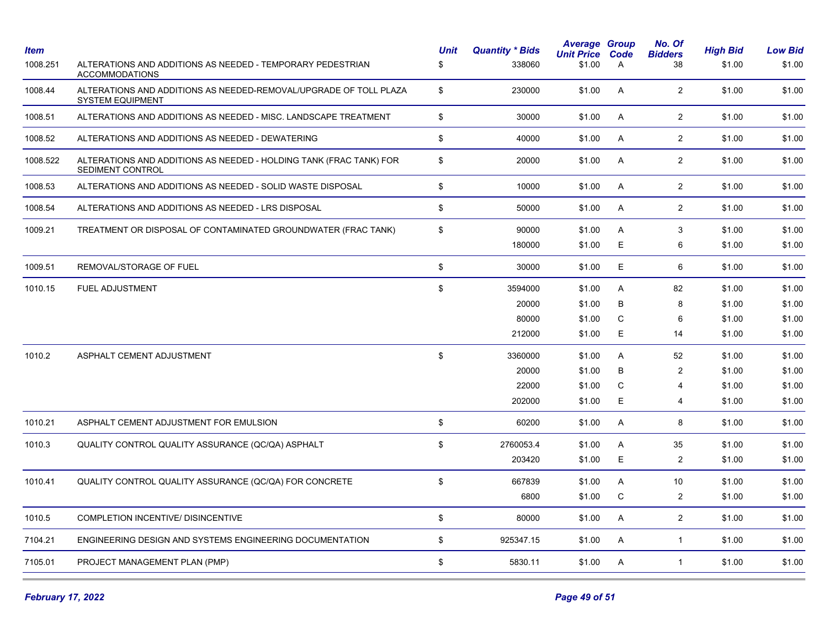| Item<br>1008.251 | ALTERATIONS AND ADDITIONS AS NEEDED - TEMPORARY PEDESTRIAN<br><b>ACCOMMODATIONS</b>          | <b>Unit</b><br>\$ | <b>Quantity * Bids</b><br>338060 | <b>Average Group</b><br><b>Unit Price</b><br>\$1.00 | Code<br>A | No. Of<br><b>Bidders</b><br>38 | <b>High Bid</b><br>\$1.00 | <b>Low Bid</b><br>\$1.00 |
|------------------|----------------------------------------------------------------------------------------------|-------------------|----------------------------------|-----------------------------------------------------|-----------|--------------------------------|---------------------------|--------------------------|
| 1008.44          | ALTERATIONS AND ADDITIONS AS NEEDED-REMOVAL/UPGRADE OF TOLL PLAZA<br><b>SYSTEM EQUIPMENT</b> | \$                | 230000                           | \$1.00                                              | A         | $\overline{2}$                 | \$1.00                    | \$1.00                   |
| 1008.51          | ALTERATIONS AND ADDITIONS AS NEEDED - MISC. LANDSCAPE TREATMENT                              | \$                | 30000                            | \$1.00                                              | A         | $\overline{2}$                 | \$1.00                    | \$1.00                   |
| 1008.52          | ALTERATIONS AND ADDITIONS AS NEEDED - DEWATERING                                             | \$                | 40000                            | \$1.00                                              | A         | $\overline{2}$                 | \$1.00                    | \$1.00                   |
| 1008.522         | ALTERATIONS AND ADDITIONS AS NEEDED - HOLDING TANK (FRAC TANK) FOR<br>SEDIMENT CONTROL       | \$                | 20000                            | \$1.00                                              | A         | $\overline{2}$                 | \$1.00                    | \$1.00                   |
| 1008.53          | ALTERATIONS AND ADDITIONS AS NEEDED - SOLID WASTE DISPOSAL                                   | \$                | 10000                            | \$1.00                                              | A         | $\overline{2}$                 | \$1.00                    | \$1.00                   |
| 1008.54          | ALTERATIONS AND ADDITIONS AS NEEDED - LRS DISPOSAL                                           | \$                | 50000                            | \$1.00                                              | A         | $\overline{c}$                 | \$1.00                    | \$1.00                   |
| 1009.21          | TREATMENT OR DISPOSAL OF CONTAMINATED GROUNDWATER (FRAC TANK)                                | \$                | 90000                            | \$1.00                                              | A         | 3                              | \$1.00                    | \$1.00                   |
|                  |                                                                                              |                   | 180000                           | \$1.00                                              | E         | 6                              | \$1.00                    | \$1.00                   |
| 1009.51          | REMOVAL/STORAGE OF FUEL                                                                      | \$                | 30000                            | \$1.00                                              | E.        | 6                              | \$1.00                    | \$1.00                   |
| 1010.15          | FUEL ADJUSTMENT                                                                              | \$                | 3594000                          | \$1.00                                              | A         | 82                             | \$1.00                    | \$1.00                   |
|                  |                                                                                              |                   | 20000                            | \$1.00                                              | B         | 8                              | \$1.00                    | \$1.00                   |
|                  |                                                                                              |                   | 80000                            | \$1.00                                              | C         | 6                              | \$1.00                    | \$1.00                   |
|                  |                                                                                              |                   | 212000                           | \$1.00                                              | E         | 14                             | \$1.00                    | \$1.00                   |
| 1010.2           | ASPHALT CEMENT ADJUSTMENT                                                                    | \$                | 3360000                          | \$1.00                                              | A         | 52                             | \$1.00                    | \$1.00                   |
|                  |                                                                                              |                   | 20000                            | \$1.00                                              | B         | $\overline{2}$                 | \$1.00                    | \$1.00                   |
|                  |                                                                                              |                   | 22000                            | \$1.00                                              | C         | 4                              | \$1.00                    | \$1.00                   |
|                  |                                                                                              |                   | 202000                           | \$1.00                                              | E.        | 4                              | \$1.00                    | \$1.00                   |
| 1010.21          | ASPHALT CEMENT ADJUSTMENT FOR EMULSION                                                       | \$                | 60200                            | \$1.00                                              | Α         | 8                              | \$1.00                    | \$1.00                   |
| 1010.3           | QUALITY CONTROL QUALITY ASSURANCE (QC/QA) ASPHALT                                            | \$                | 2760053.4                        | \$1.00                                              | Α         | 35                             | \$1.00                    | \$1.00                   |
|                  |                                                                                              |                   | 203420                           | \$1.00                                              | E         | 2                              | \$1.00                    | \$1.00                   |
| 1010.41          | QUALITY CONTROL QUALITY ASSURANCE (QC/QA) FOR CONCRETE                                       | \$                | 667839                           | \$1.00                                              | A         | 10                             | \$1.00                    | \$1.00                   |
|                  |                                                                                              |                   | 6800                             | \$1.00                                              | C         | $\overline{\mathbf{c}}$        | \$1.00                    | \$1.00                   |
| 1010.5           | COMPLETION INCENTIVE/ DISINCENTIVE                                                           | \$                | 80000                            | \$1.00                                              | A         | $\overline{2}$                 | \$1.00                    | \$1.00                   |
| 7104.21          | ENGINEERING DESIGN AND SYSTEMS ENGINEERING DOCUMENTATION                                     | \$                | 925347.15                        | \$1.00                                              | A         | $\mathbf{1}$                   | \$1.00                    | \$1.00                   |
| 7105.01          | PROJECT MANAGEMENT PLAN (PMP)                                                                | \$                | 5830.11                          | \$1.00                                              | A         | $\mathbf{1}$                   | \$1.00                    | \$1.00                   |
|                  |                                                                                              |                   |                                  |                                                     |           |                                |                           |                          |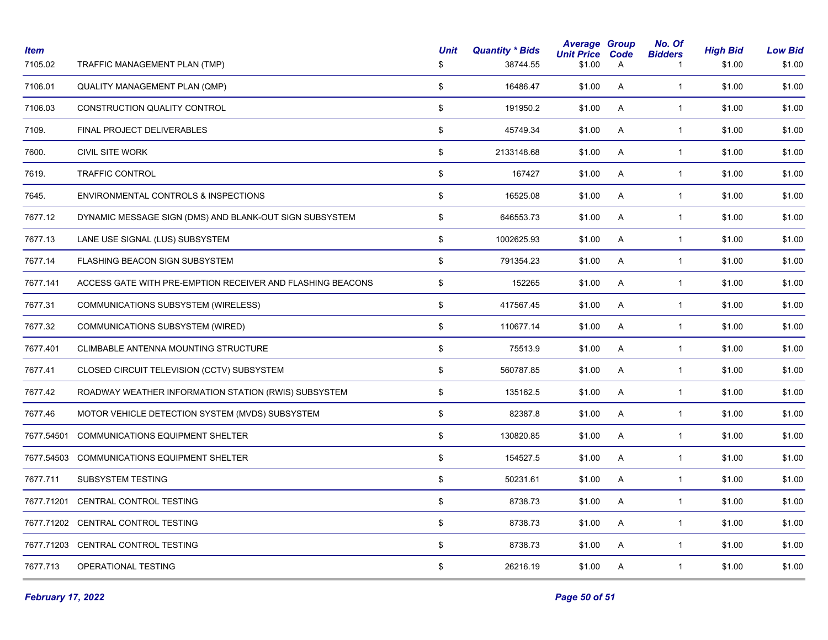| <b>Item</b><br>7105.02 | TRAFFIC MANAGEMENT PLAN (TMP)                              | <b>Unit</b><br>\$ | <b>Quantity * Bids</b><br>38744.55 | <b>Average Group</b><br><b>Unit Price</b><br>\$1.00 | Code<br>A | No. Of<br><b>Bidders</b><br>-1 | <b>High Bid</b><br>\$1.00 | <b>Low Bid</b><br>\$1.00 |
|------------------------|------------------------------------------------------------|-------------------|------------------------------------|-----------------------------------------------------|-----------|--------------------------------|---------------------------|--------------------------|
| 7106.01                | QUALITY MANAGEMENT PLAN (QMP)                              | \$                | 16486.47                           | \$1.00                                              | A         | $\mathbf{1}$                   | \$1.00                    | \$1.00                   |
| 7106.03                | CONSTRUCTION QUALITY CONTROL                               | \$                | 191950.2                           | \$1.00                                              | A         | $\mathbf{1}$                   | \$1.00                    | \$1.00                   |
| 7109.                  | FINAL PROJECT DELIVERABLES                                 | \$                | 45749.34                           | \$1.00                                              | Α         | $\mathbf{1}$                   | \$1.00                    | \$1.00                   |
| 7600.                  | <b>CIVIL SITE WORK</b>                                     | \$                | 2133148.68                         | \$1.00                                              | A         | $\mathbf{1}$                   | \$1.00                    | \$1.00                   |
| 7619.                  | <b>TRAFFIC CONTROL</b>                                     | \$                | 167427                             | \$1.00                                              | A         | $\mathbf{1}$                   | \$1.00                    | \$1.00                   |
| 7645.                  | ENVIRONMENTAL CONTROLS & INSPECTIONS                       | \$                | 16525.08                           | \$1.00                                              | A         | $\mathbf{1}$                   | \$1.00                    | \$1.00                   |
| 7677.12                | DYNAMIC MESSAGE SIGN (DMS) AND BLANK-OUT SIGN SUBSYSTEM    | \$                | 646553.73                          | \$1.00                                              | A         | $\mathbf{1}$                   | \$1.00                    | \$1.00                   |
| 7677.13                | LANE USE SIGNAL (LUS) SUBSYSTEM                            | \$                | 1002625.93                         | \$1.00                                              | A         | $\mathbf{1}$                   | \$1.00                    | \$1.00                   |
| 7677.14                | FLASHING BEACON SIGN SUBSYSTEM                             | \$                | 791354.23                          | \$1.00                                              | A         | $\mathbf{1}$                   | \$1.00                    | \$1.00                   |
| 7677.141               | ACCESS GATE WITH PRE-EMPTION RECEIVER AND FLASHING BEACONS | \$                | 152265                             | \$1.00                                              | A         | $\mathbf{1}$                   | \$1.00                    | \$1.00                   |
| 7677.31                | COMMUNICATIONS SUBSYSTEM (WIRELESS)                        | \$                | 417567.45                          | \$1.00                                              | A         | $\mathbf{1}$                   | \$1.00                    | \$1.00                   |
| 7677.32                | COMMUNICATIONS SUBSYSTEM (WIRED)                           | \$                | 110677.14                          | \$1.00                                              | A         | $\mathbf{1}$                   | \$1.00                    | \$1.00                   |
| 7677.401               | CLIMBABLE ANTENNA MOUNTING STRUCTURE                       | \$                | 75513.9                            | \$1.00                                              | A         | $\mathbf{1}$                   | \$1.00                    | \$1.00                   |
| 7677.41                | CLOSED CIRCUIT TELEVISION (CCTV) SUBSYSTEM                 | \$                | 560787.85                          | \$1.00                                              | A         | $\mathbf{1}$                   | \$1.00                    | \$1.00                   |
| 7677.42                | ROADWAY WEATHER INFORMATION STATION (RWIS) SUBSYSTEM       | \$                | 135162.5                           | \$1.00                                              | A         | $\mathbf{1}$                   | \$1.00                    | \$1.00                   |
| 7677.46                | MOTOR VEHICLE DETECTION SYSTEM (MVDS) SUBSYSTEM            | \$                | 82387.8                            | \$1.00                                              | A         | $\mathbf{1}$                   | \$1.00                    | \$1.00                   |
| 7677.54501             | <b>COMMUNICATIONS EQUIPMENT SHELTER</b>                    | \$                | 130820.85                          | \$1.00                                              | A         | $\mathbf{1}$                   | \$1.00                    | \$1.00                   |
|                        | 7677.54503 COMMUNICATIONS EQUIPMENT SHELTER                | \$                | 154527.5                           | \$1.00                                              | A         | $\mathbf{1}$                   | \$1.00                    | \$1.00                   |
| 7677.711               | <b>SUBSYSTEM TESTING</b>                                   | \$                | 50231.61                           | \$1.00                                              | A         | $\mathbf{1}$                   | \$1.00                    | \$1.00                   |
|                        | 7677.71201 CENTRAL CONTROL TESTING                         | \$                | 8738.73                            | \$1.00                                              | A         | $\mathbf{1}$                   | \$1.00                    | \$1.00                   |
|                        | 7677.71202 CENTRAL CONTROL TESTING                         | \$                | 8738.73                            | \$1.00                                              | A         | $\mathbf{1}$                   | \$1.00                    | \$1.00                   |
|                        | 7677.71203 CENTRAL CONTROL TESTING                         | \$                | 8738.73                            | \$1.00                                              | A         | $\mathbf{1}$                   | \$1.00                    | \$1.00                   |
| 7677.713               | OPERATIONAL TESTING                                        | \$                | 26216.19                           | \$1.00                                              | A         | $\mathbf{1}$                   | \$1.00                    | \$1.00                   |